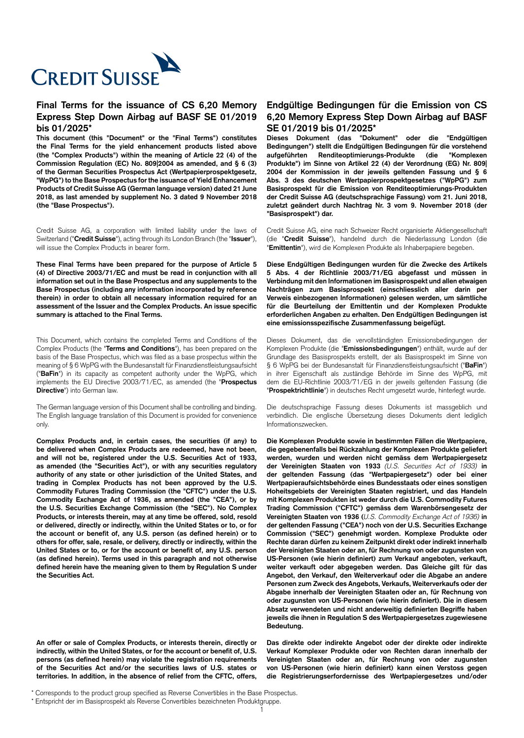

## **Final Terms for the issuance of CS 6,20 Memory Express Step Down Airbag auf BASF SE 01/2019 bis 01/2025\***

**This document (this "Document" or the "Final Terms") constitutes the Final Terms for the yield enhancement products listed above (the "Complex Products") within the meaning of Article 22 (4) of the Commission Regulation (EC) No. 809|2004 as amended, and § 6 (3) of the German Securities Prospectus Act (Wertpapierprospektgesetz, "WpPG") to the Base Prospectus for the issuance of Yield Enhancement Products of Credit Suisse AG (German language version) dated 21 June 2018, as last amended by supplement No. 3 dated 9 November 2018 (the "Base Prospectus").**

Credit Suisse AG, a corporation with limited liability under the laws of Switzerland ("**Credit Suisse**"), acting through its London Branch (the "**Issuer**"), will issue the Complex Products in bearer form.

**These Final Terms have been prepared for the purpose of Article 5 (4) of Directive 2003/71/EC and must be read in conjunction with all information set out in the Base Prospectus and any supplements to the Base Prospectus (including any information incorporated by reference therein) in order to obtain all necessary information required for an assessment of the Issuer and the Complex Products. An issue specific summary is attached to the Final Terms.**

This Document, which contains the completed Terms and Conditions of the Complex Products (the "**Terms and Conditions**"), has been prepared on the basis of the Base Prospectus, which was filed as a base prospectus within the meaning of § 6 WpPG with the Bundesanstalt für Finanzdienstleistungsaufsicht ("**BaFin**") in its capacity as competent authority under the WpPG, which implements the EU Directive 2003/71/EC, as amended (the "**Prospectus Directive**") into German law.

The German language version of this Document shall be controlling and binding. The English language translation of this Document is provided for convenience only.

**Complex Products and, in certain cases, the securities (if any) to be delivered when Complex Products are redeemed, have not been, and will not be, registered under the U.S. Securities Act of 1933, as amended (the "Securities Act"), or with any securities regulatory authority of any state or other jurisdiction of the United States, and trading in Complex Products has not been approved by the U.S. Commodity Futures Trading Commission (the "CFTC") under the U.S. Commodity Exchange Act of 1936, as amended (the "CEA"), or by the U.S. Securities Exchange Commission (the "SEC"). No Complex Products, or interests therein, may at any time be offered, sold, resold or delivered, directly or indirectly, within the United States or to, or for the account or benefit of, any U.S. person (as defined herein) or to others for offer, sale, resale, or delivery, directly or indirectly, within the United States or to, or for the account or benefit of, any U.S. person (as defined herein). Terms used in this paragraph and not otherwise defined herein have the meaning given to them by Regulation S under the Securities Act.**

**An offer or sale of Complex Products, or interests therein, directly or indirectly, within the United States, or for the account or benefit of, U.S. persons (as defined herein) may violate the registration requirements of the Securities Act and/or the securities laws of U.S. states or territories. In addition, in the absence of relief from the CFTC, offers,**

## **Endgültige Bedingungen für die Emission von CS 6,20 Memory Express Step Down Airbag auf BASF SE 01/2019 bis 01/2025\***

**Dieses Dokument (das "Dokument" oder die "Endgültigen Bedingungen") stellt die Endgültigen Bedingungen für die vorstehend aufgeführten Renditeoptimierungs-Produkte (die "Komplexen Produkte") im Sinne von Artikel 22 (4) der Verordnung (EG) Nr. 809| 2004 der Kommission in der jeweils geltenden Fassung und § 6 Abs. 3 des deutschen Wertpapierprospektgesetzes ("WpPG") zum Basisprospekt für die Emission von Renditeoptimierungs-Produkten der Credit Suisse AG (deutschsprachige Fassung) vom 21. Juni 2018, zuletzt geändert durch Nachtrag Nr. 3 vom 9. November 2018 (der "Basisprospekt") dar.**

Credit Suisse AG, eine nach Schweizer Recht organisierte Aktiengesellschaft (die "**Credit Suisse**"), handelnd durch die Niederlassung London (die "**Emittentin**"), wird die Komplexen Produkte als Inhaberpapiere begeben.

**Diese Endgültigen Bedingungen wurden für die Zwecke des Artikels 5 Abs. 4 der Richtlinie 2003/71/EG abgefasst und müssen in Verbindung mit den Informationen im Basisprospekt und allen etwaigen Nachträgen zum Basisprospekt (einschliesslich aller darin per Verweis einbezogenen Informationen) gelesen werden, um sämtliche für die Beurteilung der Emittentin und der Komplexen Produkte erforderlichen Angaben zu erhalten. Den Endgültigen Bedingungen ist eine emissionsspezifische Zusammenfassung beigefügt.**

Dieses Dokument, das die vervollständigten Emissionsbedingungen der Komplexen Produkte (die "**Emissionsbedingungen**") enthält, wurde auf der Grundlage des Basisprospekts erstellt, der als Basisprospekt im Sinne von § 6 WpPG bei der Bundesanstalt für Finanzdienstleistungsaufsicht ("**BaFin**") in ihrer Eigenschaft als zuständige Behörde im Sinne des WpPG, mit dem die EU-Richtlinie 2003/71/EG in der jeweils geltenden Fassung (die "**Prospektrichtlinie**") in deutsches Recht umgesetzt wurde, hinterlegt wurde.

Die deutschsprachige Fassung dieses Dokuments ist massgeblich und verbindlich. Die englische Übersetzung dieses Dokuments dient lediglich Informationszwecken.

**Die Komplexen Produkte sowie in bestimmten Fällen die Wertpapiere, die gegebenenfalls bei Rückzahlung der Komplexen Produkte geliefert werden, wurden und werden nicht gemäss dem Wertpapiergesetz der Vereinigten Staaten von 1933** *(U.S. Securities Act of 1933)* **in der geltenden Fassung (das "Wertpapiergesetz") oder bei einer Wertpapieraufsichtsbehörde eines Bundesstaats oder eines sonstigen Hoheitsgebiets der Vereinigten Staaten registriert, und das Handeln mit Komplexen Produkten ist weder durch die U.S. Commodity Futures Trading Commission ("CFTC") gemäss dem Warenbörsengesetz der Vereinigten Staaten von 1936 (***U.S. Commodity Exchange Act of 1936)* **in der geltenden Fassung ("CEA") noch von der U.S. Securities Exchange Commission ("SEC") genehmigt worden. Komplexe Produkte oder Rechte daran dürfen zu keinem Zeitpunkt direkt oder indirekt innerhalb der Vereinigten Staaten oder an, für Rechnung von oder zugunsten von US-Personen (wie hierin definiert) zum Verkauf angeboten, verkauft, weiter verkauft oder abgegeben werden. Das Gleiche gilt für das Angebot, den Verkauf, den Weiterverkauf oder die Abgabe an andere Personen zum Zweck des Angebots, Verkaufs, Weiterverkaufs oder der Abgabe innerhalb der Vereinigten Staaten oder an, für Rechnung von oder zugunsten von US-Personen (wie hierin definiert). Die in diesem Absatz verwendeten und nicht anderweitig definierten Begriffe haben jeweils die ihnen in Regulation S des Wertpapiergesetzes zugewiesene Bedeutung.**

**Das direkte oder indirekte Angebot oder der direkte oder indirekte Verkauf Komplexer Produkte oder von Rechten daran innerhalb der Vereinigten Staaten oder an, für Rechnung von oder zugunsten von US-Personen (wie hierin definiert) kann einen Verstoss gegen die Registrierungserfordernisse des Wertpapiergesetzes und/oder**

\* Corresponds to the product group specified as Reverse Convertibles in the Base Prospectus.

\* Entspricht der im Basisprospekt als Reverse Convertibles bezeichneten Produktgruppe.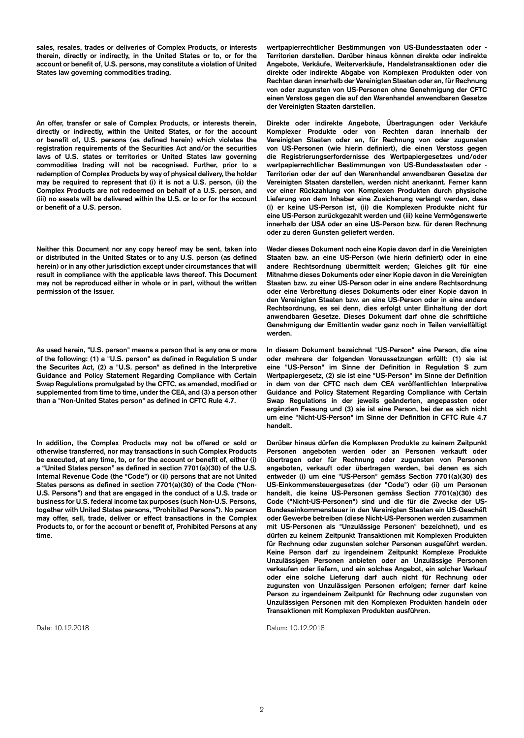**sales, resales, trades or deliveries of Complex Products, or interests therein, directly or indirectly, in the United States or to, or for the account or benefit of, U.S. persons, may constitute a violation of United States law governing commodities trading.**

**An offer, transfer or sale of Complex Products, or interests therein, directly or indirectly, within the United States, or for the account or benefit of, U.S. persons (as defined herein) which violates the registration requirements of the Securities Act and/or the securities laws of U.S. states or territories or United States law governing commodities trading will not be recognised. Further, prior to a redemption of Complex Products by way of physical delivery, the holder may be required to represent that (i) it is not a U.S. person, (ii) the Complex Products are not redeemed on behalf of a U.S. person, and (iii) no assets will be delivered within the U.S. or to or for the account or benefit of a U.S. person.**

**Neither this Document nor any copy hereof may be sent, taken into or distributed in the United States or to any U.S. person (as defined herein) or in any other jurisdiction except under circumstances that will result in compliance with the applicable laws thereof. This Document may not be reproduced either in whole or in part, without the written permission of the Issuer.**

**As used herein, "U.S. person" means a person that is any one or more of the following: (1) a "U.S. person" as defined in Regulation S under the Securites Act, (2) a "U.S. person" as defined in the Interpretive Guidance and Policy Statement Regarding Compliance with Certain Swap Regulations promulgated by the CFTC, as amended, modified or supplemented from time to time, under the CEA, and (3) a person other than a "Non-United States person" as defined in CFTC Rule 4.7.**

**In addition, the Complex Products may not be offered or sold or otherwise transferred, nor may transactions in such Complex Products be executed, at any time, to, or for the account or benefit of, either (i) a "United States person" as defined in section 7701(a)(30) of the U.S. Internal Revenue Code (the "Code") or (ii) persons that are not United States persons as defined in section 7701(a)(30) of the Code ("Non-U.S. Persons") and that are engaged in the conduct of a U.S. trade or business for U.S. federal income tax purposes (such Non-U.S. Persons, together with United States persons, "Prohibited Persons"). No person may offer, sell, trade, deliver or effect transactions in the Complex Products to, or for the account or benefit of, Prohibited Persons at any time.**

**wertpapierrechtlicher Bestimmungen von US-Bundesstaaten oder - Territorien darstellen. Darüber hinaus können direkte oder indirekte Angebote, Verkäufe, Weiterverkäufe, Handelstransaktionen oder die direkte oder indirekte Abgabe von Komplexen Produkten oder von Rechten daran innerhalb der Vereinigten Staaten oder an, für Rechnung von oder zugunsten von US-Personen ohne Genehmigung der CFTC einen Verstoss gegen die auf den Warenhandel anwendbaren Gesetze der Vereinigten Staaten darstellen.**

**Direkte oder indirekte Angebote, Übertragungen oder Verkäufe Komplexer Produkte oder von Rechten daran innerhalb der Vereinigten Staaten oder an, für Rechnung von oder zugunsten von US-Personen (wie hierin definiert), die einen Verstoss gegen die Registrierungserfordernisse des Wertpapiergesetzes und/oder wertpapierrechtlicher Bestimmungen von US-Bundesstaaten oder - Territorien oder der auf den Warenhandel anwendbaren Gesetze der Vereinigten Staaten darstellen, werden nicht anerkannt. Ferner kann vor einer Rückzahlung von Komplexen Produkten durch physische Lieferung von dem Inhaber eine Zusicherung verlangt werden, dass (i) er keine US-Person ist, (ii) die Komplexen Produkte nicht für eine US-Person zurückgezahlt werden und (iii) keine Vermögenswerte innerhalb der USA oder an eine US-Person bzw. für deren Rechnung oder zu deren Gunsten geliefert werden.**

**Weder dieses Dokument noch eine Kopie davon darf in die Vereinigten Staaten bzw. an eine US-Person (wie hierin definiert) oder in eine andere Rechtsordnung übermittelt werden; Gleiches gilt für eine Mitnahme dieses Dokuments oder einer Kopie davon in die Vereinigten Staaten bzw. zu einer US-Person oder in eine andere Rechtsordnung oder eine Verbreitung dieses Dokuments oder einer Kopie davon in den Vereinigten Staaten bzw. an eine US-Person oder in eine andere Rechtsordnung, es sei denn, dies erfolgt unter Einhaltung der dort anwendbaren Gesetze. Dieses Dokument darf ohne die schriftliche Genehmigung der Emittentin weder ganz noch in Teilen vervielfältigt werden.**

**In diesem Dokument bezeichnet "US-Person" eine Person, die eine oder mehrere der folgenden Voraussetzungen erfüllt: (1) sie ist eine "US-Person" im Sinne der Definition in Regulation S zum Wertpapiergesetz, (2) sie ist eine "US-Person" im Sinne der Definition in dem von der CFTC nach dem CEA veröffentlichten Interpretive Guidance and Policy Statement Regarding Compliance with Certain Swap Regulations in der jeweils geänderten, angepassten oder ergänzten Fassung und (3) sie ist eine Person, bei der es sich nicht um eine "Nicht-US-Person" im Sinne der Definition in CFTC Rule 4.7 handelt.**

**Darüber hinaus dürfen die Komplexen Produkte zu keinem Zeitpunkt Personen angeboten werden oder an Personen verkauft oder übertragen oder für Rechnung oder zugunsten von Personen angeboten, verkauft oder übertragen werden, bei denen es sich entweder (i) um eine "US-Person" gemäss Section 7701(a)(30) des US-Einkommensteuergesetzes (der "Code") oder (ii) um Personen handelt, die keine US-Personen gemäss Section 7701(a)(30) des Code ("Nicht-US-Personen") sind und die für die Zwecke der US-Bundeseinkommensteuer in den Vereinigten Staaten ein US-Geschäft oder Gewerbe betreiben (diese Nicht-US-Personen werden zusammen mit US-Personen als "Unzulässige Personen" bezeichnet), und es dürfen zu keinem Zeitpunkt Transaktionen mit Komplexen Produkten für Rechnung oder zugunsten solcher Personen ausgeführt werden. Keine Person darf zu irgendeinem Zeitpunkt Komplexe Produkte Unzulässigen Personen anbieten oder an Unzulässige Personen verkaufen oder liefern, und ein solches Angebot, ein solcher Verkauf oder eine solche Lieferung darf auch nicht für Rechnung oder zugunsten von Unzulässigen Personen erfolgen; ferner darf keine Person zu irgendeinem Zeitpunkt für Rechnung oder zugunsten von Unzulässigen Personen mit den Komplexen Produkten handeln oder Transaktionen mit Komplexen Produkten ausführen.**

Date: 10.12.2018 Datum: 10.12.2018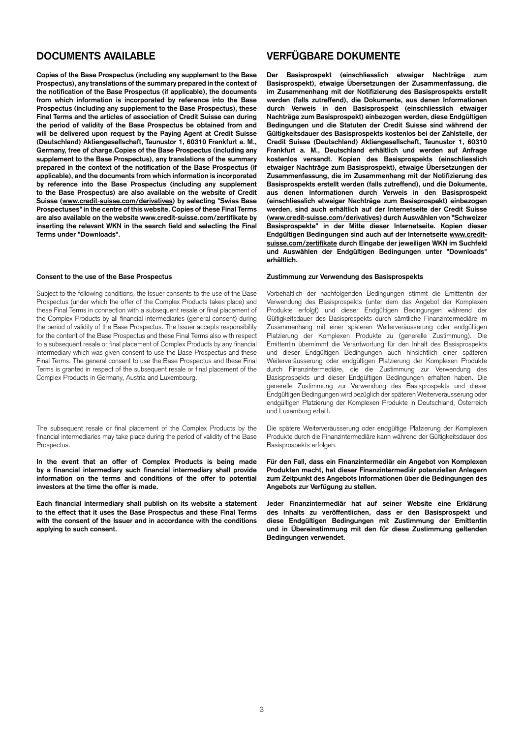**Copies of the Base Prospectus (including any supplement to the Base Prospectus), any translations of the summary prepared in the context of the notification of the Base Prospectus (if applicable), the documents from which information is incorporated by reference into the Base Prospectus (including any supplement to the Base Prospectus), these Final Terms and the articles of association of Credit Suisse can during the period of validity of the Base Prospectus be obtained from and will be delivered upon request by the Paying Agent at Credit Suisse (Deutschland) Aktiengesellschaft, Taunustor 1, 60310 Frankfurt a. M., Germany, free of charge.Copies of the Base Prospectus (including any supplement to the Base Prospectus), any translations of the summary prepared in the context of the notification of the Base Prospectus (if applicable), and the documents from which information is incorporated by reference into the Base Prospectus (including any supplement to the Base Prospectus) are also available on the website of Credit Suisse (www.credit-suisse.com/derivatives) by selecting "Swiss Base Prospectuses" in the centre of this website. Copies of these Final Terms are also available on the website www.credit-suisse.com/zertifikate by inserting the relevant WKN in the search field and selecting the Final Terms under "Downloads".**

Subject to the following conditions, the Issuer consents to the use of the Base Prospectus (under which the offer of the Complex Products takes place) and these Final Terms in connection with a subsequent resale or final placement of the Complex Products by all financial intermediaries (general consent) during the period of validity of the Base Prospectus. The Issuer accepts responsibility for the content of the Base Prospectus and these Final Terms also with respect to a subsequent resale or final placement of Complex Products by any financial intermediary which was given consent to use the Base Prospectus and these Final Terms. The general consent to use the Base Prospectus and these Final Terms is granted in respect of the subsequent resale or final placement of the Complex Products in Germany, Austria and Luxembourg.

The subsequent resale or final placement of the Complex Products by the financial intermediaries may take place during the period of validity of the Base Prospectus.

**In the event that an offer of Complex Products is being made by a financial intermediary such financial intermediary shall provide information on the terms and conditions of the offer to potential investors at the time the offer is made.**

**Each financial intermediary shall publish on its website a statement to the effect that it uses the Base Prospectus and these Final Terms with the consent of the Issuer and in accordance with the conditions applying to such consent.**

## **DOCUMENTS AVAILABLE VERFÜGBARE DOKUMENTE**

**Der Basisprospekt (einschliesslich etwaiger Nachträge zum Basisprospekt), etwaige Übersetzungen der Zusammenfassung, die im Zusammenhang mit der Notifizierung des Basisprospekts erstellt werden (falls zutreffend), die Dokumente, aus denen Informationen durch Verweis in den Basisprospekt (einschliesslich etwaiger Nachträge zum Basisprospekt) einbezogen werden, diese Endgültigen Bedingungen und die Statuten der Credit Suisse sind während der Gültigkeitsdauer des Basisprospekts kostenlos bei der Zahlstelle**, **der Credit Suisse (Deutschland) Aktiengesellschaft, Taunustor 1, 60310 Frankfurt a. M., Deutschland erhältlich und werden auf Anfrage kostenlos versandt. Kopien des Basisprospekts (einschliesslich etwaiger Nachträge zum Basisprospekt), etwaige Übersetzungen der Zusammenfassung, die im Zusammenhang mit der Notifizierung des Basisprospekts erstellt werden (falls zutreffend), und die Dokumente, aus denen Informationen durch Verweis in den Basisprospekt (einschliesslich etwaiger Nachträge zum Basisprospekt) einbezogen werden, sind auch erhältlich auf der Internetseite der Credit Suisse (www.credit-suisse.com/derivatives) durch Auswählen von "Schweizer Basisprospekte" in der Mitte dieser Internetseite. Kopien dieser Endgültigen Bedingungen sind auch auf der Internetseite www.creditsuisse.com/zertifikate durch Eingabe der jeweiligen WKN im Suchfeld und Auswählen der Endgültigen Bedingungen unter "Downloads" erhältlich.**

### **Consent to the use of the Base Prospectus Zustimmung zur Verwendung des Basisprospekts**

Vorbehaltlich der nachfolgenden Bedingungen stimmt die Emittentin der Verwendung des Basisprospekts (unter dem das Angebot der Komplexen Produkte erfolgt) und dieser Endgültigen Bedingungen während der Gültigkeitsdauer des Basisprospekts durch sämtliche Finanzintermediäre im Zusammenhang mit einer späteren Weiterveräusserung oder endgültigen Platzierung der Komplexen Produkte zu (generelle Zustimmung). Die Emittentin übernimmt die Verantwortung für den Inhalt des Basisprospekts und dieser Endgültigen Bedingungen auch hinsichtlich einer späteren Weiterveräusserung oder endgültigen Platzierung der Komplexen Produkte durch Finanzintermediäre, die die Zustimmung zur Verwendung des Basisprospekts und dieser Endgültigen Bedingungen erhalten haben. Die generelle Zustimmung zur Verwendung des Basisprospekts und dieser Endgültigen Bedingungen wird bezüglich der späteren Weiterveräusserung oder endgültigen Platzierung der Komplexen Produkte in Deutschland, Österreich und Luxemburg erteilt.

Die spätere Weiterveräusserung oder endgültige Platzierung der Komplexen Produkte durch die Finanzintermediäre kann während der Gültigkeitsdauer des Basisprospekts erfolgen.

**Für den Fall, dass ein Finanzintermediär ein Angebot von Komplexen Produkten macht, hat dieser Finanzintermediär potenziellen Anlegern zum Zeitpunkt des Angebots Informationen über die Bedingungen des Angebots zur Verfügung zu stellen.**

**Jeder Finanzintermediär hat auf seiner Website eine Erklärung des Inhalts zu veröffentlichen, dass er den Basisprospekt und diese Endgültigen Bedingungen mit Zustimmung der Emittentin und in Übereinstimmung mit den für diese Zustimmung geltenden Bedingungen verwendet.**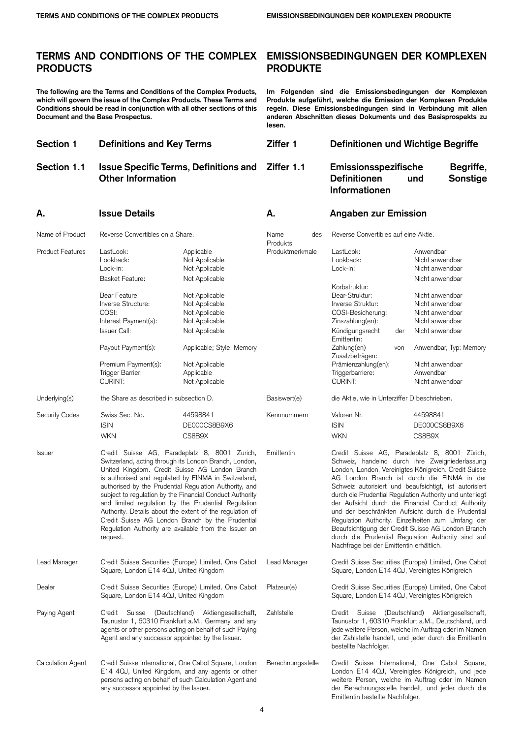## **TERMS AND CONDITIONS OF THE COMPLEX PRODUCTS**

**The following are the Terms and Conditions of the Complex Products, which will govern the issue of the Complex Products. These Terms and Conditions should be read in conjunction with all other sections of this Document and the Base Prospectus.**

| EMISSIONSBEDINGUNGEN DER KOMPLEXEN |  |
|------------------------------------|--|
| <b>PRODUKTE</b>                    |  |

**Im Folgenden sind die Emissionsbedingungen der Komplexen Produkte aufgeführt, welche die Emission der Komplexen Produkte regeln. Diese Emissionsbedingungen sind in Verbindung mit allen anderen Abschnitten dieses Dokuments und des Basisprospekts zu lesen.**

| <b>Section 1</b>         | <b>Definitions and Key Terms</b><br><b>Issue Specific Terms, Definitions and</b><br><b>Other Information</b>                                          |                                                                                                                                                                                                                                                                                                                                                                                                                                                                                                                                                                         | Ziffer 1                    | Definitionen und Wichtige Begriffe                                                                                                                                                                                                                                                                                                                                                                                                                                                                                                                                                                                                                      |                                                                                                                                                                                                                          |  |  |
|--------------------------|-------------------------------------------------------------------------------------------------------------------------------------------------------|-------------------------------------------------------------------------------------------------------------------------------------------------------------------------------------------------------------------------------------------------------------------------------------------------------------------------------------------------------------------------------------------------------------------------------------------------------------------------------------------------------------------------------------------------------------------------|-----------------------------|---------------------------------------------------------------------------------------------------------------------------------------------------------------------------------------------------------------------------------------------------------------------------------------------------------------------------------------------------------------------------------------------------------------------------------------------------------------------------------------------------------------------------------------------------------------------------------------------------------------------------------------------------------|--------------------------------------------------------------------------------------------------------------------------------------------------------------------------------------------------------------------------|--|--|
| Section 1.1              |                                                                                                                                                       |                                                                                                                                                                                                                                                                                                                                                                                                                                                                                                                                                                         | Ziffer 1.1                  | Emissionsspezifische<br><b>Definitionen</b><br>Informationen                                                                                                                                                                                                                                                                                                                                                                                                                                                                                                                                                                                            | Begriffe,<br>Sonstige<br>und                                                                                                                                                                                             |  |  |
| Α.                       | <b>Issue Details</b>                                                                                                                                  |                                                                                                                                                                                                                                                                                                                                                                                                                                                                                                                                                                         | А.                          | <b>Angaben zur Emission</b>                                                                                                                                                                                                                                                                                                                                                                                                                                                                                                                                                                                                                             |                                                                                                                                                                                                                          |  |  |
| Name of Product          | Reverse Convertibles on a Share.                                                                                                                      |                                                                                                                                                                                                                                                                                                                                                                                                                                                                                                                                                                         | Name<br>des                 | Reverse Convertibles auf eine Aktie.                                                                                                                                                                                                                                                                                                                                                                                                                                                                                                                                                                                                                    |                                                                                                                                                                                                                          |  |  |
| <b>Product Features</b>  | LastLook:<br>Lookback:<br>Lock-in:<br><b>Basket Feature:</b>                                                                                          | Applicable<br>Not Applicable<br>Not Applicable<br>Not Applicable                                                                                                                                                                                                                                                                                                                                                                                                                                                                                                        | Produkts<br>Produktmerkmale | LastLook:<br>Lookback:<br>Lock-in:                                                                                                                                                                                                                                                                                                                                                                                                                                                                                                                                                                                                                      | Anwendbar<br>Nicht anwendbar<br>Nicht anwendbar<br>Nicht anwendbar                                                                                                                                                       |  |  |
|                          | Bear Feature:<br>Inverse Structure:<br>COSI:<br>Interest Payment(s):<br>Issuer Call:<br>Payout Payment(s):<br>Premium Payment(s):<br>Trigger Barrier: | Not Applicable<br>Not Applicable<br>Not Applicable<br>Not Applicable<br>Not Applicable<br>Applicable; Style: Memory<br>Not Applicable<br>Applicable                                                                                                                                                                                                                                                                                                                                                                                                                     |                             | Korbstruktur:<br>Bear-Struktur:<br>Inverse Struktur:<br>COSI-Besicherung:<br>Zinszahlung(en):<br>Kündigungsrecht<br>der<br>Emittentin:<br>Zahlung(en)<br>von<br>Zusatzbeträgen:<br>Prämienzahlung(en):<br>Triggerbarriere:                                                                                                                                                                                                                                                                                                                                                                                                                              | Nicht anwendbar<br>Nicht anwendbar<br>Nicht anwendbar<br>Nicht anwendbar<br>Nicht anwendbar<br>Anwendbar, Typ: Memory<br>Nicht anwendbar<br>Anwendbar                                                                    |  |  |
|                          | <b>CURINT:</b>                                                                                                                                        | Not Applicable                                                                                                                                                                                                                                                                                                                                                                                                                                                                                                                                                          |                             | <b>CURINT:</b>                                                                                                                                                                                                                                                                                                                                                                                                                                                                                                                                                                                                                                          | Nicht anwendbar                                                                                                                                                                                                          |  |  |
| Underlying(s)            | the Share as described in subsection D.                                                                                                               |                                                                                                                                                                                                                                                                                                                                                                                                                                                                                                                                                                         | Basiswert(e)                | die Aktie, wie in Unterziffer D beschrieben.                                                                                                                                                                                                                                                                                                                                                                                                                                                                                                                                                                                                            |                                                                                                                                                                                                                          |  |  |
| Security Codes           | Swiss Sec. No.<br><b>ISIN</b><br><b>WKN</b>                                                                                                           | 44598841<br>DE000CS8B9X6<br>CS8B9X                                                                                                                                                                                                                                                                                                                                                                                                                                                                                                                                      | Kennnummern                 | Valoren Nr.<br><b>ISIN</b><br>WKN                                                                                                                                                                                                                                                                                                                                                                                                                                                                                                                                                                                                                       | 44598841<br>DE000CS8B9X6<br>CS8B9X                                                                                                                                                                                       |  |  |
| <b>Issuer</b>            | request.                                                                                                                                              | Credit Suisse AG, Paradeplatz 8, 8001 Zurich,<br>Switzerland, acting through its London Branch, London,<br>United Kingdom. Credit Suisse AG London Branch<br>is authorised and regulated by FINMA in Switzerland,<br>authorised by the Prudential Regulation Authority, and<br>subject to regulation by the Financial Conduct Authority<br>and limited regulation by the Prudential Regulation<br>Authority. Details about the extent of the regulation of<br>Credit Suisse AG London Branch by the Prudential<br>Regulation Authority are available from the Issuer on | Emittentin                  | Credit Suisse AG, Paradeplatz 8, 8001 Zürich,<br>Schweiz, handelnd durch ihre Zweigniederlassung<br>London, London, Vereinigtes Königreich. Credit Suisse<br>AG London Branch ist durch die FINMA in der<br>Schweiz autorisiert und beaufsichtigt, ist autorisiert<br>durch die Prudential Regulation Authority und unterliegt<br>der Aufsicht durch die Financial Conduct Authority<br>und der beschränkten Aufsicht durch die Prudential<br>Regulation Authority. Einzelheiten zum Umfang der<br>Beaufsichtigung der Credit Suisse AG London Branch<br>durch die Prudential Regulation Authority sind auf<br>Nachfrage bei der Emittentin erhältlich. |                                                                                                                                                                                                                          |  |  |
| Lead Manager             | Square, London E14 4QJ, United Kingdom                                                                                                                | Credit Suisse Securities (Europe) Limited, One Cabot                                                                                                                                                                                                                                                                                                                                                                                                                                                                                                                    | Lead Manager                | Square, London E14 4QJ, Vereinigtes Königreich                                                                                                                                                                                                                                                                                                                                                                                                                                                                                                                                                                                                          | Credit Suisse Securities (Europe) Limited, One Cabot                                                                                                                                                                     |  |  |
| Dealer                   | Square, London E14 4QJ, United Kingdom                                                                                                                | Credit Suisse Securities (Europe) Limited, One Cabot                                                                                                                                                                                                                                                                                                                                                                                                                                                                                                                    | Platzeur(e)                 | Square, London E14 4QJ, Vereinigtes Königreich                                                                                                                                                                                                                                                                                                                                                                                                                                                                                                                                                                                                          | Credit Suisse Securities (Europe) Limited, One Cabot                                                                                                                                                                     |  |  |
| Paying Agent             | Credit Suisse<br>Agent and any successor appointed by the Issuer.                                                                                     | (Deutschland) Aktiengesellschaft,<br>Taunustor 1, 60310 Frankfurt a.M., Germany, and any<br>agents or other persons acting on behalf of such Paying                                                                                                                                                                                                                                                                                                                                                                                                                     | Zahlstelle                  | bestellte Nachfolger.                                                                                                                                                                                                                                                                                                                                                                                                                                                                                                                                                                                                                                   | Credit Suisse (Deutschland) Aktiengesellschaft,<br>Taunustor 1, 60310 Frankfurt a.M., Deutschland, und<br>jede weitere Person, welche im Auftrag oder im Namen<br>der Zahlstelle handelt, und jeder durch die Emittentin |  |  |
| <b>Calculation Agent</b> | any successor appointed by the Issuer.                                                                                                                | Credit Suisse International, One Cabot Square, London<br>E14 4QJ, United Kingdom, and any agents or other<br>persons acting on behalf of such Calculation Agent and                                                                                                                                                                                                                                                                                                                                                                                                     | Berechnungsstelle           | Emittentin bestellte Nachfolger.                                                                                                                                                                                                                                                                                                                                                                                                                                                                                                                                                                                                                        | Credit Suisse International, One Cabot Square,<br>London E14 4QJ, Vereinigtes Königreich, und jede<br>weitere Person, welche im Auftrag oder im Namen<br>der Berechnungsstelle handelt, und jeder durch die              |  |  |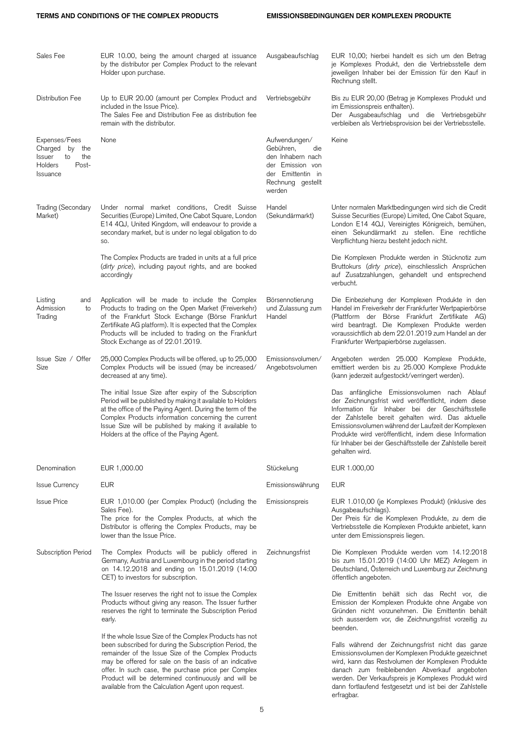| Sales Fee                                                                                 | EUR 10.00, being the amount charged at issuance<br>by the distributor per Complex Product to the relevant<br>Holder upon purchase.                                                                                                                                                                                                                                                                     | Ausgabeaufschlag                                                                                                               | EUR 10,00; hierbei handelt es sich um den Betrag<br>je Komplexes Produkt, den die Vertriebsstelle dem<br>jeweiligen Inhaber bei der Emission für den Kauf in<br>Rechnung stellt.                                                                                                                                                                                                                            |
|-------------------------------------------------------------------------------------------|--------------------------------------------------------------------------------------------------------------------------------------------------------------------------------------------------------------------------------------------------------------------------------------------------------------------------------------------------------------------------------------------------------|--------------------------------------------------------------------------------------------------------------------------------|-------------------------------------------------------------------------------------------------------------------------------------------------------------------------------------------------------------------------------------------------------------------------------------------------------------------------------------------------------------------------------------------------------------|
| Distribution Fee                                                                          | Up to EUR 20.00 (amount per Complex Product and<br>included in the Issue Price).<br>The Sales Fee and Distribution Fee as distribution fee<br>remain with the distributor.                                                                                                                                                                                                                             | Vertriebsgebühr                                                                                                                | Bis zu EUR 20,00 (Betrag je Komplexes Produkt und<br>im Emissionspreis enthalten).<br>Der Ausgabeaufschlag und die Vertriebsgebühr<br>verbleiben als Vertriebsprovision bei der Vertriebsstelle.                                                                                                                                                                                                            |
| Expenses/Fees<br>Charged<br>by the<br>Issuer<br>to<br>the<br>Holders<br>Post-<br>Issuance | None                                                                                                                                                                                                                                                                                                                                                                                                   | Aufwendungen/<br>Gebühren,<br>die<br>den Inhabern nach<br>der Emission von<br>der Emittentin in<br>Rechnung gestellt<br>werden | Keine                                                                                                                                                                                                                                                                                                                                                                                                       |
| Trading (Secondary<br>Market)                                                             | Under normal market conditions, Credit Suisse<br>Securities (Europe) Limited, One Cabot Square, London<br>E14 4QJ, United Kingdom, will endeavour to provide a<br>secondary market, but is under no legal obligation to do<br>SO.                                                                                                                                                                      | Handel<br>(Sekundärmarkt)                                                                                                      | Unter normalen Marktbedingungen wird sich die Credit<br>Suisse Securities (Europe) Limited, One Cabot Square,<br>London E14 4QJ, Vereinigtes Königreich, bemühen,<br>einen Sekundärmarkt zu stellen. Eine rechtliche<br>Verpflichtung hierzu besteht jedoch nicht.                                                                                                                                          |
|                                                                                           | The Complex Products are traded in units at a full price<br>(dirty price), including payout rights, and are booked<br>accordingly                                                                                                                                                                                                                                                                      |                                                                                                                                | Die Komplexen Produkte werden in Stücknotiz zum<br>Bruttokurs (dirty price), einschliesslich Ansprüchen<br>auf Zusatzzahlungen, gehandelt und entsprechend<br>verbucht.                                                                                                                                                                                                                                     |
| Listing<br>and<br>Admission<br>to<br>Trading                                              | Application will be made to include the Complex<br>Products to trading on the Open Market (Freiverkehr)<br>of the Frankfurt Stock Exchange (Börse Frankfurt<br>Zertifikate AG platform). It is expected that the Complex<br>Products will be included to trading on the Frankfurt<br>Stock Exchange as of 22.01.2019.                                                                                  | Börsennotierung<br>und Zulassung zum<br>Handel                                                                                 | Die Einbeziehung der Komplexen Produkte in den<br>Handel im Freiverkehr der Frankfurter Wertpapierbörse<br>(Plattform der Börse Frankfurt Zertifikate AG)<br>wird beantragt. Die Komplexen Produkte werden<br>voraussichtlich ab dem 22.01.2019 zum Handel an der<br>Frankfurter Wertpapierbörse zugelassen.                                                                                                |
| Issue Size / Offer<br>Size                                                                | 25,000 Complex Products will be offered, up to 25,000<br>Complex Products will be issued (may be increased/<br>decreased at any time).                                                                                                                                                                                                                                                                 | Emissionsvolumen/<br>Angebotsvolumen                                                                                           | Angeboten werden 25.000 Komplexe Produkte,<br>emittiert werden bis zu 25.000 Komplexe Produkte<br>(kann jederzeit aufgestockt/verringert werden).                                                                                                                                                                                                                                                           |
|                                                                                           | The initial Issue Size after expiry of the Subscription<br>Period will be published by making it available to Holders<br>at the office of the Paying Agent. During the term of the<br>Complex Products information concerning the current<br>Issue Size will be published by making it available to<br>Holders at the office of the Paying Agent.                                                      |                                                                                                                                | Das anfängliche Emissionsvolumen nach Ablauf<br>der Zeichnungsfrist wird veröffentlicht, indem diese<br>Information für Inhaber bei der Geschäftsstelle<br>der Zahlstelle bereit gehalten wird. Das aktuelle<br>Emissionsvolumen während der Laufzeit der Komplexen<br>Produkte wird veröffentlicht, indem diese Information<br>für Inhaber bei der Geschäftsstelle der Zahlstelle bereit<br>gehalten wird. |
| Denomination                                                                              | EUR 1,000.00                                                                                                                                                                                                                                                                                                                                                                                           | Stückelung                                                                                                                     | EUR 1.000,00                                                                                                                                                                                                                                                                                                                                                                                                |
| <b>Issue Currency</b>                                                                     | <b>EUR</b>                                                                                                                                                                                                                                                                                                                                                                                             | Emissionswährung                                                                                                               | <b>EUR</b>                                                                                                                                                                                                                                                                                                                                                                                                  |
| <b>Issue Price</b>                                                                        | EUR 1,010.00 (per Complex Product) (including the<br>Sales Fee).<br>The price for the Complex Products, at which the<br>Distributor is offering the Complex Products, may be<br>lower than the Issue Price.                                                                                                                                                                                            | Emissionspreis                                                                                                                 | EUR 1.010,00 (je Komplexes Produkt) (inklusive des<br>Ausgabeaufschlags).<br>Der Preis für die Komplexen Produkte, zu dem die<br>Vertriebsstelle die Komplexen Produkte anbietet, kann<br>unter dem Emissionspreis liegen.                                                                                                                                                                                  |
| Subscription Period                                                                       | The Complex Products will be publicly offered in<br>Germany, Austria and Luxembourg in the period starting<br>on 14.12.2018 and ending on 15.01.2019 (14:00<br>CET) to investors for subscription.                                                                                                                                                                                                     | Zeichnungsfrist                                                                                                                | Die Komplexen Produkte werden vom 14.12.2018<br>bis zum 15.01.2019 (14:00 Uhr MEZ) Anlegern in<br>Deutschland, Österreich und Luxemburg zur Zeichnung<br>öffentlich angeboten.                                                                                                                                                                                                                              |
|                                                                                           | The Issuer reserves the right not to issue the Complex<br>Products without giving any reason. The Issuer further<br>reserves the right to terminate the Subscription Period<br>early.                                                                                                                                                                                                                  |                                                                                                                                | Die Emittentin behält sich das Recht vor, die<br>Emission der Komplexen Produkte ohne Angabe von<br>Gründen nicht vorzunehmen. Die Emittentin behält<br>sich ausserdem vor, die Zeichnungsfrist vorzeitig zu<br>beenden.                                                                                                                                                                                    |
|                                                                                           | If the whole Issue Size of the Complex Products has not<br>been subscribed for during the Subscription Period, the<br>remainder of the Issue Size of the Complex Products<br>may be offered for sale on the basis of an indicative<br>offer. In such case, the purchase price per Complex<br>Product will be determined continuously and will be<br>available from the Calculation Agent upon request. |                                                                                                                                | Falls während der Zeichnungsfrist nicht das ganze<br>Emissionsvolumen der Komplexen Produkte gezeichnet<br>wird, kann das Restvolumen der Komplexen Produkte<br>danach zum freibleibenden Abverkauf angeboten<br>werden. Der Verkaufspreis je Komplexes Produkt wird<br>dann fortlaufend festgesetzt und ist bei der Zahlstelle<br>erfragbar.                                                               |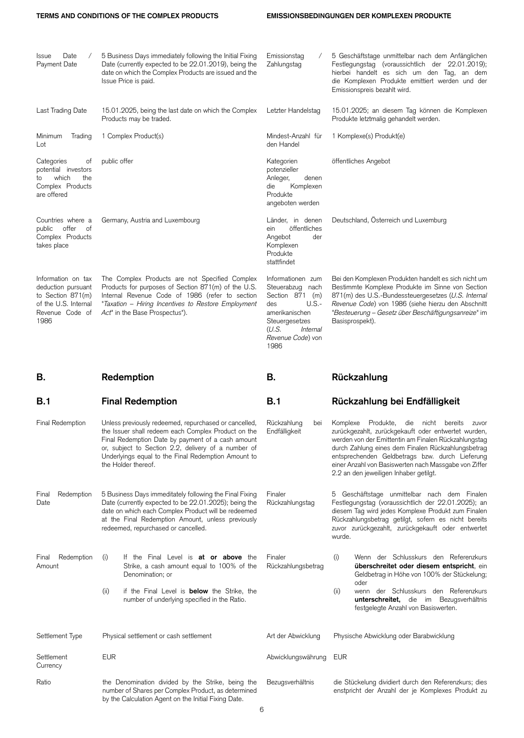| Date<br><b>Issue</b><br>$\sqrt{2}$<br>Payment Date                                                               | 5 Business Days immediately following the Initial Fixing<br>Date (currently expected to be 22.01.2019), being the<br>date on which the Complex Products are issued and the<br>Issue Price is paid.                                                                                                     | Emissionstag<br>Zahlungstag                                                                                                                                      | 5 Geschäftstage unmittelbar nach dem Anfänglichen<br>Festlegungstag (voraussichtlich der 22.01.2019);<br>hierbei handelt es sich um den Tag, an dem<br>die Komplexen Produkte emittiert werden und der<br>Emissionspreis bezahlt wird.                                                                                                                                         |
|------------------------------------------------------------------------------------------------------------------|--------------------------------------------------------------------------------------------------------------------------------------------------------------------------------------------------------------------------------------------------------------------------------------------------------|------------------------------------------------------------------------------------------------------------------------------------------------------------------|--------------------------------------------------------------------------------------------------------------------------------------------------------------------------------------------------------------------------------------------------------------------------------------------------------------------------------------------------------------------------------|
| Last Trading Date                                                                                                | 15.01.2025, being the last date on which the Complex<br>Products may be traded.                                                                                                                                                                                                                        | Letzter Handelstag                                                                                                                                               | 15.01.2025; an diesem Tag können die Komplexen<br>Produkte letztmalig gehandelt werden.                                                                                                                                                                                                                                                                                        |
| Minimum<br>Trading<br>Lot                                                                                        | 1 Complex Product(s)                                                                                                                                                                                                                                                                                   | Mindest-Anzahl für<br>den Handel                                                                                                                                 | 1 Komplexe(s) Produkt(e)                                                                                                                                                                                                                                                                                                                                                       |
| Categories<br>ot<br>potential investors<br>which<br>the<br>to<br>Complex Products<br>are offered                 | public offer                                                                                                                                                                                                                                                                                           | Kategorien<br>potenzieller<br>Anleger,<br>denen<br>Komplexen<br>die<br>Produkte<br>angeboten werden                                                              | öffentliches Angebot                                                                                                                                                                                                                                                                                                                                                           |
| Countries where a<br>offer<br>public<br>of<br>Complex Products<br>takes place                                    | Germany, Austria and Luxembourg                                                                                                                                                                                                                                                                        | Länder, in denen<br>öffentliches<br>ein<br>Angebot<br>der<br>Komplexen<br>Produkte<br>stattfindet                                                                | Deutschland, Österreich und Luxemburg                                                                                                                                                                                                                                                                                                                                          |
| Information on tax<br>deduction pursuant<br>to Section 871(m)<br>of the U.S. Internal<br>Revenue Code of<br>1986 | The Complex Products are not Specified Complex<br>Products for purposes of Section 871(m) of the U.S.<br>Internal Revenue Code of 1986 (refer to section<br>"Taxation - Hiring Incentives to Restore Employment<br>Act" in the Base Prospectus").                                                      | Informationen zum<br>Steuerabzug nach<br>Section 871 (m)<br>des<br>$U.S.-$<br>amerikanischen<br>Steuergesetzes<br>(U.S.<br>Internal<br>Revenue Code) von<br>1986 | Bei den Komplexen Produkten handelt es sich nicht um<br>Bestimmte Komplexe Produkte im Sinne von Section<br>871(m) des U.S.-Bundessteuergesetzes (U.S. Internal<br>Revenue Code) von 1986 (siehe hierzu den Abschnitt<br>"Besteuerung – Gesetz über Beschäftigungsanreize" im<br>Basisprospekt).                                                                               |
|                                                                                                                  |                                                                                                                                                                                                                                                                                                        |                                                                                                                                                                  |                                                                                                                                                                                                                                                                                                                                                                                |
| В.                                                                                                               | Redemption                                                                                                                                                                                                                                                                                             | В.                                                                                                                                                               | Rückzahlung                                                                                                                                                                                                                                                                                                                                                                    |
| B.1                                                                                                              | <b>Final Redemption</b>                                                                                                                                                                                                                                                                                | B.1                                                                                                                                                              | Rückzahlung bei Endfälligkeit                                                                                                                                                                                                                                                                                                                                                  |
| Final Redemption                                                                                                 | Unless previously redeemed, repurchased or cancelled,<br>the Issuer shall redeem each Complex Product on the<br>Final Redemption Date by payment of a cash amount<br>or, subject to Section 2.2, delivery of a number of<br>Underlyings equal to the Final Redemption Amount to<br>the Holder thereof. | Rückzahlung<br>bei<br>Endfälligkeit                                                                                                                              | Komplexe<br>Produkte,<br>die nicht bereits<br>zuvor<br>zurückgezahlt, zurückgekauft oder entwertet wurden,<br>werden von der Emittentin am Finalen Rückzahlungstag<br>durch Zahlung eines dem Finalen Rückzahlungsbetrag<br>entsprechenden Geldbetrags bzw. durch Lieferung<br>einer Anzahl von Basiswerten nach Massgabe von Ziffer<br>2.2 an den jeweiligen Inhaber getilgt. |
| Final<br>Redemption<br>Date                                                                                      | 5 Business Days immeditately following the Final Fixing<br>Date (currently expected to be 22.01.2025); being the<br>date on which each Complex Product will be redeemed<br>at the Final Redemption Amount, unless previously<br>redeemed, repurchased or cancelled.                                    | Finaler<br>Rückzahlungstag                                                                                                                                       | 5 Geschäftstage unmittelbar nach dem Finalen<br>Festlegungstag (voraussichtlich der 22.01.2025); an<br>diesem Tag wird jedes Komplexe Produkt zum Finalen<br>Rückzahlungsbetrag getilgt, sofern es nicht bereits<br>zuvor zurückgezahlt, zurückgekauft oder entwertet<br>wurde.                                                                                                |
| Redemption<br><b>Final</b><br>Amount                                                                             | If the Final Level is <b>at or above</b> the<br>(i)<br>Strike, a cash amount equal to 100% of the<br>Denomination; or                                                                                                                                                                                  | Finaler<br>Rückzahlungsbetrag                                                                                                                                    | (i)<br>Wenn der Schlusskurs den Referenzkurs<br>überschreitet oder diesem entspricht, ein<br>Geldbetrag in Höhe von 100% der Stückelung;                                                                                                                                                                                                                                       |
|                                                                                                                  | (ii)<br>if the Final Level is <b>below</b> the Strike, the<br>number of underlying specified in the Ratio.                                                                                                                                                                                             |                                                                                                                                                                  | oder<br>(ii)<br>wenn der Schlusskurs den Referenzkurs<br>unterschreitet, die im Bezugsverhältnis<br>festgelegte Anzahl von Basiswerten.                                                                                                                                                                                                                                        |
| Settlement Type                                                                                                  | Physical settlement or cash settlement                                                                                                                                                                                                                                                                 | Art der Abwicklung                                                                                                                                               | Physische Abwicklung oder Barabwicklung                                                                                                                                                                                                                                                                                                                                        |
| Settlement<br>Currency                                                                                           | <b>EUR</b>                                                                                                                                                                                                                                                                                             | Abwicklungswährung                                                                                                                                               | EUR                                                                                                                                                                                                                                                                                                                                                                            |

6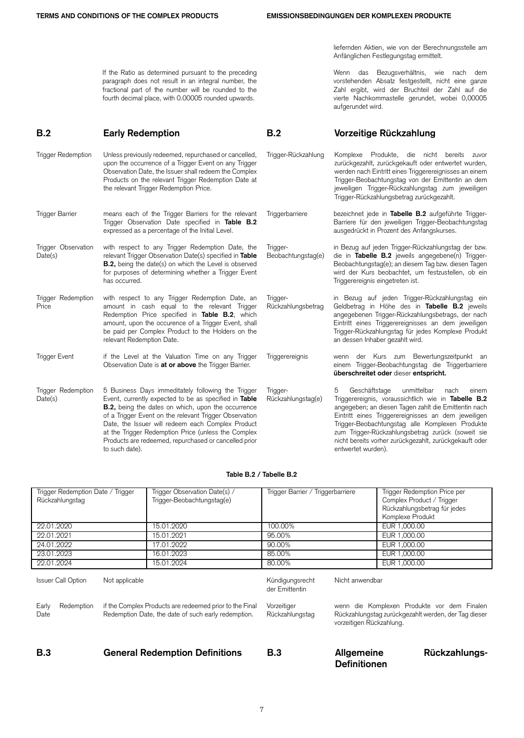aufgerundet wird.

liefernden Aktien, wie von der Berechnungsstelle am

Wenn das Bezugsverhältnis, wie nach dem vorstehenden Absatz festgestellt, nicht eine ganze Zahl ergibt, wird der Bruchteil der Zahl auf die vierte Nachkommastelle gerundet, wobei 0,00005

Anfänglichen Festlegungstag ermittelt.

If the Ratio as determined pursuant to the preceding paragraph does not result in an integral number, the fractional part of the number will be rounded to the fourth decimal place, with 0.00005 rounded upwards.

## **B.2 Early Redemption B.2 Vorzeitige Rückzahlung**

Trigger Redemption Unless previously redeemed, repurchased or cancelled. upon the occurrence of a Trigger Event on any Trigger Observation Date, the Issuer shall redeem the Complex Products on the relevant Trigger Redemption Date at the relevant Trigger Redemption Price. Trigger-Rückzahlung Komplexe Produkte, die nicht bereits zuvor zurückgezahlt, zurückgekauft oder entwertet wurden, werden nach Eintritt eines Triggerereignisses an einem Trigger-Beobachtungstag von der Emittentin an dem jeweiligen Trigger-Rückzahlungstag zum jeweiligen Trigger-Rückzahlungsbetrag zurückgezahlt. Trigger Barrier means each of the Trigger Barriers for the relevant Trigger Observation Date specified in **Table B.2** expressed as a percentage of the Initial Level. Triggerbarriere bezeichnet jede in **Tabelle B.2** aufgeführte Trigger-Barriere für den jeweiligen Trigger-Beobachtungstag ausgedrückt in Prozent des Anfangskurses. Trigger Observation Date(s) with respect to any Trigger Redemption Date, the relevant Trigger Observation Date(s) specified in **Table B.2,** being the date(s) on which the Level is observed for purposes of determining whether a Trigger Event has occurred. Trigger-Beobachtungstag(e) in Bezug auf jeden Trigger-Rückzahlungstag der bzw. die in **Tabelle B.2** jeweils angegebene(n) Trigger-Beobachtungstag(e); an diesem Tag bzw. diesen Tagen wird der Kurs beobachtet, um festzustellen, ob ein Triggerereignis eingetreten ist. Trigger Redemption Price with respect to any Trigger Redemption Date, an amount in cash equal to the relevant Trigger Redemption Price specified in **Table B.2**, which amount, upon the occurence of a Trigger Event, shall be paid per Complex Product to the Holders on the relevant Redemption Date. Trigger-Rückzahlungsbetrag in Bezug auf jeden Trigger-Rückzahlungstag ein Geldbetrag in Höhe des in **Tabelle B.2** jeweils angegebenen Trigger-Rückzahlungsbetrags, der nach Eintritt eines Triggerereignisses an dem jeweiligen Trigger-Rückzahlungstag für jedes Komplexe Produkt an dessen Inhaber gezahlt wird. Trigger Event if the Level at the Valuation Time on any Trigger Observation Date is **at or above** the Trigger Barrier. Triggerereignis wenn der Kurs zum Bewertungszeitpunkt an einem Trigger-Beobachtungstag die Triggerbarriere **überschreitet oder** dieser **entspricht.** Trigger Redemption Date(s) 5 Business Days immeditately following the Trigger Event, currently expected to be as specified in **Table B.2,** being the dates on which, upon the occurrence of a Trigger Event on the relevant Trigger Observation Date, the Issuer will redeem each Complex Product at the Trigger Redemption Price (unless the Complex Products are redeemed, repurchased or cancelled prior to such date). Trigger-Rückzahlungstag(e) 5 Geschäftstage unmittelbar nach einem Triggerereignis, voraussichtlich wie in **Tabelle B.2** angegeben; an diesen Tagen zahlt die Emittentin nach Eintritt eines Triggerereignisses an dem jeweiligen Trigger-Beobachtungstag alle Komplexen Produkte zum Trigger-Rückzahlungsbetrag zurück (soweit sie nicht bereits vorher zurückgezahlt, zurückgekauft oder entwertet wurden).

## **Table B.2 / Tabelle B.2**

| Trigger Redemption Date / Trigger           | Trigger Observation Date(s) /                           | Trigger Barrier / Triggerbarriere |                          | Trigger Redemption Price per                         |
|---------------------------------------------|---------------------------------------------------------|-----------------------------------|--------------------------|------------------------------------------------------|
|                                             |                                                         |                                   |                          |                                                      |
| Rückzahlungstag                             | Trigger-Beobachtungstag(e)                              |                                   |                          | Complex Product / Trigger                            |
|                                             |                                                         |                                   |                          | Rückzahlungsbetrag für jedes                         |
|                                             |                                                         |                                   |                          | Komplexe Produkt                                     |
| 22.01.2020                                  | 15.01.2020                                              | 100.00%                           |                          | EUR 1,000.00                                         |
| 22.01.2021                                  | 15.01.2021                                              | 95.00%                            |                          | EUR 1,000.00                                         |
| 24.01.2022                                  | 17.01.2022                                              | 90.00%                            |                          | EUR 1,000.00                                         |
| 23.01.2023                                  | 16.01.2023                                              | 85.00%                            |                          | EUR 1,000.00                                         |
| 22.01.2024                                  | 15.01.2024                                              | 80.00%                            |                          | EUR 1,000.00                                         |
|                                             |                                                         |                                   |                          |                                                      |
| <b>Issuer Call Option</b><br>Not applicable |                                                         | Kündigungsrecht                   | Nicht anwendbar          |                                                      |
|                                             |                                                         | der Emittentin                    |                          |                                                      |
|                                             |                                                         |                                   |                          |                                                      |
| Early<br>Redemption                         | if the Complex Products are redeemed prior to the Final | Vorzeitiger                       |                          | wenn die Komplexen Produkte vor dem Finalen          |
| Date                                        | Redemption Date, the date of such early redemption.     | Rückzahlungstag                   |                          | Rückzahlungstag zurückgezahlt werden, der Tag dieser |
|                                             |                                                         |                                   | vorzeitigen Rückzahlung. |                                                      |
|                                             |                                                         |                                   |                          |                                                      |
|                                             |                                                         |                                   |                          |                                                      |
| <b>B.3</b>                                  | <b>General Redemption Definitions</b>                   | B.3                               | Allgemeine               | Rückzahlungs-                                        |
|                                             |                                                         |                                   | <b>Definitionen</b>      |                                                      |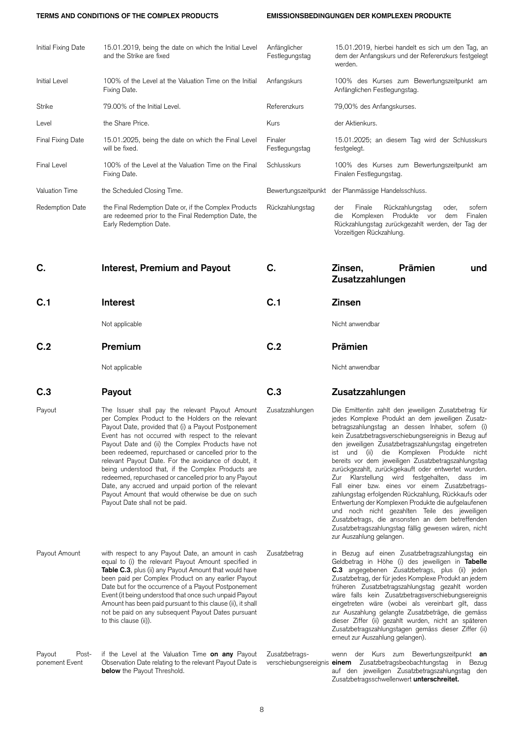## **TERMS AND CONDITIONS OF THE COMPLEX PRODUCTS EMISSIONSBEDINGUNGEN DER KOMPLEXEN PRODUKTE**

| Initial Fixing Date               | 15.01.2019, being the date on which the Initial Level<br>and the Strike are fixed                                                                                                                                                                                                                                                                                                                                                                                                                                                                                                                                                                         | Anfänglicher<br>Festlegungstag | 15.01.2019, hierbei handelt es sich um den Tag, an<br>dem der Anfangskurs und der Referenzkurs festgelegt<br>werden.                                                                                                                                                                                                                                                                                                                                                                                                                                                                                                                                                                                                                                                                                                                           |
|-----------------------------------|-----------------------------------------------------------------------------------------------------------------------------------------------------------------------------------------------------------------------------------------------------------------------------------------------------------------------------------------------------------------------------------------------------------------------------------------------------------------------------------------------------------------------------------------------------------------------------------------------------------------------------------------------------------|--------------------------------|------------------------------------------------------------------------------------------------------------------------------------------------------------------------------------------------------------------------------------------------------------------------------------------------------------------------------------------------------------------------------------------------------------------------------------------------------------------------------------------------------------------------------------------------------------------------------------------------------------------------------------------------------------------------------------------------------------------------------------------------------------------------------------------------------------------------------------------------|
| <b>Initial Level</b>              | 100% of the Level at the Valuation Time on the Initial<br>Fixing Date.                                                                                                                                                                                                                                                                                                                                                                                                                                                                                                                                                                                    | Anfangskurs                    | 100% des Kurses zum Bewertungszeitpunkt am<br>Anfänglichen Festlegungstag.                                                                                                                                                                                                                                                                                                                                                                                                                                                                                                                                                                                                                                                                                                                                                                     |
| Strike                            | 79.00% of the Initial Level.                                                                                                                                                                                                                                                                                                                                                                                                                                                                                                                                                                                                                              | Referenzkurs                   | 79,00% des Anfangskurses.                                                                                                                                                                                                                                                                                                                                                                                                                                                                                                                                                                                                                                                                                                                                                                                                                      |
| Level                             | the Share Price.                                                                                                                                                                                                                                                                                                                                                                                                                                                                                                                                                                                                                                          | Kurs                           | der Aktienkurs.                                                                                                                                                                                                                                                                                                                                                                                                                                                                                                                                                                                                                                                                                                                                                                                                                                |
| <b>Final Fixing Date</b>          | 15.01.2025, being the date on which the Final Level<br>will be fixed.                                                                                                                                                                                                                                                                                                                                                                                                                                                                                                                                                                                     | Finaler<br>Festlegungstag      | 15.01.2025; an diesem Tag wird der Schlusskurs<br>testgelegt.                                                                                                                                                                                                                                                                                                                                                                                                                                                                                                                                                                                                                                                                                                                                                                                  |
| <b>Final Level</b>                | 100% of the Level at the Valuation Time on the Final<br>Fixing Date.                                                                                                                                                                                                                                                                                                                                                                                                                                                                                                                                                                                      | Schlusskurs                    | 100% des Kurses zum Bewertungszeitpunkt am<br>Finalen Festlegungstag.                                                                                                                                                                                                                                                                                                                                                                                                                                                                                                                                                                                                                                                                                                                                                                          |
| Valuation Time                    | the Scheduled Closing Time.                                                                                                                                                                                                                                                                                                                                                                                                                                                                                                                                                                                                                               | Bewertungszeitpunkt            | der Planmässige Handelsschluss.                                                                                                                                                                                                                                                                                                                                                                                                                                                                                                                                                                                                                                                                                                                                                                                                                |
| Redemption Date                   | the Final Redemption Date or, if the Complex Products<br>are redeemed prior to the Final Redemption Date, the<br>Early Redemption Date.                                                                                                                                                                                                                                                                                                                                                                                                                                                                                                                   | Rückzahlungstag                | Finale<br>Rückzahlungstag<br>sofern<br>der<br>oder,<br>Produkte<br>Komplexen<br>Finalen<br>dem<br>die<br>vor<br>Rückzahlungstag zurückgezahlt werden, der Tag der<br>Vorzeitigen Rückzahlung.                                                                                                                                                                                                                                                                                                                                                                                                                                                                                                                                                                                                                                                  |
| C.                                | <b>Interest, Premium and Payout</b>                                                                                                                                                                                                                                                                                                                                                                                                                                                                                                                                                                                                                       | C.                             | Prämien<br>Zinsen,<br>und<br>Zusatzzahlungen                                                                                                                                                                                                                                                                                                                                                                                                                                                                                                                                                                                                                                                                                                                                                                                                   |
| C.1                               | <b>Interest</b>                                                                                                                                                                                                                                                                                                                                                                                                                                                                                                                                                                                                                                           | C.1                            | <b>Zinsen</b>                                                                                                                                                                                                                                                                                                                                                                                                                                                                                                                                                                                                                                                                                                                                                                                                                                  |
|                                   | Not applicable                                                                                                                                                                                                                                                                                                                                                                                                                                                                                                                                                                                                                                            |                                | Nicht anwendbar                                                                                                                                                                                                                                                                                                                                                                                                                                                                                                                                                                                                                                                                                                                                                                                                                                |
| C.2                               | Premium                                                                                                                                                                                                                                                                                                                                                                                                                                                                                                                                                                                                                                                   | C.2                            | Prämien                                                                                                                                                                                                                                                                                                                                                                                                                                                                                                                                                                                                                                                                                                                                                                                                                                        |
|                                   | Not applicable                                                                                                                                                                                                                                                                                                                                                                                                                                                                                                                                                                                                                                            |                                | Nicht anwendbar                                                                                                                                                                                                                                                                                                                                                                                                                                                                                                                                                                                                                                                                                                                                                                                                                                |
| C.3                               | Payout                                                                                                                                                                                                                                                                                                                                                                                                                                                                                                                                                                                                                                                    | C.3                            | Zusatzzahlungen                                                                                                                                                                                                                                                                                                                                                                                                                                                                                                                                                                                                                                                                                                                                                                                                                                |
| Payout                            | The Issuer shall pay the relevant Payout Amount<br>per Complex Product to the Holders on the relevant<br>Payout Date, provided that (i) a Payout Postponement<br>Event has not occurred with respect to the relevant<br>Payout Date and (ii) the Complex Products have not<br>been redeemed, repurchased or cancelled prior to the<br>relevant Payout Date. For the avoidance of doubt, it<br>being understood that, if the Complex Products are<br>redeemed, repurchased or cancelled prior to any Payout<br>Date, any accrued and unpaid portion of the relevant<br>Payout Amount that would otherwise be due on such<br>Payout Date shall not be paid. | Zusatzzahlungen                | Die Emittentin zahlt den jeweiligen Zusatzbetrag für<br>jedes Komplexe Produkt an dem jeweiligen Zusatz-<br>betragszahlungstag an dessen Inhaber, sofern (i)<br>kein Zusatzbetragsverschiebungsereignis in Bezug auf<br>den jeweiligen Zusatzbetragszahlungstag eingetreten<br>ist und (ii) die Komplexen Produkte nicht<br>bereits vor dem jeweiligen Zusatzbetragszahlungstag<br>zurückgezahlt, zurückgekauft oder entwertet wurden.<br>Zur Klarstellung wird festgehalten, dass im<br>Fall einer bzw. eines vor einem Zusatzbetrags-<br>zahlungstag erfolgenden Rückzahlung, Rückkaufs oder<br>Entwertung der Komplexen Produkte die aufgelaufenen<br>und noch nicht gezahlten Teile des jeweiligen<br>Zusatzbetrags, die ansonsten an dem betreffenden<br>Zusatzbetragszahlungstag fällig gewesen wären, nicht<br>zur Auszahlung gelangen. |
| Payout Amount                     | with respect to any Payout Date, an amount in cash<br>equal to (i) the relevant Payout Amount specified in<br>Table C.3, plus (ii) any Payout Amount that would have<br>been paid per Complex Product on any earlier Payout<br>Date but for the occurrence of a Payout Postponement<br>Event (it being understood that once such unpaid Payout<br>Amount has been paid pursuant to this clause (ii), it shall<br>not be paid on any subsequent Payout Dates pursuant<br>to this clause (ii)).                                                                                                                                                             | Zusatzbetrag                   | in Bezug auf einen Zusatzbetragszahlungstag ein<br>Geldbetrag in Höhe (i) des jeweiligen in Tabelle<br>C.3 angegebenen Zusatzbetrags, plus (ii) jeden<br>Zusatzbetrag, der für jedes Komplexe Produkt an jedem<br>früheren Zusatzbetragszahlungstag gezahlt worden<br>wäre falls kein Zusatzbetragsverschiebungsereignis<br>eingetreten wäre (wobei als vereinbart gilt, dass<br>zur Auszahlung gelangte Zusatzbeträge, die gemäss<br>dieser Ziffer (ii) gezahlt wurden, nicht an späteren<br>Zusatzbetragszahlungstagen gemäss dieser Ziffer (ii)<br>erneut zur Auszahlung gelangen).                                                                                                                                                                                                                                                         |
| Payout<br>Post-<br>ponement Event | if the Level at the Valuation Time on any Payout<br>Observation Date relating to the relevant Payout Date is<br><b>below</b> the Payout Threshold.                                                                                                                                                                                                                                                                                                                                                                                                                                                                                                        | Zusatzbetrags-                 | wenn der Kurs zum Bewertungszeitpunkt an<br>verschiebungsereignis einem Zusatzbetragsbeobachtungstag in Bezug<br>auf den jeweiligen Zusatzbetragszahlungstag den<br>Zusatzbetragsschwellenwert unterschreitet.                                                                                                                                                                                                                                                                                                                                                                                                                                                                                                                                                                                                                                 |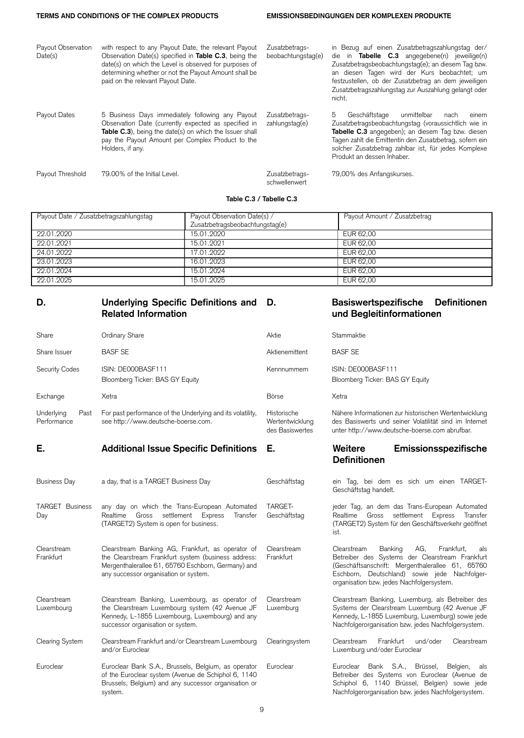| Payout Observation<br>Date(s) | with respect to any Payout Date, the relevant Payout<br>Observation Date(s) specified in <b>Table C.3</b> , being the<br>date(s) on which the Level is observed for purposes of<br>determining whether or not the Payout Amount shall be<br>paid on the relevant Payout Date. | Zusatzbetrags-<br>beobachtungstag(e) | in Bezug auf einen Zusatzbetragszahlungstag der/<br>die in <b>Tabelle C.3</b> angegebene(n) jeweilige(n)<br>Zusatzbetragsbeobachtungstag(e); an diesem Tag bzw.<br>an diesen Tagen wird der Kurs beobachtet; um<br>festzustellen, ob der Zusatzbetrag an dem jeweiligen<br>Zusatzbetragszahlungstag zur Auszahlung gelangt oder<br>nicht. |
|-------------------------------|-------------------------------------------------------------------------------------------------------------------------------------------------------------------------------------------------------------------------------------------------------------------------------|--------------------------------------|-------------------------------------------------------------------------------------------------------------------------------------------------------------------------------------------------------------------------------------------------------------------------------------------------------------------------------------------|
| Payout Dates                  | 5 Business Days immediately following any Payout<br>Observation Date (currently expected as specified in<br>Table C.3), being the date(s) on which the Issuer shall<br>pay the Payout Amount per Complex Product to the<br>Holders, if any.                                   | Zusatzbetrags-<br>zahlungstag(e)     | 5<br>Geschäftstage<br>unmittelbar<br>nach<br>einem<br>Zusatzbetragsbeobachtungstag (voraussichtlich wie in<br>Tabelle C.3 angegeben); an diesem Tag bzw. diesen<br>Tagen zahlt die Emittentin den Zusatzbetrag, sofern ein<br>solcher Zusatzbetrag zahlbar ist, für jedes Komplexe<br>Produkt an dessen Inhaber.                          |
| Payout Threshold              | 79.00% of the Initial Level.                                                                                                                                                                                                                                                  | Zusatzbetrags-<br>schwellenwert      | 79,00% des Anfangskurses.                                                                                                                                                                                                                                                                                                                 |

## **Table C.3 / Tabelle C.3**

| Payout Date / Zusatzbetragszahlungstag | Payout Observation Date(s) /<br>Zusatzbetragsbeobachtungstag(e) | Payout Amount / Zusatzbetrag |
|----------------------------------------|-----------------------------------------------------------------|------------------------------|
| 22.01.2020                             | 15.01.2020                                                      | EUR 62.00                    |
| 22.01.2021                             | 15.01.2021                                                      | EUR 62.00                    |
| 24.01.2022                             | 17.01.2022                                                      | EUR 62.00                    |
| 23.01.2023                             | 16.01.2023                                                      | EUR 62.00                    |
| 22.01.2024                             | 15.01.2024                                                      | EUR 62.00                    |
| 22.01.2025                             | 15.01.2025                                                      | EUR 62.00                    |

## **D. Underlying Specific Definitions and Related Information**

## **D. Basiswertspezifische Definitionen und Begleitinformationen**

| Share                             | Ordinary Share                                                                                                                                                                                          | Aktie                                             | Stammaktie                                                                                                                                                                                                                                              |
|-----------------------------------|---------------------------------------------------------------------------------------------------------------------------------------------------------------------------------------------------------|---------------------------------------------------|---------------------------------------------------------------------------------------------------------------------------------------------------------------------------------------------------------------------------------------------------------|
| Share Issuer                      | <b>BASF SE</b>                                                                                                                                                                                          | Aktienemittent                                    | <b>BASF SE</b>                                                                                                                                                                                                                                          |
| Security Codes                    | ISIN: DE000BASF111<br>Bloomberg Ticker: BAS GY Equity                                                                                                                                                   | Kennnummern                                       | ISIN: DE000BASF111<br>Bloomberg Ticker: BAS GY Equity                                                                                                                                                                                                   |
| Exchange                          | Xetra                                                                                                                                                                                                   | <b>B</b> örse                                     | Xetra                                                                                                                                                                                                                                                   |
| Underlying<br>Past<br>Performance | For past performance of the Underlying and its volatility,<br>see http://www.deutsche-boerse.com.                                                                                                       | Historische<br>Wertentwicklung<br>des Basiswertes | Nähere Informationen zur historischen Wertentwicklung<br>des Basiswerts und seiner Volatilität sind im Internet<br>unter http://www.deutsche-boerse.com abrufbar.                                                                                       |
| Е.                                | <b>Additional Issue Specific Definitions</b>                                                                                                                                                            | Е.                                                | Weitere<br>Emissionsspezifische<br><b>Definitionen</b>                                                                                                                                                                                                  |
| <b>Business Day</b>               | a day, that is a TARGET Business Day                                                                                                                                                                    | Geschäftstag                                      | ein Tag, bei dem es sich um einen TARGET-<br>Geschäftstag handelt.                                                                                                                                                                                      |
| <b>TARGET Business</b><br>Day     | any day on which the Trans-European Automated<br>Gross settlement Express<br>Realtime<br>Transfer<br>(TARGET2) System is open for business.                                                             | TARGET-<br>Geschäftstag                           | jeder Tag, an dem das Trans-European Automated<br>Realtime Gross settlement Express<br>Transfer<br>(TARGET2) System für den Geschäftsverkehr geöffnet<br>ist.                                                                                           |
| Clearstream<br>Frankfurt          | Clearstream Banking AG, Frankfurt, as operator of<br>the Clearstream Frankfurt system (business address:<br>Mergenthalerallee 61, 65760 Eschborn, Germany) and<br>any successor organisation or system. | Clearstream<br>Frankfurt                          | AG,<br>Frankfurt,<br>Clearstream<br>Banking<br>als<br>Betreiber des Systems der Clearstream Frankfurt<br>(Geschäftsanschrift: Mergenthalerallee 61, 65760<br>Eschborn, Deutschland) sowie jede Nachfolger-<br>organisation bzw. jedes Nachfolgersystem. |
| Clearstream<br>Luxembourg         | Clearstream Banking, Luxembourg, as operator of<br>the Clearstream Luxembourg system (42 Avenue JF<br>Kennedy, L-1855 Luxembourg, Luxembourg) and any<br>successor organisation or system.              | Clearstream<br>Luxemburg                          | Clearstream Banking, Luxemburg, als Betreiber des<br>Systems der Clearstream Luxemburg (42 Avenue JF<br>Kennedy, L-1855 Luxemburg, Luxemburg) sowie jede<br>Nachfolgerorganisation bzw. jedes Nachfolgersystem.                                         |
| Clearing System                   | Clearstream Frankfurt and/or Clearstream Luxembourg<br>and/or Euroclear                                                                                                                                 | Clearingsystem                                    | Frankfurt<br>und/oder<br>Clearstream<br>Clearstream<br>Luxemburg und/oder Euroclear                                                                                                                                                                     |
| Euroclear                         | Euroclear Bank S.A., Brussels, Belgium, as operator<br>of the Euroclear system (Avenue de Schiphol 6, 1140<br>Brussels, Belgium) and any successor organisation or<br>system.                           | Euroclear                                         | Euroclear Bank S.A., Brüssel,<br>Belgien,<br>als<br>Betreiber des Systems von Euroclear (Avenue de<br>Schiphol 6, 1140 Brüssel, Belgien) sowie jede<br>Nachfolgerorganisation bzw. jedes Nachfolgersystem.                                              |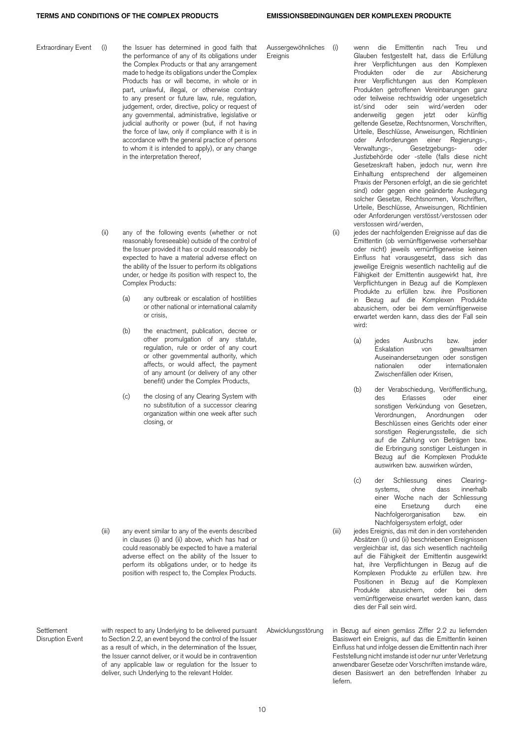Extraordinary Event (i) the Issuer has determined in good faith that the performance of any of its obligations under the Complex Products or that any arrangement made to hedge its obligations under the Complex Products has or will become, in whole or in part, unlawful, illegal, or otherwise contrary to any present or future law, rule, regulation, judgement, order, directive, policy or request of any governmental, administrative, legislative or judicial authority or power (but, if not having the force of law, only if compliance with it is in accordance with the general practice of persons to whom it is intended to apply), or any change in the interpretation thereof,

- (ii) any of the following events (whether or not reasonably foreseeable) outside of the control of the Issuer provided it has or could reasonably be expected to have a material adverse effect on the ability of the Issuer to perform its obligations under, or hedge its position with respect to, the Complex Products:
	- (a) any outbreak or escalation of hostilities or other national or international calamity or crisis,
	- (b) the enactment, publication, decree or other promulgation of any statute, regulation, rule or order of any court or other governmental authority, which affects, or would affect, the payment of any amount (or delivery of any other benefit) under the Complex Products,
	- (c) the closing of any Clearing System with no substitution of a successor clearing organization within one week after such closing, or

(iii) any event similar to any of the events described in clauses (i) and (ii) above, which has had or could reasonably be expected to have a material adverse effect on the ability of the Issuer to perform its obligations under, or to hedge its position with respect to, the Complex Products.

Abwicklungsstörung in Bezug auf einen gemäss Ziffer 2.2 zu liefernden Basiswert ein Ereignis, auf das die Emittentin keinen Einfluss hat und infolge dessen die Emittentin nach ihrer Feststellung nicht imstande ist oder nur unter Verletzung anwendbarer Gesetze oder Vorschriften imstande wäre, diesen Basiswert an den betreffenden Inhaber zu liefern.

Aussergewöhnliches **Ereignis** 

Glauben festgestellt hat, dass die Erfüllung ihrer Verpflichtungen aus den Komplexen Produkten oder die zur Absicherung ihrer Verpflichtungen aus den Komplexen Produkten getroffenen Vereinbarungen ganz oder teilweise rechtswidrig oder ungesetzlich ist/sind oder sein wird/werden oder anderweitig gegen jetzt oder künftig geltende Gesetze, Rechtsnormen, Vorschriften, Urteile, Beschlüsse, Anweisungen, Richtlinien oder Anforderungen einer Regierungs-,<br>Verwaltungs-, Gesetzgebungs- oder Gesetzgebungs- oder Justizbehörde oder -stelle (falls diese nicht Gesetzeskraft haben, jedoch nur, wenn ihre Einhaltung entsprechend der allgemeinen Praxis der Personen erfolgt, an die sie gerichtet sind) oder gegen eine geänderte Auslegung solcher Gesetze, Rechtsnormen, Vorschriften, Urteile, Beschlüsse, Anweisungen, Richtlinien oder Anforderungen verstösst/verstossen oder verstossen wird/werden,

wenn die Emittentin nach Treu und

- (ii) jedes der nachfolgenden Ereignisse auf das die Emittentin (ob vernünftigerweise vorhersehbar oder nicht) jeweils vernünftigerweise keinen Einfluss hat vorausgesetzt, dass sich das jeweilige Ereignis wesentlich nachteilig auf die Fähigkeit der Emittentin ausgewirkt hat, ihre Verpflichtungen in Bezug auf die Komplexen Produkte zu erfüllen bzw. ihre Positionen in Bezug auf die Komplexen Produkte abzusichern, oder bei dem vernünftigerweise erwartet werden kann, dass dies der Fall sein wird:
	- (a) jedes Ausbruchs bzw. jeder Eskalation von gewaltsamen Auseinandersetzungen oder sonstigen nationalen oder internationalen Zwischenfällen oder Krisen,
	- (b) der Verabschiedung, Veröffentlichung, des Erlasses oder einer sonstigen Verkündung von Gesetzen, Verordnungen, Anordnungen oder Beschlüssen eines Gerichts oder einer sonstigen Regierungsstelle, die sich auf die Zahlung von Beträgen bzw. die Erbringung sonstiger Leistungen in Bezug auf die Komplexen Produkte auswirken bzw. auswirken würden,
	- (c) der Schliessung eines Clearingsystems, ohne dass innerhalb einer Woche nach der Schliessung eine Ersetzung durch eine Nachfolgerorganisation bzw. ein Nachfolgersystem erfolgt, oder
- (iii) jedes Ereignis, das mit den in den vorstehenden Absätzen (i) und (ii) beschriebenen Ereignissen vergleichbar ist, das sich wesentlich nachteilig auf die Fähigkeit der Emittentin ausgewirkt hat, ihre Verpflichtungen in Bezug auf die Komplexen Produkte zu erfüllen bzw. ihre Positionen in Bezug auf die Komplexen Produkte abzusichern, oder bei dem vernünftigerweise erwartet werden kann, dass dies der Fall sein wird.

10

Settlement Disruption Event with respect to any Underlying to be delivered pursuant to Section 2.2, an event beyond the control of the Issuer as a result of which, in the determination of the Issuer, the Issuer cannot deliver, or it would be in contravention of any applicable law or regulation for the Issuer to deliver, such Underlying to the relevant Holder.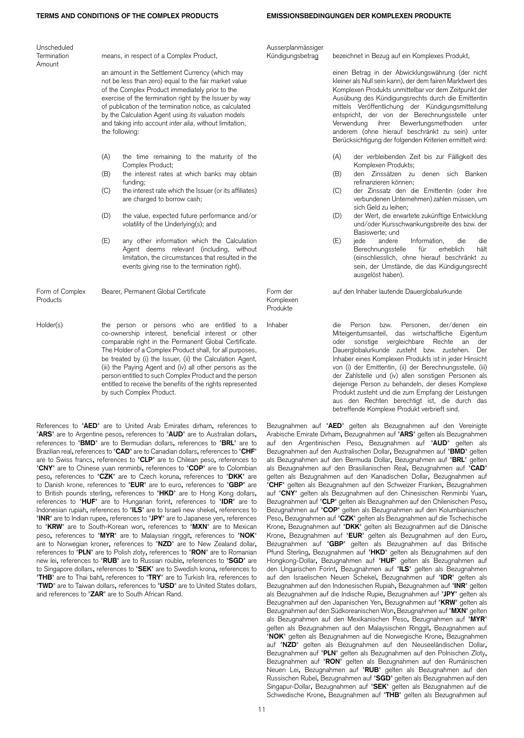| Unscheduled |
|-------------|
| Termination |
| Amount      |

means, in respect of a Complex Product,

an amount in the Settlement Currency (which may not be less than zero) equal to the fair market value of the Complex Product immediately prior to the exercise of the termination right by the Issuer by way of publication of the termination notice, as calculated by the Calculation Agent using its valuation models and taking into account *inter alia*, without limitation, the following:

- (A) the time remaining to the maturity of the Complex Product;
- (B) the interest rates at which banks may obtain funding;
- (C) the interest rate which the Issuer (or its affiliates) are charged to borrow cash;
- (D) the value, expected future performance and/or volatility of the Underlying(s); and
- (E) any other information which the Calculation Agent deems relevant (including, without limitation, the circumstances that resulted in the events giving rise to the termination right).

Form of Complex Products Bearer, Permanent Global Certificate Form der

Holder(s) the person or persons who are entitled to a co-ownership interest, beneficial interest or other comparable right in the Permanent Global Certificate. The Holder of a Complex Product shall, for all purposes, be treated by (i) the Issuer, (ii) the Calculation Agent, (iii) the Paying Agent and (iv) all other persons as the person entitled to such Complex Product and the person entitled to receive the benefits of the rights represented by such Complex Product.

References to "**AED**" are to United Arab Emirates dirham**,** references to "**ARS**" are to Argentine pesos**,** references to "**AUD**" are to Australian dollars**,** references to "**BMD**" are to Bermudian dollars**,** references to "**BRL**" are to Brazilian real**,** references to "**CAD**" are to Canadian dollars**,** references to "**CHF**" are to Swiss francs**,** references to "**CLP**" are to Chilean peso**,** references to "**CNY**" are to Chinese yuan renminbi**,** references to "**COP**" are to Colombian peso**,** references to "**CZK**" are to Czech koruna**,** references to "**DKK**" are to Danish krone, references to "**EUR**" are to euro**,** references to "**GBP**" are to British pounds sterling**,** references to "**HKD**" are to Hong Kong dollars**,** references to "**HUF**" are to Hungarian forint**,** references to "**IDR**" are to Indonesian rupiah**,** references to "**ILS**" are to Israeli new shekel**,** references to "**INR**" are to Indian rupee**,** references to "**JPY**" are to Japanese yen**,** references to "**KRW**" are to South-Korean won**,** references to "**MXN**" are to Mexican peso**,** references to "**MYR**" are to Malaysian ringgit**,** references to "**NOK**" are to Norwegian kroner**,** references to "**NZD**" are to New Zealand dollar**,** references to "**PLN**" are to Polish zloty**,** references to "**RON**" are to Romanian new lei**,** references to "**RUB**" are to Russian rouble**,** references to "**SGD**" are to Singapore dollars**,** references to "**SEK**" are to Swedish krona**,** references to "**THB**" are to Thai baht**,** references to "**TRY**" are to Turkish lira, references to "**TWD**" are to Taiwan dollars**,** references to "**USD**" are to United States dollars, and references to "**ZAR**" are to South African Rand.

Ausserplanmässiger<br>Kündigungsbetrag

bezeichnet in Bezug auf ein Komplexes Produkt,

einen Betrag in der Abwicklungswährung (der nicht kleiner als Null sein kann), der dem fairen Marktwert des Komplexen Produkts unmittelbar vor dem Zeitpunkt der Ausübung des Kündigungsrechts durch die Emittentin mittels Veröffentlichung der Kündigungsmitteilung entspricht, der von der Berechnungsstelle unter<br>Verwendung ihrer Bewertungsmethoden unter Verwendung ihrer Bewertungsmethoden anderem (ohne hierauf beschränkt zu sein) unter Berücksichtigung der folgenden Kriterien ermittelt wird:

- (A) der verbleibenden Zeit bis zur Fälligkeit des Komplexen Produkts;
- (B) den Zinssätzen zu denen sich Banken refinanzieren können;
- (C) der Zinssatz den die Emittentin (oder ihre verbundenen Unternehmen) zahlen müssen, um sich Geld zu leihen;
- (D) der Wert, die erwartete zukünftige Entwicklung und/oder Kursschwankungsbreite des bzw. der Basiswerte; und<br>iede andere
- (E) jede andere Information, die die Berechnungsstelle (einschliesslich, ohne hierauf beschränkt zu sein, der Umstände, die das Kündigungsrecht ausgelöst haben).

auf den Inhaber lautende Dauerglobalurkunde

Komplexen Produkte

Inhaber die Person bzw. Personen, der/denen ein Miteigentumsanteil, das wirtschaftliche Eigentum oder sonstige vergleichbare Rechte an der Dauerglobalurkunde zusteht bzw. zustehen. Der Inhaber eines Komplexen Produkts ist in jeder Hinsicht von (i) der Emittentin, (ii) der Berechnungsstelle, (iii) der Zahlstelle und (iv) allen sonstigen Personen als diejenige Person zu behandeln, der dieses Komplexe Produkt zusteht und die zum Empfang der Leistungen aus den Rechten berechtigt ist, die durch das betreffende Komplexe Produkt verbrieft sind.

Bezugnahmen auf "**AED**" gelten als Bezugnahmen auf den Vereinigte Arabische Emirate Dirham**,** Bezugnahmen auf "**ARS**" gelten als Bezugnahmen auf den Argentinischen Peso**,** Bezugnahmen auf "**AUD**" gelten als Bezugnahmen auf den Australischen Dollar**,** Bezugnahmen auf "**BMD**" gelten als Bezugnahmen auf den Bermuda Dollar**,** Bezugnahmen auf "**BRL**" gelten als Bezugnahmen auf den Brasilianischen Real**,** Bezugnahmen auf "**CAD**" gelten als Bezugnahmen auf den Kanadischen Dollar**,** Bezugnahmen auf "**CHF**" gelten als Bezugnahmen auf den Schweizer Franken**,** Bezugnahmen auf "**CNY**" gelten als Bezugnahmen auf den Chinesischen Renminbi Yuan**,** Bezugnahmen auf "**CLP**" gelten als Bezugnahmen auf den Chilenischen Peso**,** Bezugnahmen auf "**COP**" gelten als Bezugnahmen auf den Kolumbianischen Peso**,** Bezugnahmen auf "**CZK**" gelten als Bezugnahmen auf die Tschechische Krone**,** Bezugnahmen auf "**DKK**" gelten als Bezugnahmen auf die Dänische Krone**,** Bezugnahmen auf "**EUR**" gelten als Bezugnahmen auf den Euro**,** Bezugnahmen auf "**GBP**" gelten als Bezugnahmen auf das Britische Pfund Sterling**,** Bezugnahmen auf "**HKD**" gelten als Bezugnahmen auf den Hongkong-Dollar**,** Bezugnahmen auf "**HUF**" gelten als Bezugnahmen auf den Ungarischen Forint**,** Bezugnahmen auf "**ILS**" gelten als Bezugnahmen auf den Israelischen Neuen Schekel**,** Bezugnahmen auf "**IDR**" gelten als Bezugnahmen auf den Indonesischen Rupiah**,** Bezugnahmen auf "**INR**" gelten als Bezugnahmen auf die Indische Rupie**,** Bezugnahmen auf "**JPY**" gelten als Bezugnahmen auf den Japanischen Yen**,** Bezugnahmen auf "**KRW**" gelten als Bezugnahmen auf den Südkoreanischen Won**,** Bezugnahmen auf "**MXN**" gelten als Bezugnahmen auf den Mexikanischen Peso**,** Bezugnahmen auf "**MYR**" gelten als Bezugnahmen auf den Malaysischen Ringgit**,** Bezugnahmen auf "**NOK**" gelten als Bezugnahmen auf die Norwegische Krone**,** Bezugnahmen auf "**NZD**" gelten als Bezugnahmen auf den Neuseeländischen Dollar**,** Bezugnahmen auf "**PLN**" gelten als Bezugnahmen auf den Polnischen Zloty**,** Bezugnahmen auf "**RON**" gelten als Bezugnahmen auf den Rumänischen Neuen Lei**,** Bezugnahmen auf "**RUB**" gelten als Bezugnahmen auf den Russischen Rubel**,** Bezugnahmen auf "**SGD**" gelten als Bezugnahmen auf den Singapur-Dollar**,** Bezugnahmen auf "**SEK**" gelten als Bezugnahmen auf die Schwedische Krone**,** Bezugnahmen auf "**THB**" gelten als Bezugnahmen auf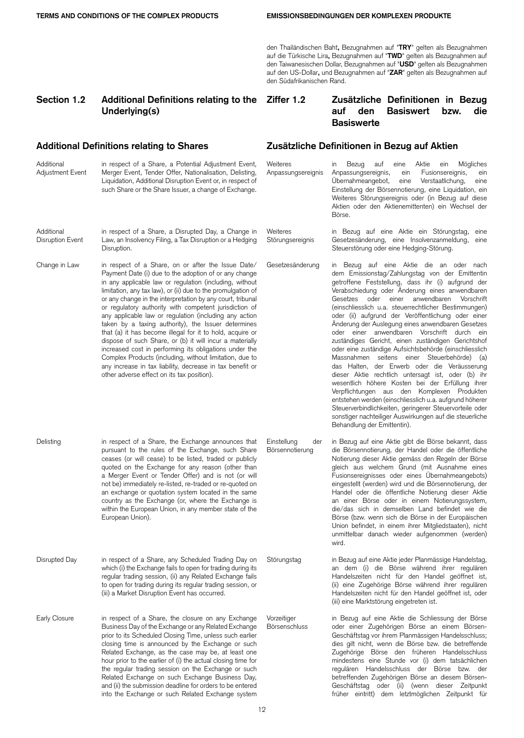den Thailändischen Baht**,** Bezugnahmen auf "**TRY**" gelten als Bezugnahmen auf die Türkische Lira**,** Bezugnahmen auf "**TWD**" gelten als Bezugnahmen auf den Taiwanesischen Dollar, Bezugnahmen auf "**USD**" gelten als Bezugnahmen auf den US-Dollar**,** und Bezugnahmen auf "**ZAR**" gelten als Bezugnahmen auf den Südafrikanischen Rand.

## **Section 1.2 Additional Definitions relating to the Underlying(s)**

## **Ziffer 1.2 Zusätzliche Definitionen in Bezug auf den Basiswert bzw. die Basiswerte**

### **Additional** Adjustment Event in respect of a Share, a Potential Adjustment Event, Merger Event, Tender Offer, Nationalisation, Delisting, Liquidation, Additional Disruption Event or, in respect of such Share or the Share Issuer, a change of Exchange. **Weiteres** Anpassungsereignis in Bezug auf eine Aktie ein Mögliches<br>Anpassungsereignis, ein Fusionsereignis, ein Anpassungsereignis, ein Fusionsereignis, ein<br>Übernahmeangebot. eine Verstaatlichung, eine Übernahmeangebot, eine Verstaatlichung, eine Einstellung der Börsennotierung, eine Liquidation, ein Weiteres Störungsereignis oder (in Bezug auf diese Aktien oder den Aktienemittenten) ein Wechsel der Börse. Additional Disruption Event in respect of a Share, a Disrupted Day, a Change in Law, an Insolvency Filing, a Tax Disruption or a Hedging Disruption. Weiteres **Störungsereignis** in Bezug auf eine Aktie ein Störungstag, eine Gesetzesänderung, eine Insolvenzanmeldung, eine Steuerstörung oder eine Hedging-Störung. Change in Law in respect of a Share, on or after the Issue Date/ Payment Date (i) due to the adoption of or any change in any applicable law or regulation (including, without limitation, any tax law), or (ii) due to the promulgation of or any change in the interpretation by any court, tribunal or regulatory authority with competent jurisdiction of any applicable law or regulation (including any action taken by a taxing authority), the Issuer determines that (a) it has become illegal for it to hold, acquire or dispose of such Share, or (b) it will incur a materially increased cost in performing its obligations under the Complex Products (including, without limitation, due to any increase in tax liability, decrease in tax benefit or other adverse effect on its tax position). Gesetzesänderung in Bezug auf eine Aktie die an oder nach dem Emissionstag/Zahlungstag von der Emittentin getroffene Feststellung, dass ihr (i) aufgrund der Verabschiedung oder Änderung eines anwendbaren Gesetzes oder einer anwendbaren Vorschrift (einschliesslich u.a. steuerrechtlicher Bestimmungen) oder (ii) aufgrund der Veröffentlichung oder einer Änderung der Auslegung eines anwendbaren Gesetzes oder einer anwendbaren Vorschrift durch ein zuständiges Gericht, einen zuständigen Gerichtshof oder eine zuständige Aufsichtsbehörde (einschliesslich Massnahmen seitens einer Steuerbehörde) (a) das Halten, der Erwerb oder die Veräusserung dieser Aktie rechtlich untersagt ist, oder (b) ihr wesentlich höhere Kosten bei der Erfüllung ihrer Verpflichtungen aus den Komplexen Produkten entstehen werden (einschliesslich u.a. aufgrund höherer Steuerverbindlichkeiten, geringerer Steuervorteile oder sonstiger nachteiliger Auswirkungen auf die steuerliche Behandlung der Emittentin). Delisting in respect of a Share, the Exchange announces that pursuant to the rules of the Exchange, such Share ceases (or will cease) to be listed, traded or publicly quoted on the Exchange for any reason (other than a Merger Event or Tender Offer) and is not (or will not be) immediately re-listed, re-traded or re-quoted on an exchange or quotation system located in the same country as the Exchange (or, where the Exchange is within the European Union, in any member state of the European Union). Einstellung der Börsennotierung in Bezug auf eine Aktie gibt die Börse bekannt, dass die Börsennotierung, der Handel oder die öffentliche Notierung dieser Aktie gemäss den Regeln der Börse gleich aus welchem Grund (mit Ausnahme eines Fusionsereignisses oder eines Übernahmeangebots) eingestellt (werden) wird und die Börsennotierung, der Handel oder die öffentliche Notierung dieser Aktie an einer Börse oder in einem Notierungssystem, die/das sich in demselben Land befindet wie die Börse (bzw. wenn sich die Börse in der Europäischen Union befindet, in einem ihrer Mitgliedstaaten), nicht unmittelbar danach wieder aufgenommen (werden) wird. Disrupted Day in respect of a Share, any Scheduled Trading Day on which (i) the Exchange fails to open for trading during its regular trading session, (ii) any Related Exchange fails to open for trading during its regular trading session, or (iii) a Market Disruption Event has occurred. Störungstag in Bezug auf eine Aktie jeder Planmässige Handelstag, an dem (i) die Börse während ihrer regulären Handelszeiten nicht für den Handel geöffnet ist, (ii) eine Zugehörige Börse während ihrer regulären Handelszeiten nicht für den Handel geöffnet ist, oder (iii) eine Marktstörung eingetreten ist. Early Closure in respect of a Share, the closure on any Exchange Business Day of the Exchange or any Related Exchange prior to its Scheduled Closing Time, unless such earlier closing time is announced by the Exchange or such Related Exchange, as the case may be, at least one hour prior to the earlier of (i) the actual closing time for the regular trading session on the Exchange or such Related Exchange on such Exchange Business Day, and (ii) the submission deadline for orders to be entered into the Exchange or such Related Exchange system Vorzeitiger Börsenschluss in Bezug auf eine Aktie die Schliessung der Börse oder einer Zugehörigen Börse an einem Börsen-Geschäftstag vor ihrem Planmässigen Handelsschluss; dies gilt nicht, wenn die Börse bzw. die betreffende Zugehörige Börse den früheren Handelsschluss mindestens eine Stunde vor (i) dem tatsächlichen regulären Handelsschluss der Börse bzw. der betreffenden Zugehörigen Börse an diesem Börsen-Geschäftstag oder (ii) (wenn dieser Zeitpunkt früher eintritt) dem letztmöglichen Zeitpunkt für

**Additional Definitions relating to Shares Zusätzliche Definitionen in Bezug auf Aktien**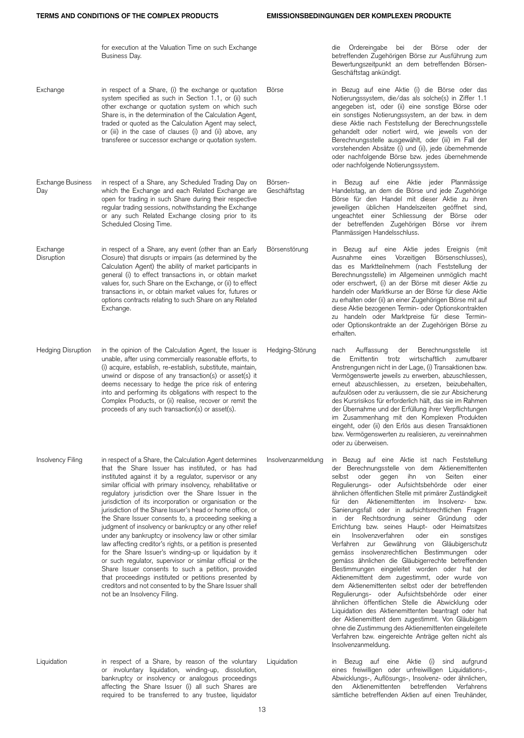|                           | for execution at the Valuation Time on such Exchange<br>Business Day.                                                                                                                                                                                                                                                                                                                                                                                                                                                                                                                                                                                                                                                                                                                                                                                                                                                                                                                                  |                         | die Ordereingabe bei der Börse oder der<br>betreffenden Zugehörigen Börse zur Ausführung zum<br>Bewertungszeitpunkt an dem betreffenden Börsen-<br>Geschäftstag ankündigt.                                                                                                                                                                                                                                                                                                                                                                                                                                                                                                                                                                                                                                                                                                                                                                                                                                                                                                                                                                                                                              |
|---------------------------|--------------------------------------------------------------------------------------------------------------------------------------------------------------------------------------------------------------------------------------------------------------------------------------------------------------------------------------------------------------------------------------------------------------------------------------------------------------------------------------------------------------------------------------------------------------------------------------------------------------------------------------------------------------------------------------------------------------------------------------------------------------------------------------------------------------------------------------------------------------------------------------------------------------------------------------------------------------------------------------------------------|-------------------------|---------------------------------------------------------------------------------------------------------------------------------------------------------------------------------------------------------------------------------------------------------------------------------------------------------------------------------------------------------------------------------------------------------------------------------------------------------------------------------------------------------------------------------------------------------------------------------------------------------------------------------------------------------------------------------------------------------------------------------------------------------------------------------------------------------------------------------------------------------------------------------------------------------------------------------------------------------------------------------------------------------------------------------------------------------------------------------------------------------------------------------------------------------------------------------------------------------|
| Exchange                  | in respect of a Share, (i) the exchange or quotation<br>system specified as such in Section 1.1, or (ii) such<br>other exchange or quotation system on which such<br>Share is, in the determination of the Calculation Agent,<br>traded or quoted as the Calculation Agent may select,<br>or (iii) in the case of clauses (i) and (ii) above, any<br>transferee or successor exchange or quotation system.                                                                                                                                                                                                                                                                                                                                                                                                                                                                                                                                                                                             | Börse                   | in Bezug auf eine Aktie (i) die Börse oder das<br>Notierungssystem, die/das als solche(s) in Ziffer 1.1<br>angegeben ist, oder (ii) eine sonstige Börse oder<br>ein sonstiges Notierungssystem, an der bzw. in dem<br>diese Aktie nach Feststellung der Berechnungsstelle<br>gehandelt oder notiert wird, wie jeweils von der<br>Berechnungsstelle ausgewählt, oder (iii) im Fall der<br>vorstehenden Absätze (i) und (ii), jede übernehmende<br>oder nachfolgende Börse bzw. jedes übernehmende<br>oder nachfolgende Notierungssystem.                                                                                                                                                                                                                                                                                                                                                                                                                                                                                                                                                                                                                                                                 |
| Exchange Business<br>Day  | in respect of a Share, any Scheduled Trading Day on<br>which the Exchange and each Related Exchange are<br>open for trading in such Share during their respective<br>regular trading sessions, notwithstanding the Exchange<br>or any such Related Exchange closing prior to its<br>Scheduled Closing Time.                                                                                                                                                                                                                                                                                                                                                                                                                                                                                                                                                                                                                                                                                            | Börsen-<br>Geschäftstag | in Bezug auf eine Aktie jeder Planmässige<br>Handelstag, an dem die Börse und jede Zugehörige<br>Börse für den Handel mit dieser Aktie zu ihren<br>jeweiligen üblichen Handelszeiten geöffnet sind,<br>ungeachtet einer Schliessung der Börse oder<br>der betreffenden Zugehörigen Börse vor ihrem<br>Planmässigen Handelsschluss.                                                                                                                                                                                                                                                                                                                                                                                                                                                                                                                                                                                                                                                                                                                                                                                                                                                                      |
| Exchange<br>Disruption    | in respect of a Share, any event (other than an Early<br>Closure) that disrupts or impairs (as determined by the<br>Calculation Agent) the ability of market participants in<br>general (i) to effect transactions in, or obtain market<br>values for, such Share on the Exchange, or (ii) to effect<br>transactions in, or obtain market values for, futures or<br>options contracts relating to such Share on any Related<br>Exchange.                                                                                                                                                                                                                                                                                                                                                                                                                                                                                                                                                               | Börsenstörung           | in Bezug auf eine Aktie jedes Ereignis (mit<br>Ausnahme eines Vorzeitigen Börsenschlusses),<br>das es Marktteilnehmern (nach Feststellung der<br>Berechnungsstelle) im Allgemeinen unmöglich macht<br>oder erschwert, (i) an der Börse mit dieser Aktie zu<br>handeln oder Marktkurse an der Börse für diese Aktie<br>zu erhalten oder (ii) an einer Zugehörigen Börse mit auf<br>diese Aktie bezogenen Termin- oder Optionskontrakten<br>zu handeln oder Marktpreise für diese Termin-<br>oder Optionskontrakte an der Zugehörigen Börse zu<br>erhalten.                                                                                                                                                                                                                                                                                                                                                                                                                                                                                                                                                                                                                                               |
| <b>Hedging Disruption</b> | in the opinion of the Calculation Agent, the Issuer is<br>unable, after using commercially reasonable efforts, to<br>(i) acquire, establish, re-establish, substitute, maintain,<br>unwind or dispose of any transaction(s) or asset(s) it<br>deems necessary to hedge the price risk of entering<br>into and performing its obligations with respect to the<br>Complex Products, or (ii) realise, recover or remit the<br>proceeds of any such transaction(s) or asset(s).                                                                                                                                                                                                                                                                                                                                                                                                                                                                                                                            | Hedging-Störung         | Auffassung<br>Berechnungsstelle ist<br>der<br>nach<br>Emittentin trotz wirtschaftlich zumutbarer<br>die<br>Anstrengungen nicht in der Lage, (i) Transaktionen bzw.<br>Vermögenswerte jeweils zu erwerben, abzuschliessen,<br>erneut abzuschliessen, zu ersetzen, beizubehalten,<br>aufzulösen oder zu veräussern, die sie zur Absicherung<br>des Kursrisikos für erforderlich hält, das sie im Rahmen<br>der Übernahme und der Erfüllung ihrer Verpflichtungen<br>im Zusammenhang mit den Komplexen Produkten<br>eingeht, oder (ii) den Erlös aus diesen Transaktionen<br>bzw. Vermögenswerten zu realisieren, zu vereinnahmen<br>oder zu überweisen.                                                                                                                                                                                                                                                                                                                                                                                                                                                                                                                                                   |
| Insolvency Filing         | in respect of a Share, the Calculation Agent determines<br>that the Share Issuer has instituted, or has had<br>instituted against it by a regulator, supervisor or any<br>similar official with primary insolvency, rehabilitative or<br>regulatory jurisdiction over the Share Issuer in the<br>jurisdiction of its incorporation or organisation or the<br>jurisdiction of the Share Issuer's head or home office, or<br>the Share Issuer consents to, a proceeding seeking a<br>judgment of insolvency or bankruptcy or any other relief<br>under any bankruptcy or insolvency law or other similar<br>law affecting creditor's rights, or a petition is presented<br>for the Share Issuer's winding-up or liquidation by it<br>or such regulator, supervisor or similar official or the<br>Share Issuer consents to such a petition, provided<br>that proceedings instituted or petitions presented by<br>creditors and not consented to by the Share Issuer shall<br>not be an Insolvency Filing. | Insolvenzanmeldung      | in Bezug auf eine Aktie ist nach Feststellung<br>der Berechnungsstelle von dem Aktienemittenten<br>selbst oder gegen ihn<br>Seiten<br>von<br>einer<br>Regulierungs- oder Aufsichtsbehörde oder einer<br>ähnlichen öffentlichen Stelle mit primärer Zuständigkeit<br>für den Aktienemittenten im Insolvenz-<br>bzw.<br>Sanierungsfall oder in aufsichtsrechtlichen Fragen<br>in der Rechtsordnung seiner Gründung oder<br>Errichtung bzw. seines Haupt- oder Heimatsitzes<br>Insolvenzverfahren<br>oder<br>ein<br>sonstiges<br>ein<br>Verfahren zur Gewährung von Gläubigerschutz<br>gemäss insolvenzrechtlichen Bestimmungen oder<br>gemäss ähnlichen die Gläubigerrechte betreffenden<br>Bestimmungen eingeleitet worden oder hat der<br>Aktienemittent dem zugestimmt, oder wurde von<br>dem Aktienemittenten selbst oder der betreffenden<br>Regulierungs- oder Aufsichtsbehörde oder einer<br>ähnlichen öffentlichen Stelle die Abwicklung oder<br>Liquidation des Aktienemittenten beantragt oder hat<br>der Aktienemittent dem zugestimmt. Von Gläubigern<br>ohne die Zustimmung des Aktienemittenten eingeleitete<br>Verfahren bzw. eingereichte Anträge gelten nicht als<br>Insolvenzanmeldung. |
| Liquidation               | in respect of a Share, by reason of the voluntary<br>or involuntary liquidation, winding-up, dissolution,<br>bankruptcy or insolvency or analogous proceedings                                                                                                                                                                                                                                                                                                                                                                                                                                                                                                                                                                                                                                                                                                                                                                                                                                         | Liquidation             | in Bezug auf eine Aktie (i) sind aufgrund<br>eines freiwilligen oder unfreiwilligen Liquidations-,<br>Abwicklungs-, Auflösungs-, Insolvenz- oder ähnlichen,                                                                                                                                                                                                                                                                                                                                                                                                                                                                                                                                                                                                                                                                                                                                                                                                                                                                                                                                                                                                                                             |

le Aktie (i) sind aufgrund ler unfreiwilligen Liquidations-, Abwicklungs-, Auflösungs-, Insolvenz- oder ähnlichen, den Aktienemittenten betreffenden Verfahrens sämtliche betreffenden Aktien auf einen Treuhänder,

affecting the Share Issuer (i) all such Shares are required to be transferred to any trustee, liquidator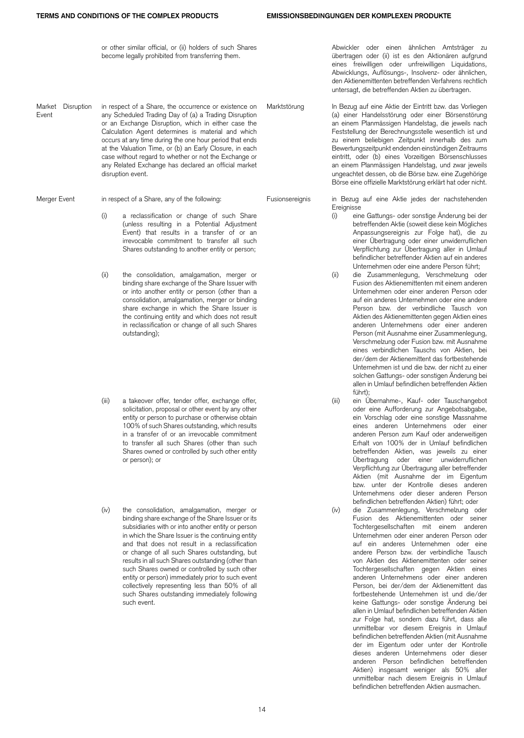or other similar official, or (ii) holders of such Shares become legally prohibited from transferring them.

Market Disruption Event in respect of a Share, the occurrence or existence on any Scheduled Trading Day of (a) a Trading Disruption or an Exchange Disruption, which in either case the Calculation Agent determines is material and which occurs at any time during the one hour period that ends at the Valuation Time, or (b) an Early Closure, in each case without regard to whether or not the Exchange or any Related Exchange has declared an official market disruption event.

- (i) a reclassification or change of such Share (unless resulting in a Potential Adjustment Event) that results in a transfer of or an irrevocable commitment to transfer all such Shares outstanding to another entity or person;
- (ii) the consolidation, amalgamation, merger or binding share exchange of the Share Issuer with or into another entity or person (other than a consolidation, amalgamation, merger or binding share exchange in which the Share Issuer is the continuing entity and which does not result in reclassification or change of all such Shares outstanding);
- (iii) a takeover offer, tender offer, exchange offer, solicitation, proposal or other event by any other entity or person to purchase or otherwise obtain 100% of such Shares outstanding, which results in a transfer of or an irrevocable commitment to transfer all such Shares (other than such Shares owned or controlled by such other entity or person); or
- (iv) the consolidation, amalgamation, merger or binding share exchange of the Share Issuer or its subsidiaries with or into another entity or person in which the Share Issuer is the continuing entity and that does not result in a reclassification or change of all such Shares outstanding, but results in all such Shares outstanding (other than such Shares owned or controlled by such other entity or person) immediately prior to such event collectively representing less than 50% of all such Shares outstanding immediately following such event.

Abwickler oder einen ähnlichen Amtsträger zu übertragen oder (ii) ist es den Aktionären aufgrund eines freiwilligen oder unfreiwilligen Liquidations, Abwicklungs, Auflösungs-, Insolvenz- oder ähnlichen, den Aktienemittenten betreffenden Verfahrens rechtlich untersagt, die betreffenden Aktien zu übertragen.

Marktstörung In Bezug auf eine Aktie der Eintritt bzw. das Vorliegen (a) einer Handelsstörung oder einer Börsenstörung an einem Planmässigen Handelstag, die jeweils nach Feststellung der Berechnungsstelle wesentlich ist und zu einem beliebigen Zeitpunkt innerhalb des zum Bewertungszeitpunkt endenden einstündigen Zeitraums eintritt, oder (b) eines Vorzeitigen Börsenschlusses an einem Planmässigen Handelstag, und zwar jeweils ungeachtet dessen, ob die Börse bzw. eine Zugehörige Börse eine offizielle Marktstörung erklärt hat oder nicht.

Merger Event in respect of a Share, any of the following: Fusionsereignis in Bezug auf eine Aktie jedes der nachstehenden Ereignisse

- (i) eine Gattungs- oder sonstige Änderung bei der betreffenden Aktie (soweit diese kein Mögliches Anpassungsereignis zur Folge hat), die zu einer Übertragung oder einer unwiderruflichen Verpflichtung zur Übertragung aller in Umlauf befindlicher betreffender Aktien auf ein anderes Unternehmen oder eine andere Person führt;
- (ii) die Zusammenlegung, Verschmelzung oder Fusion des Aktienemittenten mit einem anderen Unternehmen oder einer anderen Person oder auf ein anderes Unternehmen oder eine andere Person bzw. der verbindliche Tausch von Aktien des Aktienemittenten gegen Aktien eines anderen Unternehmens oder einer anderen Person (mit Ausnahme einer Zusammenlegung, Verschmelzung oder Fusion bzw. mit Ausnahme eines verbindlichen Tauschs von Aktien, bei der/dem der Aktienemittent das fortbestehende Unternehmen ist und die bzw. der nicht zu einer solchen Gattungs- oder sonstigen Änderung bei allen in Umlauf befindlichen betreffenden Aktien führt)<sup>.</sup>
- (iii) ein Übernahme-, Kauf- oder Tauschangebot oder eine Aufforderung zur Angebotsabgabe, ein Vorschlag oder eine sonstige Massnahme eines anderen Unternehmens oder einer anderen Person zum Kauf oder anderweitigen Erhalt von 100% der in Umlauf befindlichen betreffenden Aktien, was jeweils zu einer Übertragung oder einer unwiderruflichen Verpflichtung zur Übertragung aller betreffender Aktien (mit Ausnahme der im Eigentum bzw. unter der Kontrolle dieses anderen Unternehmens oder dieser anderen Person befindlichen betreffenden Aktien) führt; oder
- (iv) die Zusammenlegung, Verschmelzung oder Fusion des Aktienemittenten oder seiner Tochtergesellschaften mit einem anderen Unternehmen oder einer anderen Person oder auf ein anderes Unternehmen oder eine andere Person bzw. der verbindliche Tausch von Aktien des Aktienemittenten oder seiner Tochtergesellschaften gegen Aktien eines anderen Unternehmens oder einer anderen Person, bei der/dem der Aktienemittent das fortbestehende Unternehmen ist und die/der keine Gattungs- oder sonstige Änderung bei allen in Umlauf befindlichen betreffenden Aktien zur Folge hat, sondern dazu führt, dass alle unmittelbar vor diesem Ereignis in Umlauf befindlichen betreffenden Aktien (mit Ausnahme der im Eigentum oder unter der Kontrolle dieses anderen Unternehmens oder dieser anderen Person befindlichen betreffenden Aktien) insgesamt weniger als 50% aller unmittelbar nach diesem Ereignis in Umlauf befindlichen betreffenden Aktien ausmachen.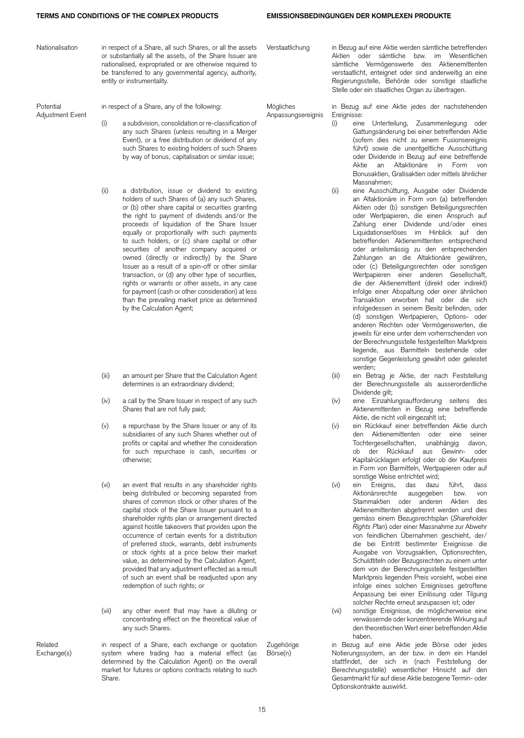| Nationalisation               |               | in respect of a Share, all such Shares, or all the assets<br>or substantially all the assets, of the Share Issuer are<br>nationalised, expropriated or are otherwise required to<br>be transferred to any governmental agency, authority,<br>entity or instrumentality.                                                                                                                                                                                                                                                                                                                                                                                                                                                                                      | Verstaatlichung                 |                    | in Bezug auf eine Aktie werden sämtliche betreffenden<br>Aktien oder sämtliche bzw. im Wesentlichen<br>sämtliche Vermögenswerte des Aktienemittenten<br>verstaatlicht, enteignet oder sind anderweitig an eine<br>Regierungsstelle, Behörde oder sonstige staatliche<br>Stelle oder ein staatliches Organ zu übertragen.                                                                                                                                                                                                                                                                                                                                                                                                                                                                                                                                                                                                                                                                                         |
|-------------------------------|---------------|--------------------------------------------------------------------------------------------------------------------------------------------------------------------------------------------------------------------------------------------------------------------------------------------------------------------------------------------------------------------------------------------------------------------------------------------------------------------------------------------------------------------------------------------------------------------------------------------------------------------------------------------------------------------------------------------------------------------------------------------------------------|---------------------------------|--------------------|------------------------------------------------------------------------------------------------------------------------------------------------------------------------------------------------------------------------------------------------------------------------------------------------------------------------------------------------------------------------------------------------------------------------------------------------------------------------------------------------------------------------------------------------------------------------------------------------------------------------------------------------------------------------------------------------------------------------------------------------------------------------------------------------------------------------------------------------------------------------------------------------------------------------------------------------------------------------------------------------------------------|
| Potential<br>Adjustment Event | (i)           | in respect of a Share, any of the following:<br>a subdivision, consolidation or re-classification of<br>any such Shares (unless resulting in a Merger<br>Event), or a free distribution or dividend of any<br>such Shares to existing holders of such Shares<br>by way of bonus, capitalisation or similar issue;                                                                                                                                                                                                                                                                                                                                                                                                                                            | Mögliches<br>Anpassungsereignis | Ereignisse:<br>(i) | in Bezug auf eine Aktie jedes der nachstehenden<br>eine Unterteilung, Zusammenlegung oder<br>Gattungsänderung bei einer betreffenden Aktie<br>(sofern dies nicht zu einem Fusionsereignis<br>führt) sowie die unentgeltliche Ausschüttung<br>oder Dividende in Bezug auf eine betreffende<br>Aktie an Altaktionäre in Form von<br>Bonusaktien, Gratisaktien oder mittels ähnlicher<br>Massnahmen;                                                                                                                                                                                                                                                                                                                                                                                                                                                                                                                                                                                                                |
|                               | (ii)          | a distribution, issue or dividend to existing<br>holders of such Shares of (a) any such Shares,<br>or (b) other share capital or securities granting<br>the right to payment of dividends and/or the<br>proceeds of liquidation of the Share Issuer<br>equally or proportionally with such payments<br>to such holders, or (c) share capital or other<br>securities of another company acquired or<br>owned (directly or indirectly) by the Share<br>Issuer as a result of a spin-off or other similar<br>transaction, or (d) any other type of securities,<br>rights or warrants or other assets, in any case<br>for payment (cash or other consideration) at less<br>than the prevailing market price as determined<br>by the Calculation Agent;           |                                 | (ii)               | eine Ausschüttung, Ausgabe oder Dividende<br>an Altaktionäre in Form von (a) betreffenden<br>Aktien oder (b) sonstigen Beteiligungsrechten<br>oder Wertpapieren, die einen Anspruch auf<br>Zahlung einer Dividende und/oder eines<br>Liquidationserlöses im Hinblick auf den<br>betreffenden Aktienemittenten entsprechend<br>oder anteilsmässig zu den entsprechenden<br>Zahlungen an die Altaktionäre gewähren,<br>oder (c) Beteiligungsrechten oder sonstigen<br>Wertpapieren einer anderen Gesellschaft,<br>die der Aktienemittent (direkt oder indirekt)<br>infolge einer Abspaltung oder einer ähnlichen<br>Transaktion erworben hat oder die sich<br>infolgedessen in seinem Besitz befinden, oder<br>(d) sonstigen Wertpapieren, Options- oder<br>anderen Rechten oder Vermögenswerten, die<br>jeweils für eine unter dem vorherrschenden von<br>der Berechnungsstelle festgestellten Marktpreis<br>liegende, aus Barmitteln bestehende oder<br>sonstige Gegenleistung gewährt oder geleistet<br>werden; |
|                               | (iii)         | an amount per Share that the Calculation Agent<br>determines is an extraordinary dividend;                                                                                                                                                                                                                                                                                                                                                                                                                                                                                                                                                                                                                                                                   |                                 | (iii)              | ein Betrag je Aktie, der nach Feststellung<br>der Berechnungsstelle als ausserordentliche<br>Dividende gilt;                                                                                                                                                                                                                                                                                                                                                                                                                                                                                                                                                                                                                                                                                                                                                                                                                                                                                                     |
|                               | (iv)          | a call by the Share Issuer in respect of any such<br>Shares that are not fully paid;                                                                                                                                                                                                                                                                                                                                                                                                                                                                                                                                                                                                                                                                         |                                 | (iv)               | eine Einzahlungsaufforderung seitens des<br>Aktienemittenten in Bezug eine betreffende<br>Aktie, die nicht voll eingezahlt ist;                                                                                                                                                                                                                                                                                                                                                                                                                                                                                                                                                                                                                                                                                                                                                                                                                                                                                  |
|                               | (v)           | a repurchase by the Share Issuer or any of its<br>subsidiaries of any such Shares whether out of<br>profits or capital and whether the consideration<br>for such repurchase is cash, securities or<br>otherwise;                                                                                                                                                                                                                                                                                                                                                                                                                                                                                                                                             |                                 | (v)                | ein Rückkauf einer betreffenden Aktie durch<br>den Aktienemittenten oder eine seiner<br>Tochtergesellschaften,<br>unabhängig<br>davon,<br>ob der Rückkauf aus Gewinn- oder<br>Kapitalrücklagen erfolgt oder ob der Kaufpreis<br>in Form von Barmitteln, Wertpapieren oder auf<br>sonstige Weise entrichtet wird;                                                                                                                                                                                                                                                                                                                                                                                                                                                                                                                                                                                                                                                                                                 |
|                               | (vi)<br>(vii) | an event that results in any shareholder rights<br>being distributed or becoming separated from<br>shares of common stock or other shares of the<br>capital stock of the Share Issuer pursuant to a<br>shareholder rights plan or arrangement directed<br>against hostile takeovers that provides upon the<br>occurrence of certain events for a distribution<br>of preferred stock, warrants, debt instruments<br>or stock rights at a price below their market<br>value, as determined by the Calculation Agent,<br>provided that any adjustment effected as a result<br>of such an event shall be readjusted upon any<br>redemption of such rights; or<br>any other event that may have a diluting or<br>concentrating effect on the theoretical value of |                                 | (vi)<br>(vii)      | ein Ereignis, das dazu<br>tührt,<br>dass<br>Aktionärsrechte<br>ausgegeben<br>bzw.<br>von<br>Stammaktien oder anderen<br>Aktien<br>des<br>Aktienemittenten abgetrennt werden und dies<br>gemäss einem Bezugsrechtsplan (Shareholder<br>Rights Plan) oder einer Massnahme zur Abwehr<br>von feindlichen Übernahmen geschieht, der/<br>die bei Eintritt bestimmter Ereignisse die<br>Ausgabe von Vorzugsaktien, Optionsrechten,<br>Schuldtiteln oder Bezugsrechten zu einem unter<br>dem von der Berechnungsstelle festgestellten<br>Marktpreis liegenden Preis vorsieht, wobei eine<br>infolge eines solchen Ereignisses getroffene<br>Anpassung bei einer Einlösung oder Tilgung<br>solcher Rechte erneut anzupassen ist; oder<br>sonstige Ereignisse, die möglicherweise eine<br>verwässernde oder konzentrierende Wirkung auf                                                                                                                                                                                   |
|                               |               | any such Shares.                                                                                                                                                                                                                                                                                                                                                                                                                                                                                                                                                                                                                                                                                                                                             |                                 |                    | den theoretischen Wert einer betreffenden Aktie<br>haben.                                                                                                                                                                                                                                                                                                                                                                                                                                                                                                                                                                                                                                                                                                                                                                                                                                                                                                                                                        |
| Related<br>Exchange(s)        |               | in respect of a Share, each exchange or quotation<br>system where trading has a material effect (as<br>determined by the Calculation Agent) on the overall                                                                                                                                                                                                                                                                                                                                                                                                                                                                                                                                                                                                   | Zugehörige<br>Börse(n)          |                    | in Bezug auf eine Aktie jede Börse oder jedes<br>Notierungssystem, an der bzw. in dem ein Handel<br>stattfindet, der sich in (nach Feststellung der                                                                                                                                                                                                                                                                                                                                                                                                                                                                                                                                                                                                                                                                                                                                                                                                                                                              |

15

Berechnungsstelle) wesentlicher Hinsicht auf den Gesamtmarkt für auf diese Aktie bezogene Termin- oder

Optionskontrakte auswirkt.

market for futures or options contracts relating to such

Share.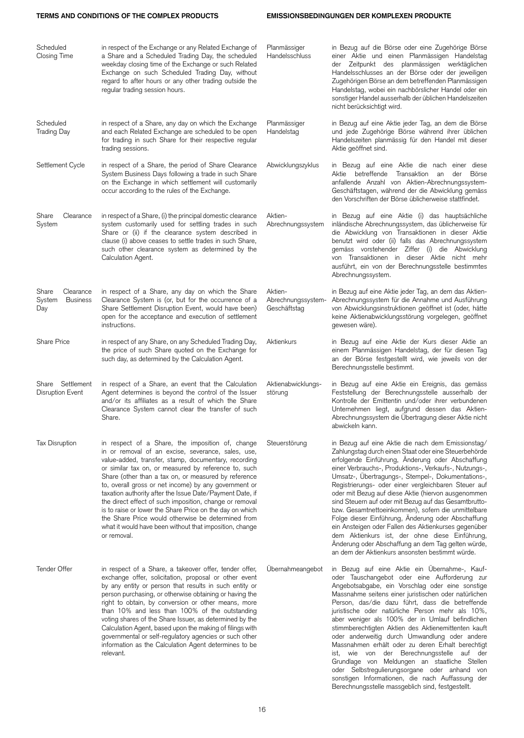## **TERMS AND CONDITIONS OF THE COMPLEX PRODUCTS EMISSIONSBEDINGUNGEN DER KOMPLEXEN PRODUKTE**

| Scheduled<br><b>Closing Time</b>                       | in respect of the Exchange or any Related Exchange of<br>a Share and a Scheduled Trading Day, the scheduled<br>weekday closing time of the Exchange or such Related<br>Exchange on such Scheduled Trading Day, without<br>regard to after hours or any other trading outside the<br>regular trading session hours.                                                                                                                                                                                                                                                                                                                                         | Planmässiger<br>Handelsschluss                | in Bezug auf die Börse oder eine Zugehörige Börse<br>einer Aktie und einen Planmässigen Handelstag<br>der Zeitpunkt des planmässigen werktäglichen<br>Handelsschlusses an der Börse oder der jeweiligen<br>Zugehörigen Börse an dem betreffenden Planmässigen<br>Handelstag, wobei ein nachbörslicher Handel oder ein<br>sonstiger Handel ausserhalb der üblichen Handelszeiten<br>nicht berücksichtigt wird.                                                                                                                                                                                                                                                                                                                                                                                 |
|--------------------------------------------------------|------------------------------------------------------------------------------------------------------------------------------------------------------------------------------------------------------------------------------------------------------------------------------------------------------------------------------------------------------------------------------------------------------------------------------------------------------------------------------------------------------------------------------------------------------------------------------------------------------------------------------------------------------------|-----------------------------------------------|-----------------------------------------------------------------------------------------------------------------------------------------------------------------------------------------------------------------------------------------------------------------------------------------------------------------------------------------------------------------------------------------------------------------------------------------------------------------------------------------------------------------------------------------------------------------------------------------------------------------------------------------------------------------------------------------------------------------------------------------------------------------------------------------------|
| Scheduled<br><b>Trading Day</b>                        | in respect of a Share, any day on which the Exchange<br>and each Related Exchange are scheduled to be open<br>for trading in such Share for their respective regular<br>trading sessions.                                                                                                                                                                                                                                                                                                                                                                                                                                                                  | Planmässiger<br>Handelstag                    | in Bezug auf eine Aktie jeder Tag, an dem die Börse<br>und jede Zugehörige Börse während ihrer üblichen<br>Handelszeiten planmässig für den Handel mit dieser<br>Aktie geöffnet sind.                                                                                                                                                                                                                                                                                                                                                                                                                                                                                                                                                                                                         |
| Settlement Cycle                                       | in respect of a Share, the period of Share Clearance<br>System Business Days following a trade in such Share<br>on the Exchange in which settlement will customarily<br>occur according to the rules of the Exchange.                                                                                                                                                                                                                                                                                                                                                                                                                                      | Abwicklungszyklus                             | in Bezug auf eine Aktie die nach einer diese<br>betreffende Transaktion an der Börse<br>Aktie<br>anfallende Anzahl von Aktien-Abrechnungssystem-<br>Geschäftstagen, während der die Abwicklung gemäss<br>den Vorschriften der Börse üblicherweise stattfindet.                                                                                                                                                                                                                                                                                                                                                                                                                                                                                                                                |
| Share<br>Clearance<br>System                           | in respect of a Share, (i) the principal domestic clearance<br>system customarily used for settling trades in such<br>Share or (ii) if the clearance system described in<br>clause (i) above ceases to settle trades in such Share,<br>such other clearance system as determined by the<br>Calculation Agent.                                                                                                                                                                                                                                                                                                                                              | Aktien-<br>Abrechnungssystem                  | in Bezug auf eine Aktie (i) das hauptsächliche<br>inländische Abrechnungssystem, das üblicherweise für<br>die Abwicklung von Transaktionen in dieser Aktie<br>benutzt wird oder (ii) falls das Abrechnungssystem<br>gemäss vorstehender Ziffer (i) die Abwicklung<br>von Transaktionen in dieser Aktie nicht mehr<br>ausführt, ein von der Berechnungsstelle bestimmtes<br>Abrechnungssystem.                                                                                                                                                                                                                                                                                                                                                                                                 |
| Clearance<br>Share<br>System<br><b>Business</b><br>Day | in respect of a Share, any day on which the Share<br>Clearance System is (or, but for the occurrence of a<br>Share Settlement Disruption Event, would have been)<br>open for the acceptance and execution of settlement<br>instructions.                                                                                                                                                                                                                                                                                                                                                                                                                   | Aktien-<br>Abrechnungssystem-<br>Geschäftstag | in Bezug auf eine Aktie jeder Tag, an dem das Aktien-<br>Abrechnungssystem für die Annahme und Ausführung<br>von Abwicklungsinstruktionen geöffnet ist (oder, hätte<br>keine Aktienabwicklungsstörung vorgelegen, geöffnet<br>gewesen wäre).                                                                                                                                                                                                                                                                                                                                                                                                                                                                                                                                                  |
| <b>Share Price</b>                                     | in respect of any Share, on any Scheduled Trading Day,<br>the price of such Share quoted on the Exchange for<br>such day, as determined by the Calculation Agent.                                                                                                                                                                                                                                                                                                                                                                                                                                                                                          | Aktienkurs                                    | in Bezug auf eine Aktie der Kurs dieser Aktie an<br>einem Planmässigen Handelstag, der für diesen Tag<br>an der Börse festgestellt wird, wie jeweils von der<br>Berechnungsstelle bestimmt.                                                                                                                                                                                                                                                                                                                                                                                                                                                                                                                                                                                                   |
| Share Settlement<br>Disruption Event                   | in respect of a Share, an event that the Calculation<br>Agent determines is beyond the control of the Issuer<br>and/or its affiliates as a result of which the Share<br>Clearance System cannot clear the transfer of such<br>Share.                                                                                                                                                                                                                                                                                                                                                                                                                       | Aktienabwicklungs-<br>störung                 | in Bezug auf eine Aktie ein Ereignis, das gemäss<br>Feststellung der Berechnungsstelle ausserhalb der<br>Kontrolle der Emittentin und/oder ihrer verbundenen<br>Unternehmen liegt, aufgrund dessen das Aktien-<br>Abrechnungssystem die Übertragung dieser Aktie nicht<br>abwickeln kann.                                                                                                                                                                                                                                                                                                                                                                                                                                                                                                     |
| <b>Tax Disruption</b>                                  | in respect of a Share, the imposition of, change<br>in or removal of an excise, severance, sales, use,<br>value-added, transfer, stamp, documentary, recording<br>or similar tax on, or measured by reference to, such<br>Share (other than a tax on, or measured by reference<br>to, overall gross or net income) by any government or<br>taxation authority after the Issue Date/Payment Date, if<br>the direct effect of such imposition, change or removal<br>is to raise or lower the Share Price on the day on which<br>the Share Price would otherwise be determined from<br>what it would have been without that imposition, change<br>or removal. | Steuerstörung                                 | in Bezug auf eine Aktie die nach dem Emissionstag/<br>Zahlungstag durch einen Staat oder eine Steuerbehörde<br>erfolgende Einführung, Änderung oder Abschaffung<br>einer Verbrauchs-, Produktions-, Verkaufs-, Nutzungs-,<br>Umsatz-, Übertragungs-, Stempel-, Dokumentations-,<br>Registrierungs- oder einer vergleichbaren Steuer auf<br>oder mit Bezug auf diese Aktie (hiervon ausgenommen<br>sind Steuern auf oder mit Bezug auf das Gesamtbrutto-<br>bzw. Gesamtnettoeinkommen), sofern die unmittelbare<br>Folge dieser Einführung, Änderung oder Abschaffung<br>ein Ansteigen oder Fallen des Aktienkurses gegenüber<br>dem Aktienkurs ist, der ohne diese Einführung,<br>Änderung oder Abschaffung an dem Tag gelten würde,<br>an dem der Aktienkurs ansonsten bestimmt würde.       |
| Tender Offer                                           | in respect of a Share, a takeover offer, tender offer,<br>exchange offer, solicitation, proposal or other event<br>by any entity or person that results in such entity or<br>person purchasing, or otherwise obtaining or having the<br>right to obtain, by conversion or other means, more<br>than 10% and less than 100% of the outstanding<br>voting shares of the Share Issuer, as determined by the<br>Calculation Agent, based upon the making of filings with<br>governmental or self-regulatory agencies or such other<br>information as the Calculation Agent determines to be<br>relevant.                                                       | Übernahmeangebot                              | in Bezug auf eine Aktie ein Übernahme-, Kauf-<br>oder Tauschangebot oder eine Aufforderung zur<br>Angebotsabgabe, ein Vorschlag oder eine sonstige<br>Massnahme seitens einer juristischen oder natürlichen<br>Person, das/die dazu führt, dass die betreffende<br>juristische oder natürliche Person mehr als 10%,<br>aber weniger als 100% der in Umlauf befindlichen<br>stimmberechtigten Aktien des Aktienemittenten kauft<br>oder anderweitig durch Umwandlung oder andere<br>Massnahmen erhält oder zu deren Erhalt berechtigt<br>ist, wie von der Berechnungsstelle auf der<br>Grundlage von Meldungen an staatliche Stellen<br>oder Selbstregulierungsorgane oder anhand von<br>sonstigen Informationen, die nach Auffassung der<br>Berechnungsstelle massgeblich sind, festgestellt. |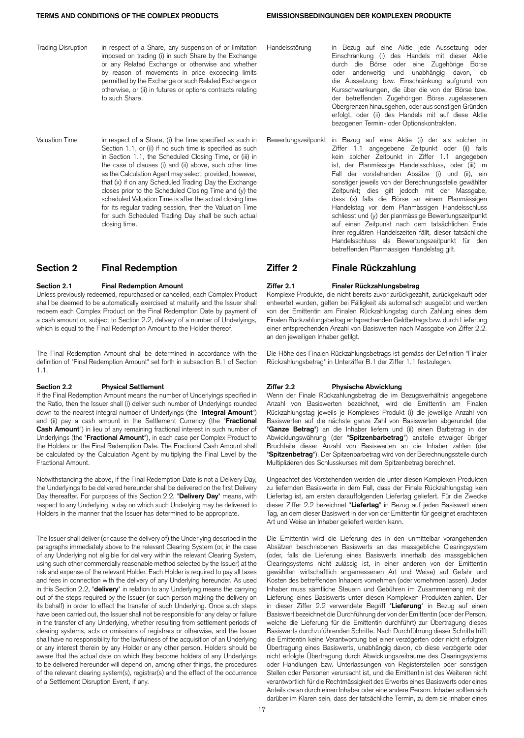- Trading Disruption in respect of a Share, any suspension of or limitation imposed on trading (i) in such Share by the Exchange or any Related Exchange or otherwise and whether by reason of movements in price exceeding limits permitted by the Exchange or such Related Exchange or otherwise, or (ii) in futures or options contracts relating to such Share.
- Valuation Time in respect of a Share, (i) the time specified as such in Section 1.1, or (ii) if no such time is specified as such in Section 1.1, the Scheduled Closing Time, or (iii) in the case of clauses (i) and (ii) above, such other time as the Calculation Agent may select; provided, however, that (x) if on any Scheduled Trading Day the Exchange closes prior to the Scheduled Closing Time and (y) the scheduled Valuation Time is after the actual closing time for its regular trading session, then the Valuation Time for such Scheduled Trading Day shall be such actual closing time.

**Section 2.1 Final Redemption Amount Ziffer 2.1 Finaler Rückzahlungsbetrag** Unless previously redeemed, repurchased or cancelled, each Complex Product shall be deemed to be automatically exercised at maturity and the Issuer shall redeem each Complex Product on the Final Redemption Date by payment of a cash amount or, subject to Section 2.2, delivery of a number of Underlyings, which is equal to the Final Redemption Amount to the Holder thereof.

The Final Redemption Amount shall be determined in accordance with the definition of "Final Redemption Amount" set forth in subsection B.1 of Section 1.1.

If the Final Redemption Amount means the number of Underlyings specified in the Ratio, then the Issuer shall (i) deliver such number of Underlyings rounded down to the nearest integral number of Underlyings (the "**Integral Amount**") and (ii) pay a cash amount in the Settlement Currency (the "**Fractional Cash Amount**") in lieu of any remaining fractional interest in such number of Underlyings (the "**Fractional Amount**"), in each case per Complex Product to the Holders on the Final Redemption Date. The Fractional Cash Amount shall be calculated by the Calculation Agent by multiplying the Final Level by the Fractional Amount.

Notwithstanding the above, if the Final Redemption Date is not a Delivery Day, the Underlyings to be delivered hereunder shall be delivered on the first Delivery Day thereafter. For purposes of this Section 2.2, "**Delivery Day**" means, with respect to any Underlying, a day on which such Underlying may be delivered to Holders in the manner that the Issuer has determined to be appropriate.

The Issuer shall deliver (or cause the delivery of) the Underlying described in the paragraphs immediately above to the relevant Clearing System (or, in the case of any Underlying not eligible for delivery within the relevant Clearing System, using such other commercially reasonable method selected by the Issuer) at the risk and expense of the relevant Holder. Each Holder is required to pay all taxes and fees in connection with the delivery of any Underlying hereunder. As used in this Section 2.2, "**delivery**" in relation to any Underlying means the carrying out of the steps required by the Issuer (or such person making the delivery on its behalf) in order to effect the transfer of such Underlying. Once such steps have been carried out, the Issuer shall not be responsible for any delay or failure in the transfer of any Underlying, whether resulting from settlement periods of clearing systems, acts or omissions of registrars or otherwise, and the Issuer shall have no responsibility for the lawfulness of the acquisition of an Underlying or any interest therein by any Holder or any other person. Holders should be aware that the actual date on which they become holders of any Underlyings to be delivered hereunder will depend on, among other things, the procedures of the relevant clearing system(s), registrar(s) and the effect of the occurrence of a Settlement Disruption Event, if any.

- Handelsstörung in Bezug auf eine Aktie jede Aussetzung oder Einschränkung (i) des Handels mit dieser Aktie durch die Börse oder eine Zugehörige Börse oder anderweitig und unabhängig davon, ob die Aussetzung bzw. Einschränkung aufgrund von Kursschwankungen, die über die von der Börse bzw. der betreffenden Zugehörigen Börse zugelassenen Obergrenzen hinausgehen, oder aus sonstigen Gründen erfolgt, oder (ii) des Handels mit auf diese Aktie bezogenen Termin- oder Optionskontrakten.
- Bewertungszeitpunkt in Bezug auf eine Aktie (i) der als solcher in Ziffer 1.1 angegebene Zeitpunkt oder (ii) falls kein solcher Zeitpunkt in Ziffer 1.1 angegeben ist, der Planmässige Handelsschluss, oder (iii) im Fall der vorstehenden Absätze (i) und (ii), ein sonstiger jeweils von der Berechnungsstelle gewählter Zeitpunkt; dies gilt jedoch mit der Massgabe, dass (x) falls die Börse an einem Planmässigen Handelstag vor dem Planmässigen Handelsschluss schliesst und (y) der planmässige Bewertungszeitpunkt auf einen Zeitpunkt nach dem tatsächlichen Ende ihrer regulären Handelszeiten fällt, dieser tatsächliche Handelsschluss als Bewertungszeitpunkt für den betreffenden Planmässigen Handelstag gilt.

## **Section 2 Final Redemption Ziffer 2 Finale Rückzahlung**

Komplexe Produkte, die nicht bereits zuvor zurückgezahlt, zurückgekauft oder entwertet wurden, gelten bei Fälligkeit als automatisch ausgeübt und werden von der Emittentin am Finalen Rückzahlungstag durch Zahlung eines dem Finalen Rückzahlungsbetrag entsprechenden Geldbetrags bzw. durch Lieferung einer entsprechenden Anzahl von Basiswerten nach Massgabe von Ziffer 2.2. an den jeweiligen Inhaber getilgt.

Die Höhe des Finalen Rückzahlungsbetrags ist gemäss der Definition "Finaler Rückzahlungsbetrag" in Unterziffer B.1 der Ziffer 1.1 festzulegen.

### **Section 2.2 Physical Settlement Ziffer 2.2 Physische Abwicklung**

Wenn der Finale Rückzahlungsbetrag die im Bezugsverhältnis angegebene Anzahl von Basiswerten bezeichnet, wird die Emittentin am Finalen Rückzahlungstag jeweils je Komplexes Produkt (i) die jeweilige Anzahl von Basiswerten auf die nächste ganze Zahl von Basiswerten abgerundet (der "**Ganze Betrag**") an die Inhaber liefern und (ii) einen Barbetrag in der Abwicklungswährung (der "**Spitzenbarbetrag**") anstelle etwaiger übriger Bruchteile dieser Anzahl von Basiswerten an die Inhaber zahlen (der "**Spitzenbetrag**"). Der Spitzenbarbetrag wird von der Berechnungsstelle durch Multiplizieren des Schlusskurses mit dem Spitzenbetrag berechnet.

Ungeachtet des Vorstehenden werden die unter diesen Komplexen Produkten zu liefernden Basiswerte in dem Fall, dass der Finale Rückzahlungstag kein Liefertag ist, am ersten darauffolgenden Liefertag geliefert. Für die Zwecke dieser Ziffer 2.2 bezeichnet "**Liefertag**" in Bezug auf jeden Basiswert einen Tag, an dem dieser Basiswert in der von der Emittentin für geeignet erachteten Art und Weise an Inhaber geliefert werden kann.

Die Emittentin wird die Lieferung des in den unmittelbar vorangehenden Absätzen beschriebenen Basiswerts an das massgebliche Clearingsystem (oder, falls die Lieferung eines Basiswerts innerhalb des massgeblichen Clearingsystems nicht zulässig ist, in einer anderen von der Emittentin gewählten wirtschaftlich angemessenen Art und Weise) auf Gefahr und Kosten des betreffenden Inhabers vornehmen (oder vornehmen lassen). Jeder Inhaber muss sämtliche Steuern und Gebühren im Zusammenhang mit der Lieferung eines Basiswerts unter diesen Komplexen Produkten zahlen. Der in dieser Ziffer 2.2 verwendete Begriff "**Lieferung**" in Bezug auf einen Basiswert bezeichnet die Durchführung der von der Emittentin (oder der Person, welche die Lieferung für die Emittentin durchführt) zur Übertragung dieses Basiswerts durchzuführenden Schritte. Nach Durchführung dieser Schritte trifft die Emittentin keine Verantwortung bei einer verzögerten oder nicht erfolgten Übertragung eines Basiswerts, unabhängig davon, ob diese verzögerte oder nicht erfolgte Übertragung durch Abwicklungszeiträume des Clearingsystems oder Handlungen bzw. Unterlassungen von Registerstellen oder sonstigen Stellen oder Personen verursacht ist, und die Emittentin ist des Weiteren nicht verantwortlich für die Rechtmässigkeit des Erwerbs eines Basiswerts oder eines Anteils daran durch einen Inhaber oder eine andere Person. Inhaber sollten sich darüber im Klaren sein, dass der tatsächliche Termin, zu dem sie Inhaber eines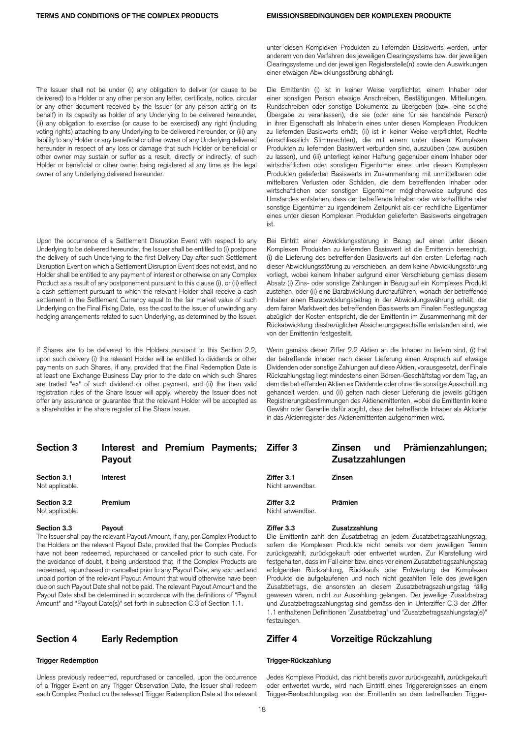The Issuer shall not be under (i) any obligation to deliver (or cause to be delivered) to a Holder or any other person any letter, certificate, notice, circular or any other document received by the Issuer (or any person acting on its behalf) in its capacity as holder of any Underlying to be delivered hereunder, (ii) any obligation to exercise (or cause to be exercised) any right (including voting rights) attaching to any Underlying to be delivered hereunder, or (iii) any liability to any Holder or any beneficial or other owner of any Underlying delivered hereunder in respect of any loss or damage that such Holder or beneficial or other owner may sustain or suffer as a result, directly or indirectly, of such Holder or beneficial or other owner being registered at any time as the legal owner of any Underlying delivered hereunder.

Upon the occurrence of a Settlement Disruption Event with respect to any Underlying to be delivered hereunder, the Issuer shall be entitled to (i) postpone the delivery of such Underlying to the first Delivery Day after such Settlement Disruption Event on which a Settlement Disruption Event does not exist, and no Holder shall be entitled to any payment of interest or otherwise on any Complex Product as a result of any postponement pursuant to this clause (i), or (ii) effect a cash settlement pursuant to which the relevant Holder shall receive a cash settlement in the Settlement Currency equal to the fair market value of such Underlying on the Final Fixing Date, less the cost to the Issuer of unwinding any hedging arrangements related to such Underlying, as determined by the Issuer.

If Shares are to be delivered to the Holders pursuant to this Section 2.2, upon such delivery (i) the relevant Holder will be entitled to dividends or other payments on such Shares, if any, provided that the Final Redemption Date is at least one Exchange Business Day prior to the date on which such Shares are traded "ex" of such dividend or other payment, and (ii) the then valid registration rules of the Share Issuer will apply, whereby the Issuer does not offer any assurance or guarantee that the relevant Holder will be accepted as a shareholder in the share register of the Share Issuer.

| unter diesen Komplexen Produkten zu liefernden Basiswerts werden, unter      |
|------------------------------------------------------------------------------|
| anderem von den Verfahren des jeweiligen Clearingsystems bzw. der jeweiligen |
| Clearingsysteme und der jeweiligen Registerstelle(n) sowie den Auswirkungen  |
| einer etwaigen Abwicklungsstörung abhängt.                                   |

Die Emittentin (i) ist in keiner Weise verpflichtet, einem Inhaber oder einer sonstigen Person etwaige Anschreiben, Bestätigungen, Mitteilungen, Rundschreiben oder sonstige Dokumente zu übergeben (bzw. eine solche Übergabe zu veranlassen), die sie (oder eine für sie handelnde Person) in ihrer Eigenschaft als Inhaberin eines unter diesen Komplexen Produkten zu liefernden Basiswerts erhält, (ii) ist in keiner Weise verpflichtet, Rechte (einschliesslich Stimmrechten), die mit einem unter diesen Komplexen Produkten zu liefernden Basiswert verbunden sind, auszuüben (bzw. ausüben zu lassen), und (iii) unterliegt keiner Haftung gegenüber einem Inhaber oder wirtschaftlichen oder sonstigen Eigentümer eines unter diesen Komplexen Produkten gelieferten Basiswerts im Zusammenhang mit unmittelbaren oder mittelbaren Verlusten oder Schäden, die dem betreffenden Inhaber oder wirtschaftlichen oder sonstigen Eigentümer möglicherweise aufgrund des Umstandes entstehen, dass der betreffende Inhaber oder wirtschaftliche oder sonstige Eigentümer zu irgendeinem Zeitpunkt als der rechtliche Eigentümer eines unter diesen Komplexen Produkten gelieferten Basiswerts eingetragen ist.

Bei Eintritt einer Abwicklungsstörung in Bezug auf einen unter diesen Komplexen Produkten zu liefernden Basiswert ist die Emittentin berechtigt, (i) die Lieferung des betreffenden Basiswerts auf den ersten Liefertag nach dieser Abwicklungsstörung zu verschieben, an dem keine Abwicklungsstörung vorliegt, wobei keinem Inhaber aufgrund einer Verschiebung gemäss diesem Absatz (i) Zins- oder sonstige Zahlungen in Bezug auf ein Komplexes Produkt zustehen, oder (ii) eine Barabwicklung durchzuführen, wonach der betreffende Inhaber einen Barabwicklungsbetrag in der Abwicklungswährung erhält, der dem fairen Marktwert des betreffenden Basiswerts am Finalen Festlegungstag abzüglich der Kosten entspricht, die der Emittentin im Zusammenhang mit der Rückabwicklung diesbezüglicher Absicherungsgeschäfte entstanden sind, wie von der Emittentin festgestellt.

Wenn gemäss dieser Ziffer 2.2 Aktien an die Inhaber zu liefern sind, (i) hat der betreffende Inhaber nach dieser Lieferung einen Anspruch auf etwaige Dividenden oder sonstige Zahlungen auf diese Aktien, vorausgesetzt, der Finale Rückzahlungstag liegt mindestens einen Börsen-Geschäftstag vor dem Tag, an dem die betreffenden Aktien ex Dividende oder ohne die sonstige Ausschüttung gehandelt werden, und (ii) gelten nach dieser Lieferung die jeweils gültigen Registrierungsbestimmungen des Aktienemittenten, wobei die Emittentin keine Gewähr oder Garantie dafür abgibt, dass der betreffende Inhaber als Aktionär in das Aktienregister des Aktienemittenten aufgenommen wird.

| <b>Section 3</b>               | Interest and Premium Payments; Ziffer 3<br>Payout | Prämienzahlungen;<br><b>Zinsen</b><br>und<br>Zusatzzahlungen |  |
|--------------------------------|---------------------------------------------------|--------------------------------------------------------------|--|
| Section 3.1<br>Not applicable. | Interest                                          | Ziffer 3.1<br><b>Zinsen</b><br>Nicht anwendbar.              |  |
| Section 3.2<br>Not applicable. | Premium                                           | Prämien<br>Ziffer 3.2<br>Nicht anwendbar.                    |  |
| Section 3.3                    | Payout                                            | Ziffer 3.3<br>Zusatzzahlung                                  |  |

The Issuer shall pay the relevant Payout Amount, if any, per Complex Product to the Holders on the relevant Payout Date, provided that the Complex Products have not been redeemed, repurchased or cancelled prior to such date. For the avoidance of doubt, it being understood that, if the Complex Products are redeemed, repurchased or cancelled prior to any Payout Date, any accrued and unpaid portion of the relevant Payout Amount that would otherwise have been due on such Payout Date shall not be paid. The relevant Payout Amount and the Payout Date shall be determined in accordance with the definitions of "Payout Amount" and "Payout Date(s)" set forth in subsection C.3 of Section 1.1.

Unless previously redeemed, repurchased or cancelled, upon the occurrence of a Trigger Event on any Trigger Observation Date, the Issuer shall redeem each Complex Product on the relevant Trigger Redemption Date at the relevant

Die Emittentin zahlt den Zusatzbetrag an jedem Zusatzbetragszahlungstag, sofern die Komplexen Produkte nicht bereits vor dem jeweiligen Termin zurückgezahlt, zurückgekauft oder entwertet wurden. Zur Klarstellung wird festgehalten, dass im Fall einer bzw. eines vor einem Zusatzbetragszahlungstag erfolgenden Rückzahlung, Rückkaufs oder Entwertung der Komplexen

Produkte die aufgelaufenen und noch nicht gezahlten Teile des jeweiligen Zusatzbetrags, die ansonsten an diesem Zusatzbetragszahlungstag fällig gewesen wären, nicht zur Auszahlung gelangen. Der jeweilige Zusatzbetrag und Zusatzbetragszahlungstag sind gemäss den in Unterziffer C.3 der Ziffer 1.1 enthaltenen Definitionen "Zusatzbetrag" und "Zusatzbetragszahlungstag(e)" festzulegen.

### **Section 4 Early Redemption Ziffer 4 Vorzeitige Rückzahlung**

### **Trigger Redemption Trigger-Rückzahlung**

Jedes Komplexe Produkt, das nicht bereits zuvor zurückgezahlt, zurückgekauft oder entwertet wurde, wird nach Eintritt eines Triggerereignisses an einem Trigger-Beobachtungstag von der Emittentin an dem betreffenden Trigger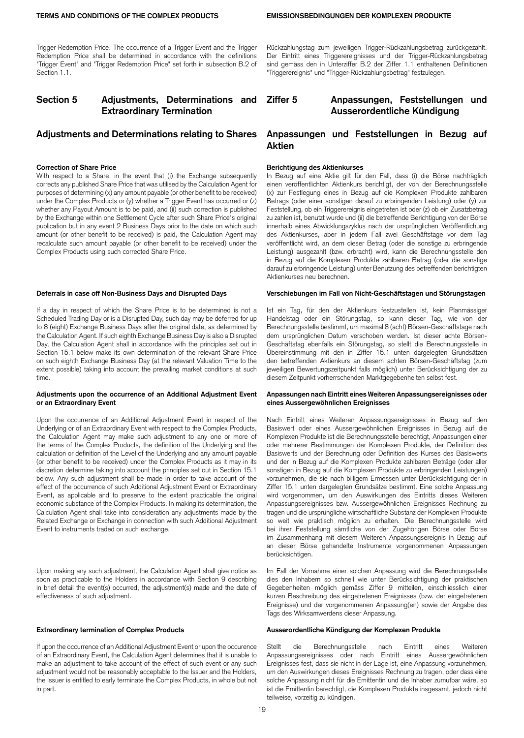Trigger Redemption Price. The occurrence of a Trigger Event and the Trigger Redemption Price shall be determined in accordance with the definitions "Trigger Event" and "Trigger Redemption Price" set forth in subsection B.2 of Section 1.1.

## **Section 5 Adjustments, Determinations and Extraordinary Termination**

### **Correction of Share Price**

With respect to a Share, in the event that (i) the Exchange subsequently corrects any published Share Price that was utilised by the Calculation Agent for purposes of determining (x) any amount payable (or other benefit to be received) under the Complex Products or (y) whether a Trigger Event has occurred or (z) whether any Payout Amount is to be paid, and (ii) such correction is published by the Exchange within one Settlement Cycle after such Share Price's original publication but in any event 2 Business Days prior to the date on which such amount (or other benefit to be received) is paid, the Calculation Agent may recalculate such amount payable (or other benefit to be received) under the Complex Products using such corrected Share Price.

### **Deferrals in case off Non-Business Days and Disrupted Days**

If a day in respect of which the Share Price is to be determined is not a Scheduled Trading Day or is a Disrupted Day, such day may be deferred for up to 8 (eight) Exchange Business Days after the original date, as determined by the Calculation Agent. If such eighth Exchange Business Day is also a Disrupted Day, the Calculation Agent shall in accordance with the principles set out in Section 15.1 below make its own determination of the relevant Share Price on such eighth Exchange Business Day (at the relevant Valuation Time to the extent possible) taking into account the prevailing market conditions at such time.

### **Adjustments upon the occurrence of an Additional Adjustment Event or an Extraordinary Event**

Upon the occurrence of an Additional Adjustment Event in respect of the Underlying or of an Extraordinary Event with respect to the Complex Products, the Calculation Agent may make such adjustment to any one or more of the terms of the Complex Products, the definition of the Underlying and the calculation or definition of the Level of the Underlying and any amount payable (or other benefit to be received) under the Complex Products as it may in its discretion determine taking into account the principles set out in Section 15.1 below. Any such adjustment shall be made in order to take account of the effect of the occurrence of such Additional Adjustment Event or Extraordinary Event, as applicable and to preserve to the extent practicable the original economic substance of the Complex Products. In making its determination, the Calculation Agent shall take into consideration any adjustments made by the Related Exchange or Exchange in connection with such Additional Adjustment Event to instruments traded on such exchange.

Upon making any such adjustment, the Calculation Agent shall give notice as soon as practicable to the Holders in accordance with Section 9 describing in brief detail the event(s) occurred, the adjustment(s) made and the date of effectiveness of such adjustment.

If upon the occurrence of an Additional Adjustment Event or upon the occurence of an Extraordinary Event, the Calculation Agent determines that it is unable to make an adjustment to take account of the effect of such event or any such adjustment would not be reasonably acceptable to the Issuer and the Holders, the Issuer is entitled to early terminate the Complex Products, in whole but not in part.

Rückzahlungstag zum jeweiligen Trigger-Rückzahlungsbetrag zurückgezahlt. Der Eintritt eines Triggerereignisses und der Trigger-Rückzahlungsbetrag sind gemäss den in Unterziffer B.2 der Ziffer 1.1 enthaltenen Definitionen "Triggerereignis" und "Trigger-Rückzahlungsbetrag" festzulegen.

## **Ziffer 5 Anpassungen, Feststellungen und Ausserordentliche Kündigung**

## **Adjustments and Determinations relating to Shares Anpassungen und Feststellungen in Bezug auf Aktien**

### **Berichtigung des Aktienkurses**

In Bezug auf eine Aktie gilt für den Fall, dass (i) die Börse nachträglich einen veröffentlichten Aktienkurs berichtigt, der von der Berechnungsstelle (x) zur Festlegung eines in Bezug auf die Komplexen Produkte zahlbaren Betrags (oder einer sonstigen darauf zu erbringenden Leistung) oder (y) zur Feststellung, ob ein Triggerereignis eingetreten ist oder (z) ob ein Zusatzbetrag zu zahlen ist, benutzt wurde und (ii) die betreffende Berichtigung von der Börse innerhalb eines Abwicklungszyklus nach der ursprünglichen Veröffentlichung des Aktienkurses, aber in jedem Fall zwei Geschäftstage vor dem Tag veröffentlicht wird, an dem dieser Betrag (oder die sonstige zu erbringende Leistung) ausgezahlt (bzw. erbracht) wird, kann die Berechnungsstelle den in Bezug auf die Komplexen Produkte zahlbaren Betrag (oder die sonstige darauf zu erbringende Leistung) unter Benutzung des betreffenden berichtigten Aktienkurses neu berechnen.

### **Verschiebungen im Fall von Nicht-Geschäftstagen und Störungstagen**

Ist ein Tag, für den der Aktienkurs festzustellen ist, kein Planmässiger Handelstag oder ein Störungstag, so kann dieser Tag, wie von der Berechnungsstelle bestimmt, um maximal 8 (acht) Börsen-Geschäftstage nach dem ursprünglichen Datum verschoben werden. Ist dieser achte Börsen-Geschäftstag ebenfalls ein Störungstag, so stellt die Berechnungsstelle in Übereinstimmung mit den in Ziffer 15.1 unten dargelegten Grundsätzen den betreffenden Aktienkurs an diesem achten Börsen-Geschäftstag (zum jeweiligen Bewertungszeitpunkt falls möglich) unter Berücksichtigung der zu diesem Zeitpunkt vorherrschenden Marktgegebenheiten selbst fest.

### **Anpassungen nach Eintritt eines Weiteren Anpassungsereignisses oder eines Aussergewöhnlichen Ereignisses**

Nach Eintritt eines Weiteren Anpassungsereignisses in Bezug auf den Basiswert oder eines Aussergewöhnlichen Ereignisses in Bezug auf die Komplexen Produkte ist die Berechnungsstelle berechtigt, Anpassungen einer oder mehrerer Bestimmungen der Komplexen Produkte, der Definition des Basiswerts und der Berechnung oder Definition des Kurses des Basiswerts und der in Bezug auf die Komplexen Produkte zahlbaren Beträge (oder aller sonstigen in Bezug auf die Komplexen Produkte zu erbringenden Leistungen) vorzunehmen, die sie nach billigem Ermessen unter Berücksichtigung der in Ziffer 15.1 unten dargelegten Grundsätze bestimmt. Eine solche Anpassung wird vorgenommen, um den Auswirkungen des Eintritts dieses Weiteren Anpassungsereignisses bzw. Aussergewöhnlichen Ereignisses Rechnung zu tragen und die ursprüngliche wirtschaftliche Substanz der Komplexen Produkte so weit wie praktisch möglich zu erhalten. Die Berechnungsstelle wird bei ihrer Feststellung sämtliche von der Zugehörigen Börse oder Börse im Zusammenhang mit diesem Weiteren Anpassungsereignis in Bezug auf an dieser Börse gehandelte Instrumente vorgenommenen Anpassungen berücksichtigen.

Im Fall der Vornahme einer solchen Anpassung wird die Berechnungsstelle dies den Inhabern so schnell wie unter Berücksichtigung der praktischen Gegebenheiten möglich gemäss Ziffer 9 mitteilen, einschliesslich einer kurzen Beschreibung des eingetretenen Ereignisses (bzw. der eingetretenen Ereignisse) und der vorgenommenen Anpassung(en) sowie der Angabe des Tags des Wirksamwerdens dieser Anpassung.

### **Extraordinary termination of Complex Products Ausserordentliche Kündigung der Komplexen Produkte**

Stellt die Berechnungsstelle nach Eintritt eines Weiteren Anpassungsereignisses oder nach Eintritt eines Aussergewöhnlichen Ereignisses fest, dass sie nicht in der Lage ist, eine Anpassung vorzunehmen, um den Auswirkungen dieses Ereignisses Rechnung zu tragen, oder dass eine solche Anpassung nicht für die Emittentin und die Inhaber zumutbar wäre, so ist die Emittentin berechtigt, die Komplexen Produkte insgesamt, jedoch nicht teilweise, vorzeitig zu kündigen.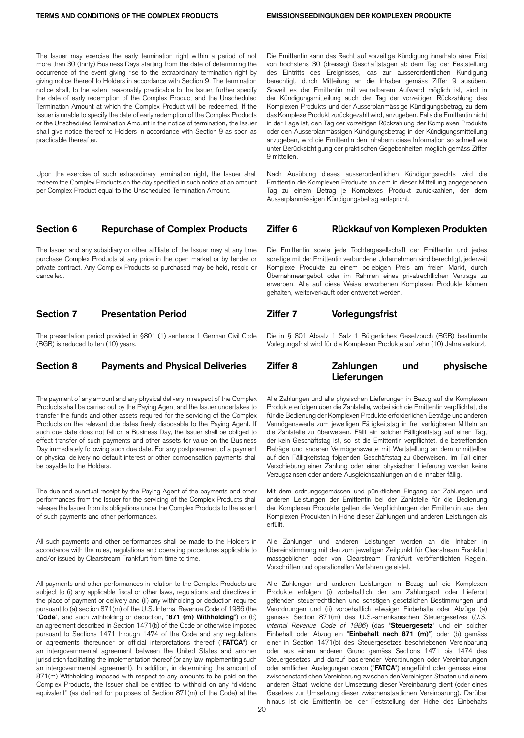The Issuer may exercise the early termination right within a period of not more than 30 (thirty) Business Days starting from the date of determining the occurrence of the event giving rise to the extraordinary termination right by giving notice thereof to Holders in accordance with Section 9. The termination notice shall, to the extent reasonably practicable to the Issuer, further specify the date of early redemption of the Complex Product and the Unscheduled Termination Amount at which the Complex Product will be redeemed. If the Issuer is unable to specify the date of early redemption of the Complex Products or the Unscheduled Termination Amount in the notice of termination, the Issuer shall give notice thereof to Holders in accordance with Section 9 as soon as practicable thereafter.

Upon the exercise of such extraordinary termination right, the Issuer shall redeem the Complex Products on the day specified in such notice at an amount per Complex Product equal to the Unscheduled Termination Amount.

The Issuer and any subsidiary or other affiliate of the Issuer may at any time purchase Complex Products at any price in the open market or by tender or private contract. Any Complex Products so purchased may be held, resold or cancelled.

## **Section 7 Presentation Period Ziffer 7 Vorlegungsfrist**

The presentation period provided in §801 (1) sentence 1 German Civil Code (BGB) is reduced to ten (10) years.

The payment of any amount and any physical delivery in respect of the Complex Products shall be carried out by the Paying Agent and the Issuer undertakes to transfer the funds and other assets required for the servicing of the Complex Products on the relevant due dates freely disposable to the Paying Agent. If such due date does not fall on a Business Day, the Issuer shall be obliged to effect transfer of such payments and other assets for value on the Business Day immediately following such due date. For any postponement of a payment or physical delivery no default interest or other compensation payments shall be payable to the Holders.

The due and punctual receipt by the Paying Agent of the payments and other performances from the Issuer for the servicing of the Complex Products shall release the Issuer from its obligations under the Complex Products to the extent of such payments and other performances.

All such payments and other performances shall be made to the Holders in accordance with the rules, regulations and operating procedures applicable to and/or issued by Clearstream Frankfurt from time to time.

All payments and other performances in relation to the Complex Products are subject to (i) any applicable fiscal or other laws, regulations and directives in the place of payment or delivery and (ii) any withholding or deduction required pursuant to (a) section 871(m) of the U.S. Internal Revenue Code of 1986 (the "**Code**", and such withholding or deduction, "**871 (m) Withholding**") or (b) an agreement described in Section 1471(b) of the Code or otherwise imposed pursuant to Sections 1471 through 1474 of the Code and any regulations or agreements thereunder or official interpretations thereof ("**FATCA**") or an intergovernmental agreement between the United States and another jurisdiction facilitating the implementation thereof (or any law implementing such an intergovernmental agreement). In addition, in determining the amount of 871(m) Withholding imposed with respect to any amounts to be paid on the Complex Products, the Issuer shall be entitled to withhold on any "dividend equivalent" (as defined for purposes of Section 871(m) of the Code) at the

Die Emittentin kann das Recht auf vorzeitige Kündigung innerhalb einer Frist von höchstens 30 (dreissig) Geschäftstagen ab dem Tag der Feststellung des Eintritts des Ereignisses, das zur ausserordentlichen Kündigung berechtigt, durch Mitteilung an die Inhaber gemäss Ziffer 9 ausüben. Soweit es der Emittentin mit vertretbarem Aufwand möglich ist, sind in der Kündigungsmitteilung auch der Tag der vorzeitigen Rückzahlung des Komplexen Produkts und der Ausserplanmässige Kündigungsbetrag, zu dem das Komplexe Produkt zurückgezahlt wird, anzugeben. Falls die Emittentin nicht in der Lage ist, den Tag der vorzeitigen Rückzahlung der Komplexen Produkte oder den Ausserplanmässigen Kündigungsbetrag in der Kündigungsmitteilung anzugeben, wird die Emittentin den Inhabern diese Information so schnell wie unter Berücksichtigung der praktischen Gegebenheiten möglich gemäss Ziffer 9 mitteilen.

Nach Ausübung dieses ausserordentlichen Kündigungsrechts wird die Emittentin die Komplexen Produkte an dem in dieser Mitteilung angegebenen Tag zu einem Betrag je Komplexes Produkt zurückzahlen, der dem Ausserplanmässigen Kündigungsbetrag entspricht.

## **Section 6 Repurchase of Complex Products Ziffer 6 Rückkauf von Komplexen Produkten**

Die Emittentin sowie jede Tochtergesellschaft der Emittentin und jedes sonstige mit der Emittentin verbundene Unternehmen sind berechtigt, jederzeit Komplexe Produkte zu einem beliebigen Preis am freien Markt, durch Übernahmeangebot oder im Rahmen eines privatrechtlichen Vertrags zu erwerben. Alle auf diese Weise erworbenen Komplexen Produkte können gehalten, weiterverkauft oder entwertet werden.

Die in § 801 Absatz 1 Satz 1 Bürgerliches Gesetzbuch (BGB) bestimmte Vorlegungsfrist wird für die Komplexen Produkte auf zehn (10) Jahre verkürzt.

## **Section 8 Payments and Physical Deliveries Ziffer 8 Zahlungen und physische Lieferungen**

Alle Zahlungen und alle physischen Lieferungen in Bezug auf die Komplexen Produkte erfolgen über die Zahlstelle, wobei sich die Emittentin verpflichtet, die für die Bedienung der Komplexen Produkte erforderlichen Beträge und anderen Vermögenswerte zum jeweiligen Fälligkeitstag in frei verfügbaren Mitteln an die Zahlstelle zu überweisen. Fällt ein solcher Fälligkeitstag auf einen Tag, der kein Geschäftstag ist, so ist die Emittentin verpflichtet, die betreffenden Beträge und anderen Vermögenswerte mit Wertstellung an dem unmittelbar auf den Fälligkeitstag folgenden Geschäftstag zu überweisen. Im Fall einer Verschiebung einer Zahlung oder einer physischen Lieferung werden keine Verzugszinsen oder andere Ausgleichszahlungen an die Inhaber fällig.

Mit dem ordnungsgemässen und pünktlichen Eingang der Zahlungen und anderen Leistungen der Emittentin bei der Zahlstelle für die Bedienung der Komplexen Produkte gelten die Verpflichtungen der Emittentin aus den Komplexen Produkten in Höhe dieser Zahlungen und anderen Leistungen als erfüllt.

Alle Zahlungen und anderen Leistungen werden an die Inhaber in Übereinstimmung mit den zum jeweiligen Zeitpunkt für Clearstream Frankfurt massgeblichen oder von Clearstream Frankfurt veröffentlichten Regeln, Vorschriften und operationellen Verfahren geleistet.

Alle Zahlungen und anderen Leistungen in Bezug auf die Komplexen Produkte erfolgen (i) vorbehaltlich der am Zahlungsort oder Lieferort geltenden steuerrechtlichen und sonstigen gesetzlichen Bestimmungen und Verordnungen und (ii) vorbehaltlich etwaiger Einbehalte oder Abzüge (a) gemäss Section 871(m) des U.S.-amerikanischen Steuergesetzes (*U.S. Internal Revenue Code of 1986*) (das "**Steuergesetz**" und ein solcher Einbehalt oder Abzug ein "**Einbehalt nach 871 (m)**") oder (b) gemäss einer in Section 1471(b) des Steuergesetzes beschriebenen Vereinbarung oder aus einem anderen Grund gemäss Sections 1471 bis 1474 des Steuergesetzes und darauf basierender Verordnungen oder Vereinbarungen oder amtlichen Auslegungen davon ("**FATCA**") eingeführt oder gemäss einer zwischenstaatlichen Vereinbarung zwischen den Vereinigten Staaten und einem anderen Staat, welche der Umsetzung dieser Vereinbarung dient (oder eines Gesetzes zur Umsetzung dieser zwischenstaatlichen Vereinbarung). Darüber hinaus ist die Emittentin bei der Feststellung der Höhe des Einbehalts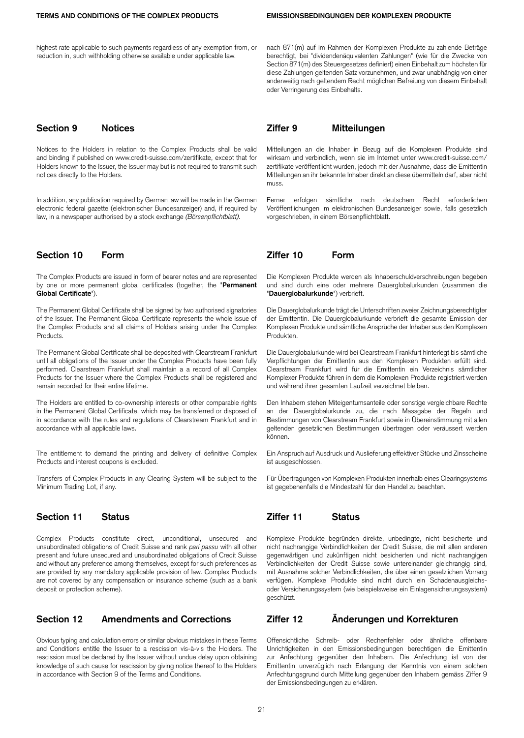highest rate applicable to such payments regardless of any exemption from, or reduction in, such withholding otherwise available under applicable law.

Notices to the Holders in relation to the Complex Products shall be valid and binding if published on www.credit-suisse.com/zertifikate, except that for Holders known to the Issuer, the Issuer may but is not required to transmit such notices directly to the Holders.

In addition, any publication required by German law will be made in the German electronic federal gazette (elektronischer Bundesanzeiger) and, if required by law, in a newspaper authorised by a stock exchange *(Börsenpflichtblatt).*

The Complex Products are issued in form of bearer notes and are represented by one or more permanent global certificates (together, the "**Permanent Global Certificate**").

The Permanent Global Certificate shall be signed by two authorised signatories of the Issuer. The Permanent Global Certificate represents the whole issue of the Complex Products and all claims of Holders arising under the Complex Products.

The Permanent Global Certificate shall be deposited with Clearstream Frankfurt until all obligations of the Issuer under the Complex Products have been fully performed. Clearstream Frankfurt shall maintain a a record of all Complex Products for the Issuer where the Complex Products shall be registered and remain recorded for their entire lifetime.

The Holders are entitled to co-ownership interests or other comparable rights in the Permanent Global Certificate, which may be transferred or disposed of in accordance with the rules and regulations of Clearstream Frankfurt and in accordance with all applicable laws.

The entitlement to demand the printing and delivery of definitive Complex Products and interest coupons is excluded.

Transfers of Complex Products in any Clearing System will be subject to the Minimum Trading Lot, if any.

Complex Products constitute direct, unconditional, unsecured and unsubordinated obligations of Credit Suisse and rank *pari passu* with all other present and future unsecured and unsubordinated obligations of Credit Suisse and without any preference among themselves, except for such preferences as are provided by any mandatory applicable provision of law. Complex Products are not covered by any compensation or insurance scheme (such as a bank deposit or protection scheme).

Obvious typing and calculation errors or similar obvious mistakes in these Terms and Conditions entitle the Issuer to a rescission vis-à-vis the Holders. The rescission must be declared by the Issuer without undue delay upon obtaining knowledge of such cause for rescission by giving notice thereof to the Holders in accordance with Section 9 of the Terms and Conditions.

nach 871(m) auf im Rahmen der Komplexen Produkte zu zahlende Beträge berechtigt, bei "dividendenäquivalenten Zahlungen" (wie für die Zwecke von Section 871(m) des Steuergesetzes definiert) einen Einbehalt zum höchsten für diese Zahlungen geltenden Satz vorzunehmen, und zwar unabhängig von einer anderweitig nach geltendem Recht möglichen Befreiung von diesem Einbehalt oder Verringerung des Einbehalts.

## **Section 9 Notices Ziffer 9 Mitteilungen**

Mitteilungen an die Inhaber in Bezug auf die Komplexen Produkte sind wirksam und verbindlich, wenn sie im Internet unter www.credit-suisse.com/ zertifikate veröffentlicht wurden, jedoch mit der Ausnahme, dass die Emittentin Mitteilungen an ihr bekannte Inhaber direkt an diese übermitteln darf, aber nicht muss.

Ferner erfolgen sämtliche nach deutschem Recht erforderlichen Veröffentlichungen im elektronischen Bundesanzeiger sowie, falls gesetzlich vorgeschrieben, in einem Börsenpflichtblatt.

## **Section 10 Form Ziffer 10 Form**

Die Komplexen Produkte werden als Inhaberschuldverschreibungen begeben und sind durch eine oder mehrere Dauerglobalurkunden (zusammen die "**Dauerglobalurkunde**") verbrieft.

Die Dauerglobalurkunde trägt die Unterschriften zweier Zeichnungsberechtigter der Emittentin. Die Dauerglobalurkunde verbrieft die gesamte Emission der Komplexen Produkte und sämtliche Ansprüche der Inhaber aus den Komplexen Produkten.

Die Dauerglobalurkunde wird bei Clearstream Frankfurt hinterlegt bis sämtliche Verpflichtungen der Emittentin aus den Komplexen Produkten erfüllt sind. Clearstream Frankfurt wird für die Emittentin ein Verzeichnis sämtlicher Komplexer Produkte führen in dem die Komplexen Produkte registriert werden und während ihrer gesamten Laufzeit verzeichnet bleiben.

Den Inhabern stehen Miteigentumsanteile oder sonstige vergleichbare Rechte an der Dauerglobalurkunde zu, die nach Massgabe der Regeln und Bestimmungen von Clearstream Frankfurt sowie in Übereinstimmung mit allen geltenden gesetzlichen Bestimmungen übertragen oder veräussert werden können.

Ein Anspruch auf Ausdruck und Auslieferung effektiver Stücke und Zinsscheine ist ausgeschlossen.

Für Übertragungen von Komplexen Produkten innerhalb eines Clearingsystems ist gegebenenfalls die Mindestzahl für den Handel zu beachten.

## **Section 11 Status Ziffer 11 Status**

Komplexe Produkte begründen direkte, unbedingte, nicht besicherte und nicht nachrangige Verbindlichkeiten der Credit Suisse, die mit allen anderen gegenwärtigen und zukünftigen nicht besicherten und nicht nachrangigen Verbindlichkeiten der Credit Suisse sowie untereinander gleichrangig sind, mit Ausnahme solcher Verbindlichkeiten, die über einen gesetzlichen Vorrang verfügen. Komplexe Produkte sind nicht durch ein Schadenausgleichsoder Versicherungssystem (wie beispielsweise ein Einlagensicherungssystem) geschützt.

## **Section 12 Amendments and Corrections Ziffer 12 Änderungen und Korrekturen**

Offensichtliche Schreib- oder Rechenfehler oder ähnliche offenbare Unrichtigkeiten in den Emissionsbedingungen berechtigen die Emittentin zur Anfechtung gegenüber den Inhabern. Die Anfechtung ist von der Emittentin unverzüglich nach Erlangung der Kenntnis von einem solchen Anfechtungsgrund durch Mitteilung gegenüber den Inhabern gemäss Ziffer 9 der Emissionsbedingungen zu erklären.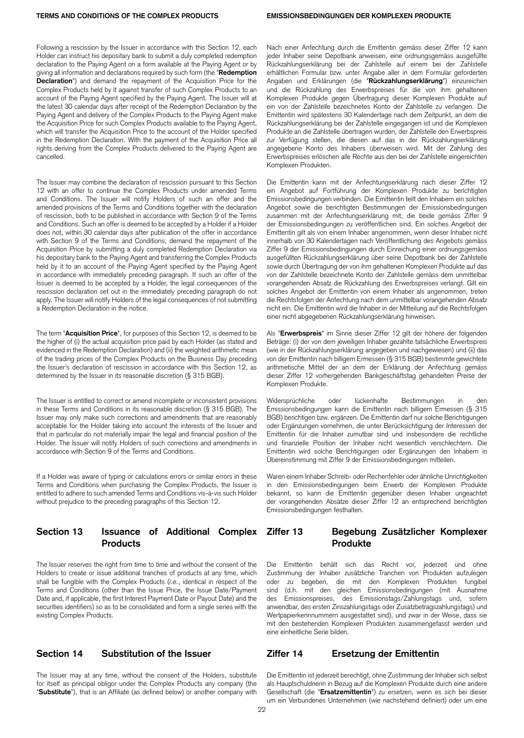Following a rescission by the Issuer in accordance with this Section 12, each Holder can instruct his depositary bank to submit a duly completed redemption declaration to the Paying Agent on a form available at the Paying Agent or by giving all information and declarations required by such form (the "**Redemption Declaration**") and demand the repayment of the Acquisition Price for the Complex Products held by it against transfer of such Complex Products to an account of the Paying Agent specified by the Paying Agent. The Issuer will at the latest 30 calendar days after receipt of the Redemption Declaration by the Paying Agent and delivery of the Complex Products to the Paying Agent make the Acquisition Price for such Complex Products available to the Paying Agent, which will transfer the Acquisition Price to the account of the Holder specified in the Redemption Declaration. With the payment of the Acquisition Price all rights deriving from the Complex Products delivered to the Paying Agent are cancelled.

The Issuer may combine the declaration of rescission pursuant to this Section 12 with an offer to continue the Complex Products under amended Terms and Conditions. The Issuer will notify Holders of such an offer and the amended provisions of the Terms and Conditions together with the declaration of rescission, both to be published in accordance with Section 9 of the Terms and Conditions. Such an offer is deemed to be accepted by a Holder if a Holder does not, within 30 calendar days after publication of the offer in accordance with Section 9 of the Terms and Conditions, demand the repayment of the Acquisition Price by submitting a duly completed Redemption Declaration via his depositary bank to the Paying Agent and transferring the Complex Products held by it to an account of the Paying Agent specified by the Paying Agent in accordance with immediately preceding paragraph. If such an offer of the Issuer is deemed to be accepted by a Holder, the legal consequences of the rescission declaration set out in the immediately preceding paragraph do not apply. The Issuer will notify Holders of the legal consequences of not submitting a Redemption Declaration in the notice.

The term "**Acquisition Price**", for purposes of this Section 12, is deemed to be the higher of (i) the actual acquisition price paid by each Holder (as stated and evidenced in the Redemption Declaration) and (ii) the weighted arithmetic mean of the trading prices of the Complex Products on the Business Day preceding the Issuer's declaration of rescission in accordance with this Section 12, as determined by the Issuer in its reasonable discretion (§ 315 BGB).

The Issuer is entitled to correct or amend incomplete or inconsistent provisions in these Terms and Conditions in its reasonable discretion (§ 315 BGB). The Issuer may only make such corrections and amendments that are reasonably acceptable for the Holder taking into account the interests of the Issuer and that in particular do not materially impair the legal and financial position of the Holder. The Issuer will notify Holders of such corrections and amendments in accordance with Section 9 of the Terms and Conditions.

If a Holder was aware of typing or calculations errors or similar errors in these Terms and Conditions when purchasing the Complex Products, the Issuer is entitled to adhere to such amended Terms and Conditions vis-à-vis such Holder without prejudice to the preceding paragraphs of this Section 12.

## **Section 13 Issuance of Additional Complex Products**

The Issuer reserves the right from time to time and without the consent of the Holders to create or issue additional tranches of products at any time, which shall be fungible with the Complex Products (*i.e.*, identical in respect of the Terms and Conditions (other than the Issue Price, the Issue Date/Payment Date and, if applicable, the first Interest Payment Date or Payout Date) and the securities identifiers) so as to be consolidated and form a single series with the existing Complex Products.

The Issuer may at any time, without the consent of the Holders, substitute for itself as principal obligor under the Complex Products any company (the "**Substitute**"), that is an Affiliate (as defined below) or another company with Nach einer Anfechtung durch die Emittentin gemäss dieser Ziffer 12 kann jeder Inhaber seine Depotbank anweisen, eine ordnungsgemäss ausgefüllte Rückzahlungserklärung bei der Zahlstelle auf einem bei der Zahlstelle erhältlichen Formular bzw. unter Angabe aller in dem Formular geforderten Angaben und Erklärungen (die "**Rückzahlungserklärung**") einzureichen und die Rückzahlung des Erwerbspreises für die von ihm gehaltenen Komplexen Produkte gegen Übertragung dieser Komplexen Produkte auf ein von der Zahlstelle bezeichnetes Konto der Zahlstelle zu verlangen. Die Emittentin wird spätestens 30 Kalendertage nach dem Zeitpunkt, an dem die Rückzahlungserklärung bei der Zahlstelle eingegangen ist und die Komplexen Produkte an die Zahlstelle übertragen wurden, der Zahlstelle den Erwerbspreis zur Verfügung stellen, die diesen auf das in der Rückzahlungserklärung angegebene Konto des Inhabers überweisen wird. Mit der Zahlung des Erwerbspreises erlöschen alle Rechte aus den bei der Zahlstelle eingereichten Komplexen Produkten.

Die Emittentin kann mit der Anfechtungserklärung nach dieser Ziffer 12 ein Angebot auf Fortführung der Komplexen Produkte zu berichtigten Emissionsbedingungen verbinden. Die Emittentin teilt den Inhabern ein solches Angebot sowie die berichtigten Bestimmungen der Emissionsbedingungen zusammen mit der Anfechtungserklärung mit, die beide gemäss Ziffer 9 der Emissionsbedingungen zu veröffentlichen sind. Ein solches Angebot der Emittentin gilt als von einem Inhaber angenommen, wenn dieser Inhaber nicht innerhalb von 30 Kalendertagen nach Veröffentlichung des Angebots gemäss Ziffer 9 der Emissionsbedingungen durch Einreichung einer ordnungsgemäss ausgefüllten Rückzahlungserklärung über seine Depotbank bei der Zahlstelle sowie durch Übertragung der von ihm gehaltenen Komplexen Produkte auf das von der Zahlstelle bezeichnete Konto der Zahlstelle gemäss dem unmittelbar vorangehenden Absatz die Rückzahlung des Erwerbspreises verlangt. Gilt ein solches Angebot der Emittentin von einem Inhaber als angenommen, treten die Rechtsfolgen der Anfechtung nach dem unmittelbar vorangehenden Absatz nicht ein. Die Emittentin wird die Inhaber in der Mitteilung auf die Rechtsfolgen einer nicht abgegebenen Rückzahlungserklärung hinweisen.

Als "**Erwerbspreis**" im Sinne dieser Ziffer 12 gilt der höhere der folgenden Beträge: (i) der von dem jeweiligen Inhaber gezahlte tatsächliche Erwerbspreis (wie in der Rückzahlungserklärung angegeben und nachgewiesen) und (ii) das von der Emittentin nach billigem Ermessen (§ 315 BGB) bestimmte gewichtete arithmetische Mittel der an dem der Erklärung der Anfechtung gemäss dieser Ziffer 12 vorhergehenden Bankgeschäftstag gehandelten Preise der Komplexen Produkte.

Widersprüchliche oder lückenhafte Bestimmungen in den Emissionsbedingungen kann die Emittentin nach billigem Ermessen (§ 315 BGB) berichtigen bzw. ergänzen. Die Emittentin darf nur solche Berichtigungen oder Ergänzungen vornehmen, die unter Berücksichtigung der Interessen der Emittentin für die Inhaber zumutbar sind und insbesondere die rechtliche und finanzielle Position der Inhaber nicht wesentlich verschlechtern. Die Emittentin wird solche Berichtigungen oder Ergänzungen den Inhabern in Übereinstimmung mit Ziffer 9 der Emissionsbedingungen mitteilen.

Waren einem Inhaber Schreib- oder Rechenfehler oder ähnliche Unrichtigkeiten in den Emissionsbedingungen beim Erwerb der Komplexen Produkte bekannt, so kann die Emittentin gegenüber diesen Inhaber ungeachtet der vorangehenden Absätze dieser Ziffer 12 an entsprechend berichtigten Emissionsbedingungen festhalten.

## **Ziffer 13 Begebung Zusätzlicher Komplexer Produkte**

Die Emittentin behält sich das Recht vor, jederzeit und ohne Zustimmung der Inhaber zusätzliche Tranchen von Produkten aufzulegen oder zu begeben, die mit den Komplexen Produkten fungibel sind (d.h. mit den gleichen Emissionsbedingungen (mit Ausnahme des Emissionspreises, des Emissionstags/Zahlungstags und, sofern anwendbar, des ersten Zinszahlungstags oder Zusatzbetragszahlungstags) und Wertpapierkennnummern ausgestattet sind), und zwar in der Weise, dass sie mit den bestehenden Komplexen Produkten zusammengefasst werden und eine einheitliche Serie bilden.

## **Section 14 Substitution of the Issuer Ziffer 14 Ersetzung der Emittentin**

Die Emittentin ist jederzeit berechtigt, ohne Zustimmung der Inhaber sich selbst als Hauptschuldnerin in Bezug auf die Komplexen Produkte durch eine andere Gesellschaft (die "**Ersatzemittentin**") zu ersetzen, wenn es sich bei dieser um ein Verbundenes Unternehmen (wie nachstehend definiert) oder um eine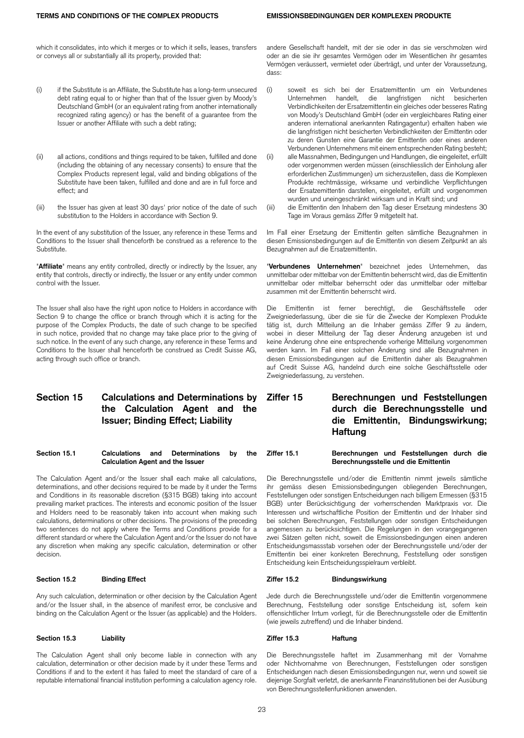which it consolidates, into which it merges or to which it sells, leases, transfers or conveys all or substantially all its property, provided that:

- (i) if the Substitute is an Affiliate, the Substitute has a long-term unsecured debt rating equal to or higher than that of the Issuer given by Moody's Deutschland GmbH (or an equivalent rating from another internationally recognized rating agency) or has the benefit of a guarantee from the Issuer or another Affiliate with such a debt rating;
- (ii) all actions, conditions and things required to be taken, fulfilled and done (including the obtaining of any necessary consents) to ensure that the Complex Products represent legal, valid and binding obligations of the Substitute have been taken, fulfilled and done and are in full force and effect; and
- (iii) the Issuer has given at least 30 days' prior notice of the date of such substitution to the Holders in accordance with Section 9.

In the event of any substitution of the Issuer, any reference in these Terms and Conditions to the Issuer shall thenceforth be construed as a reference to the Substitute.

"**Affiliate**" means any entity controlled, directly or indirectly by the Issuer, any entity that controls, directly or indirectly, the Issuer or any entity under common control with the Issuer.

The Issuer shall also have the right upon notice to Holders in accordance with Section 9 to change the office or branch through which it is acting for the purpose of the Complex Products, the date of such change to be specified in such notice, provided that no change may take place prior to the giving of such notice. In the event of any such change, any reference in these Terms and Conditions to the Issuer shall henceforth be construed as Credit Suisse AG, acting through such office or branch.

## **Section 15 Calculations and Determinations by the Calculation Agent and the Issuer; Binding Effect; Liability**

**Section 15.1 Calculations and Determinations by the Calculation Agent and the Issuer**

The Calculation Agent and/or the Issuer shall each make all calculations, determinations, and other decisions required to be made by it under the Terms and Conditions in its reasonable discretion (§315 BGB) taking into account prevailing market practices. The interests and economic position of the Issuer and Holders need to be reasonably taken into account when making such calculations, determinations or other decisions. The provisions of the preceding two sentences do not apply where the Terms and Conditions provide for a different standard or where the Calculation Agent and/or the Issuer do not have any discretion when making any specific calculation, determination or other decision.

Any such calculation, determination or other decision by the Calculation Agent and/or the Issuer shall, in the absence of manifest error, be conclusive and binding on the Calculation Agent or the Issuer (as applicable) and the Holders.

The Calculation Agent shall only become liable in connection with any calculation, determination or other decision made by it under these Terms and Conditions if and to the extent it has failed to meet the standard of care of a reputable international financial institution performing a calculation agency role. andere Gesellschaft handelt, mit der sie oder in das sie verschmolzen wird oder an die sie ihr gesamtes Vermögen oder im Wesentlichen ihr gesamtes Vermögen veräussert, vermietet oder überträgt, und unter der Voraussetzung, dass:

- (i) soweit es sich bei der Ersatzemittentin um ein Verbundenes Unternehmen handelt, die langfristigen nicht besicherten Verbindlichkeiten der Ersatzemittentin ein gleiches oder besseres Rating von Moody's Deutschland GmbH (oder ein vergleichbares Rating einer anderen international anerkannten Ratingagentur) erhalten haben wie die langfristigen nicht besicherten Verbindlichkeiten der Emittentin oder zu deren Gunsten eine Garantie der Emittentin oder eines anderen Verbundenen Unternehmens mit einem entsprechenden Rating besteht; (ii) alle Massnahmen, Bedingungen und Handlungen, die eingeleitet, erfüllt oder vorgenommen werden müssen (einschliesslich der Einholung aller
- erforderlichen Zustimmungen) um sicherzustellen, dass die Komplexen Produkte rechtmässige, wirksame und verbindliche Verpflichtungen der Ersatzemittentin darstellen, eingeleitet, erfüllt und vorgenommen wurden und uneingeschränkt wirksam und in Kraft sind; und
- (iii) die Emittentin den Inhabern den Tag dieser Ersetzung mindestens 30 Tage im Voraus gemäss Ziffer 9 mitgeteilt hat.

Im Fall einer Ersetzung der Emittentin gelten sämtliche Bezugnahmen in diesen Emissionsbedingungen auf die Emittentin von diesem Zeitpunkt an als Bezugnahmen auf die Ersatzemittentin.

"**Verbundenes Unternehmen**" bezeichnet jedes Unternehmen, das unmittelbar oder mittelbar von der Emittentin beherrscht wird, das die Emittentin unmittelbar oder mittelbar beherrscht oder das unmittelbar oder mittelbar zusammen mit der Emittentin beherrscht wird.

Die Emittentin ist ferner berechtigt, die Geschäftsstelle oder Zweigniederlassung, über die sie für die Zwecke der Komplexen Produkte tätig ist, durch Mitteilung an die Inhaber gemäss Ziffer 9 zu ändern, wobei in dieser Mitteilung der Tag dieser Änderung anzugeben ist und keine Änderung ohne eine entsprechende vorherige Mitteilung vorgenommen werden kann. Im Fall einer solchen Änderung sind alle Bezugnahmen in diesen Emissionsbedingungen auf die Emittentin daher als Bezugnahmen auf Credit Suisse AG, handelnd durch eine solche Geschäftsstelle oder Zweigniederlassung, zu verstehen.

**Ziffer 15 Berechnungen und Feststellungen durch die Berechnungsstelle und die Emittentin, Bindungswirkung; Haftung**

**Ziffer 15.1 Berechnungen und Feststellungen durch die Berechnungsstelle und die Emittentin**

Die Berechnungsstelle und/oder die Emittentin nimmt jeweils sämtliche ihr gemäss diesen Emissionsbedingungen obliegenden Berechnungen, Feststellungen oder sonstigen Entscheidungen nach billigem Ermessen (§315 BGB) unter Berücksichtigung der vorherrschenden Marktpraxis vor. Die Interessen und wirtschaftliche Position der Emittentin und der Inhaber sind bei solchen Berechnungen, Feststellungen oder sonstigen Entscheidungen angemessen zu berücksichtigen. Die Regelungen in den vorangegangenen zwei Sätzen gelten nicht, soweit die Emissionsbedingungen einen anderen Entscheidungsmassstab vorsehen oder der Berechnungsstelle und/oder der Emittentin bei einer konkreten Berechnung, Feststellung oder sonstigen Entscheidung kein Entscheidungsspielraum verbleibt.

### **Section 15.2 Binding Effect Ziffer 15.2 Bindungswirkung**

Jede durch die Berechnungsstelle und/oder die Emittentin vorgenommene Berechnung, Feststellung oder sonstige Entscheidung ist, sofern kein offensichtlicher Irrtum vorliegt, für die Berechnungsstelle oder die Emittentin (wie jeweils zutreffend) und die Inhaber bindend.

### **Section 15.3 Liability Ziffer 15.3 Haftung**

Die Berechnungsstelle haftet im Zusammenhang mit der Vornahme oder Nichtvornahme von Berechnungen, Feststellungen oder sonstigen Entscheidungen nach diesen Emissionsbedingungen nur, wenn und soweit sie diejenige Sorgfalt verletzt, die anerkannte Finanzinstitutionen bei der Ausübung von Berechnungsstellenfunktionen anwenden.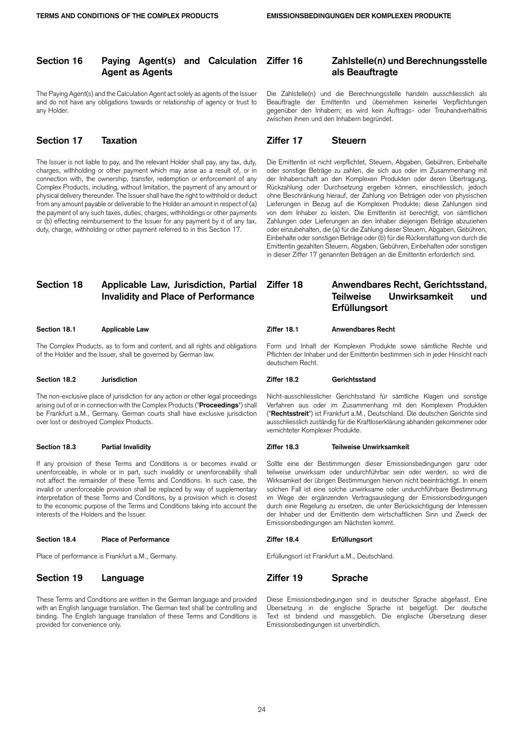## **Section 16 Paying Agent(s) and Calculation Agent as Agents**

The Paying Agent(s) and the Calculation Agent act solely as agents of the Issuer and do not have any obligations towards or relationship of agency or trust to any Holder.

## **Section 17 Taxation Ziffer 17 Steuern**

The Issuer is not liable to pay, and the relevant Holder shall pay, any tax, duty, charges, withholding or other payment which may arise as a result of, or in connection with, the ownership, transfer, redemption or enforcement of any Complex Products, including, without limitation, the payment of any amount or physical delivery thereunder. The Issuer shall have the right to withhold or deduct from any amount payable or deliverable to the Holder an amount in respect of (a) the payment of any such taxes, duties, charges, withholdings or other payments or (b) effecting reimbursement to the Issuer for any payment by it of any tax, duty, charge, withholding or other payment referred to in this Section 17.

## **Section 18 Applicable Law, Jurisdiction, Partial Invalidity and Place of Performance**

The Complex Products, as to form and content, and all rights and obligations of the Holder and the Issuer, shall be governed by German law.

### **Section 18.2 Jurisdiction Ziffer 18.2 Gerichtsstand**

The non-exclusive place of jurisdiction for any action or other legal proceedings arising out of or in connection with the Complex Products ("**Proceedings**") shall be Frankfurt a.M., Germany. German courts shall have exclusive jurisdiction over lost or destroyed Complex Products.

If any provision of these Terms and Conditions is or becomes invalid or unenforceable, in whole or in part, such invalidity or unenforceability shall not affect the remainder of these Terms and Conditions. In such case, the invalid or unenforceable provision shall be replaced by way of supplementary interpretation of these Terms and Conditions, by a provision which is closest to the economic purpose of the Terms and Conditions taking into account the interests of the Holders and the Issuer.

### **Section 18.4 Place of Performance Ziffer 18.4 Erfüllungsort**

Place of performance is Frankfurt a.M., Germany. The extendion of the entity of the Frankfurt a.M., Deutschland.

## **Section 19 Language Ziffer 19 Sprache**

These Terms and Conditions are written in the German language and provided with an English language translation. The German text shall be controlling and binding. The English language translation of these Terms and Conditions is provided for convenience only.

## **Ziffer 16 Zahlstelle(n) und Berechnungsstelle als Beauftragte**

Die Zahlstelle(n) und die Berechnungsstelle handeln ausschliesslich als Beauftragte der Emittentin und übernehmen keinerlei Verpflichtungen gegenüber den Inhabern; es wird kein Auftrags- oder Treuhandverhältnis zwischen ihnen und den Inhabern begründet.

Die Emittentin ist nicht verpflichtet, Steuern, Abgaben, Gebühren, Einbehalte oder sonstige Beträge zu zahlen, die sich aus oder im Zusammenhang mit der Inhaberschaft an den Komplexen Produkten oder deren Übertragung, Rückzahlung oder Durchsetzung ergeben können, einschliesslich, jedoch ohne Beschränkung hierauf, der Zahlung von Beträgen oder von physischen Lieferungen in Bezug auf die Komplexen Produkte; diese Zahlungen sind von dem Inhaber zu leisten. Die Emittentin ist berechtigt, von sämtlichen Zahlungen oder Lieferungen an den Inhaber diejenigen Beträge abzuziehen oder einzubehalten, die (a) für die Zahlung dieser Steuern, Abgaben, Gebühren, Einbehalte oder sonstigen Beträge oder (b) für die Rückerstattung von durch die Emittentin gezahlten Steuern, Abgaben, Gebühren, Einbehalten oder sonstigen in dieser Ziffer 17 genannten Beträgen an die Emittentin erforderlich sind.

## **Ziffer 18 Anwendbares Recht, Gerichtsstand, Teilweise Unwirksamkeit und Erfüllungsort**

### **Section 18.1 Applicable Law Ziffer 18.1 Anwendbares Recht**

Form und Inhalt der Komplexen Produkte sowie sämtliche Rechte und Pflichten der Inhaber und der Emittentin bestimmen sich in jeder Hinsicht nach deutschem Recht.

Nicht-ausschliesslicher Gerichtsstand für sämtliche Klagen und sonstige Verfahren aus oder im Zusammenhang mit den Komplexen Produkten ("**Rechtsstreit**") ist Frankfurt a.M., Deutschland. Die deutschen Gerichte sind ausschliesslich zuständig für die Kraftloserklärung abhanden gekommener oder vernichteter Komplexer Produkte.

### **Section 18.3 Partial Invalidity Ziffer 18.3 Teilweise Unwirksamkeit**

Sollte eine der Bestimmungen dieser Emissionsbedingungen ganz oder teilweise unwirksam oder undurchführbar sein oder werden, so wird die Wirksamkeit der übrigen Bestimmungen hiervon nicht beeinträchtigt. In einem solchen Fall ist eine solche unwirksame oder undurchführbare Bestimmung im Wege der ergänzenden Vertragsauslegung der Emissionsbedingungen durch eine Regelung zu ersetzen, die unter Berücksichtigung der Interessen der Inhaber und der Emittentin dem wirtschaftlichen Sinn und Zweck der Emissionsbedingungen am Nächsten kommt.

Diese Emissionsbedingungen sind in deutscher Sprache abgefasst. Eine Übersetzung in die englische Sprache ist beigefügt. Der deutsche Text ist bindend und massgeblich. Die englische Übersetzung dieser Emissionsbedingungen ist unverbindlich.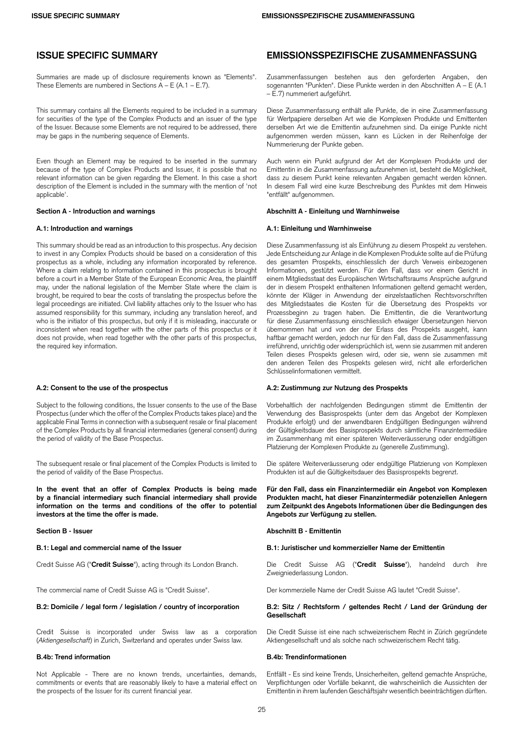Summaries are made up of disclosure requirements known as "Elements". These Elements are numbered in Sections  $A - E (A.1 - E.7)$ .

This summary contains all the Elements required to be included in a summary for securities of the type of the Complex Products and an issuer of the type of the Issuer. Because some Elements are not required to be addressed, there may be gaps in the numbering sequence of Elements.

Even though an Element may be required to be inserted in the summary because of the type of Complex Products and Issuer, it is possible that no relevant information can be given regarding the Element. In this case a short description of the Element is included in the summary with the mention of 'not applicable'.

This summary should be read as an introduction to this prospectus. Any decision to invest in any Complex Products should be based on a consideration of this prospectus as a whole, including any information incorporated by reference. Where a claim relating to information contained in this prospectus is brought before a court in a Member State of the European Economic Area, the plaintiff may, under the national legislation of the Member State where the claim is brought, be required to bear the costs of translating the prospectus before the legal proceedings are initiated. Civil liability attaches only to the Issuer who has assumed responsibility for this summary, including any translation hereof, and who is the initiator of this prospectus, but only if it is misleading, inaccurate or inconsistent when read together with the other parts of this prospectus or it does not provide, when read together with the other parts of this prospectus, the required key information.

Subject to the following conditions, the Issuer consents to the use of the Base Prospectus (under which the offer of the Complex Products takes place) and the applicable Final Terms in connection with a subsequent resale or final placement of the Complex Products by all financial intermediaries (general consent) during the period of validity of the Base Prospectus.

The subsequent resale or final placement of the Complex Products is limited to the period of validity of the Base Prospectus.

**In the event that an offer of Complex Products is being made by a financial intermediary such financial intermediary shall provide information on the terms and conditions of the offer to potential investors at the time the offer is made.**

The commercial name of Credit Suisse AG is "Credit Suisse". Der kommerzielle Name der Credit Suisse AG lautet "Credit Suisse".

Credit Suisse is incorporated under Swiss law as a corporation (*Aktiengesellschaft*) in Zurich, Switzerland and operates under Swiss law.

Not Applicable - There are no known trends, uncertainties, demands, commitments or events that are reasonably likely to have a material effect on the prospects of the Issuer for its current financial year.

## **ISSUE SPECIFIC SUMMARY EMISSIONSSPEZIFISCHE ZUSAMMENFASSUNG**

Zusammenfassungen bestehen aus den geforderten Angaben, den sogenannten "Punkten". Diese Punkte werden in den Abschnitten A – E (A.1 – E.7) nummeriert aufgeführt.

Diese Zusammenfassung enthält alle Punkte, die in eine Zusammenfassung für Wertpapiere derselben Art wie die Komplexen Produkte und Emittenten derselben Art wie die Emittentin aufzunehmen sind. Da einige Punkte nicht aufgenommen werden müssen, kann es Lücken in der Reihenfolge der Nummerierung der Punkte geben.

Auch wenn ein Punkt aufgrund der Art der Komplexen Produkte und der Emittentin in die Zusammenfassung aufzunehmen ist, besteht die Möglichkeit, dass zu diesem Punkt keine relevanten Angaben gemacht werden können. In diesem Fall wird eine kurze Beschreibung des Punktes mit dem Hinweis "entfällt" aufgenommen.

### **Section A - Introduction and warnings Abschnitt A - Einleitung und Warnhinweise**

### **A.1: Introduction and warnings A.1: Einleitung und Warnhinweise**

Diese Zusammenfassung ist als Einführung zu diesem Prospekt zu verstehen. Jede Entscheidung zur Anlage in die Komplexen Produkte sollte auf die Prüfung des gesamten Prospekts, einschliesslich der durch Verweis einbezogenen Informationen, gestützt werden. Für den Fall, dass vor einem Gericht in einem Mitgliedsstaat des Europäischen Wirtschaftsraums Ansprüche aufgrund der in diesem Prospekt enthaltenen Informationen geltend gemacht werden, könnte der Kläger in Anwendung der einzelstaatlichen Rechtsvorschriften des Mitgliedstaates die Kosten für die Übersetzung des Prospekts vor Prozessbeginn zu tragen haben. Die Emittentin, die die Verantwortung für diese Zusammenfassung einschliesslich etwaiger Übersetzungen hiervon übernommen hat und von der der Erlass des Prospekts ausgeht, kann haftbar gemacht werden, jedoch nur für den Fall, dass die Zusammenfassung irreführend, unrichtig oder widersprüchlich ist, wenn sie zusammen mit anderen Teilen dieses Prospekts gelesen wird, oder sie, wenn sie zusammen mit den anderen Teilen des Prospekts gelesen wird, nicht alle erforderlichen Schlüsselinformationen vermittelt.

### **A.2: Consent to the use of the prospectus A.2: Zustimmung zur Nutzung des Prospekts**

Vorbehaltlich der nachfolgenden Bedingungen stimmt die Emittentin der Verwendung des Basisprospekts (unter dem das Angebot der Komplexen Produkte erfolgt) und der anwendbaren Endgültigen Bedingungen während der Gültigkeitsdauer des Basisprospekts durch sämtliche Finanzintermediäre im Zusammenhang mit einer späteren Weiterveräusserung oder endgültigen Platzierung der Komplexen Produkte zu (generelle Zustimmung).

Die spätere Weiterveräusserung oder endgültige Platzierung von Komplexen Produkten ist auf die Gültigkeitsdauer des Basisprospekts begrenzt.

**Für den Fall, dass ein Finanzintermediär ein Angebot von Komplexen Produkten macht, hat dieser Finanzintermediär potenziellen Anlegern zum Zeitpunkt des Angebots Informationen über die Bedingungen des Angebots zur Verfügung zu stellen.**

### **Section B - Issuer Abschnitt B - Emittentin**

### **B.1: Legal and commercial name of the Issuer B.1: Juristischer und kommerzieller Name der Emittentin**

Credit Suisse AG ("**Credit Suisse**"), acting through its London Branch. Die Credit Suisse AG ("**Credit Suisse**"), handelnd durch ihre Zweigniederlassung London.

### **B.2: Domicile / legal form / legislation / country of incorporation B.2: Sitz / Rechtsform / geltendes Recht / Land der Gründung der Gesellschaft**

Die Credit Suisse ist eine nach schweizerischem Recht in Zürich gegründete Aktiengesellschaft und als solche nach schweizerischem Recht tätig.

### **B.4b: Trend information B.4b: Trendinformationen**

Entfällt - Es sind keine Trends, Unsicherheiten, geltend gemachte Ansprüche, Verpflichtungen oder Vorfälle bekannt, die wahrscheinlich die Aussichten der Emittentin in ihrem laufenden Geschäftsjahr wesentlich beeinträchtigen dürften.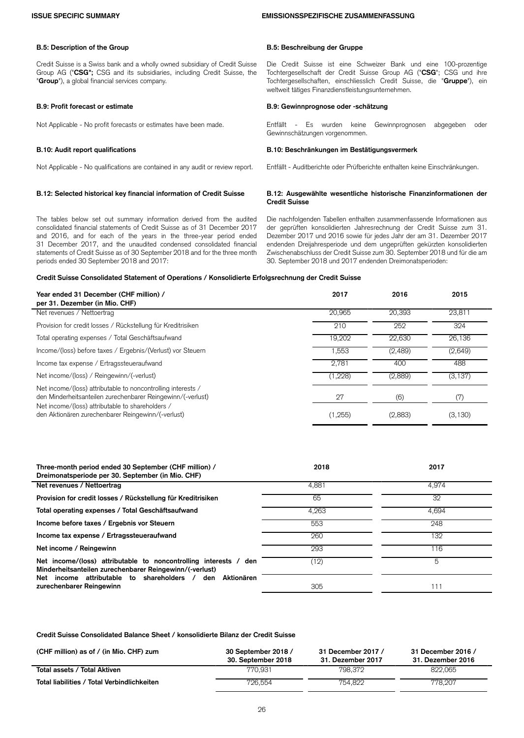### **ISSUE SPECIFIC SUMMARY EMISSIONSSPEZIFISCHE ZUSAMMENFASSUNG**

### **B.5: Description of the Group B.5: Beschreibung der Gruppe**

Credit Suisse is a Swiss bank and a wholly owned subsidiary of Credit Suisse Group AG ("**CSG";** CSG and its subsidiaries, including Credit Suisse, the "**Group**"), a global financial services company.

Not Applicable - No qualifications are contained in any audit or review report. Entfällt - Auditberichte oder Prüfberichte enthalten keine Einschränkungen.

The tables below set out summary information derived from the audited consolidated financial statements of Credit Suisse as of 31 December 2017 and 2016, and for each of the years in the three-year period ended 31 December 2017, and the unaudited condensed consolidated financial statements of Credit Suisse as of 30 September 2018 and for the three month periods ended 30 September 2018 and 2017:

Die Credit Suisse ist eine Schweizer Bank und eine 100-prozentige Tochtergesellschaft der Credit Suisse Group AG ("**CSG**"; CSG und ihre Tochtergesellschaften, einschliesslich Credit Suisse, die "**Gruppe**"), ein weltweit tätiges Finanzdienstleistungsunternehmen.

### **B.9: Profit forecast or estimate B.9: Gewinnprognose oder -schätzung**

Not Applicable - No profit forecasts or estimates have been made. 
Es wurden keine Gewinnprognosen abgegeben oder Gewinnschätzungen vorgenommen.

### **B.10: Audit report qualifications B.10: Beschränkungen im Bestätigungsvermerk**

### **B.12: Selected historical key financial information of Credit Suisse B.12: Ausgewählte wesentliche historische Finanzinformationen der Credit Suisse**

Die nachfolgenden Tabellen enthalten zusammenfassende Informationen aus der geprüften konsolidierten Jahresrechnung der Credit Suisse zum 31. Dezember 2017 und 2016 sowie für jedes Jahr der am 31. Dezember 2017 endenden Dreijahresperiode und dem ungeprüften gekürzten konsolidierten Zwischenabschluss der Credit Suisse zum 30. September 2018 und für die am 30. September 2018 und 2017 endenden Dreimonatsperioden:

### **Credit Suisse Consolidated Statement of Operations / Konsolidierte Erfolgsrechnung der Credit Suisse**

| Year ended 31 December (CHF million) /<br>per 31. Dezember (in Mio. CHF)                                                                                                        | 2017     | 2016    | 2015     |
|---------------------------------------------------------------------------------------------------------------------------------------------------------------------------------|----------|---------|----------|
| Net revenues / Nettoertrag                                                                                                                                                      | 20.965   | 20,393  | 23,811   |
| Provision for credit losses / Rückstellung für Kreditrisiken                                                                                                                    | 210      | 252     | 324      |
| Total operating expenses / Total Geschäftsaufwand                                                                                                                               | 19.202   | 22,630  | 26,136   |
| Income/(loss) before taxes / Ergebnis/(Verlust) vor Steuern                                                                                                                     | 1.553    | (2,489) | (2,649)  |
| Income tax expense / Ertragssteueraufwand                                                                                                                                       | 2.781    | 400     | 488      |
| Net income/(loss) / Reingewinn/(-verlust)                                                                                                                                       | (1,228)  | (2,889) | (3, 137) |
| Net income/(loss) attributable to noncontrolling interests /<br>den Minderheitsanteilen zurechenbarer Reingewinn/(-verlust)<br>Net income/(loss) attributable to shareholders / | 27       | (6)     | (7)      |
| den Aktionären zurechenbarer Reingewinn/(-verlust)                                                                                                                              | (1, 255) | (2,883) | (3, 130) |

| Three-month period ended 30 September (CHF million) /<br>Dreimonatsperiode per 30. September (in Mio. CHF)                  | 2018  | 2017  |
|-----------------------------------------------------------------------------------------------------------------------------|-------|-------|
| Net revenues / Nettoertrag                                                                                                  | 4.881 | 4.974 |
| Provision for credit losses / Rückstellung für Kreditrisiken                                                                | 65    | 32    |
| Total operating expenses / Total Geschäftsaufwand                                                                           | 4.263 | 4.694 |
| Income before taxes / Ergebnis vor Steuern                                                                                  | 553   | 248   |
| Income tax expense / Ertragssteueraufwand                                                                                   | 260   | 132   |
| Net income / Reingewinn                                                                                                     | 293   | 116   |
| Net income/(loss) attributable to noncontrolling interests / den<br>Minderheitsanteilen zurechenbarer Reingewinn/(-verlust) | (12)  | 5     |
| income attributable to shareholders /<br>Aktionären<br>den<br>Net<br>zurechenbarer Reingewinn                               | 305   | 111   |

**Credit Suisse Consolidated Balance Sheet / konsolidierte Bilanz der Credit Suisse**

| (CHF million) as of / (in Mio. CHF) zum     | 30 September 2018 /<br>30. September 2018 | 31 December 2017 /<br>31. Dezember 2017 | 31 December 2016 /<br>31. Dezember 2016 |
|---------------------------------------------|-------------------------------------------|-----------------------------------------|-----------------------------------------|
| Total assets / Total Aktiven                | 770.931                                   | 798.372                                 | 822.065                                 |
| Total liabilities / Total Verbindlichkeiten | 726.554                                   | 754.822                                 | 778.207                                 |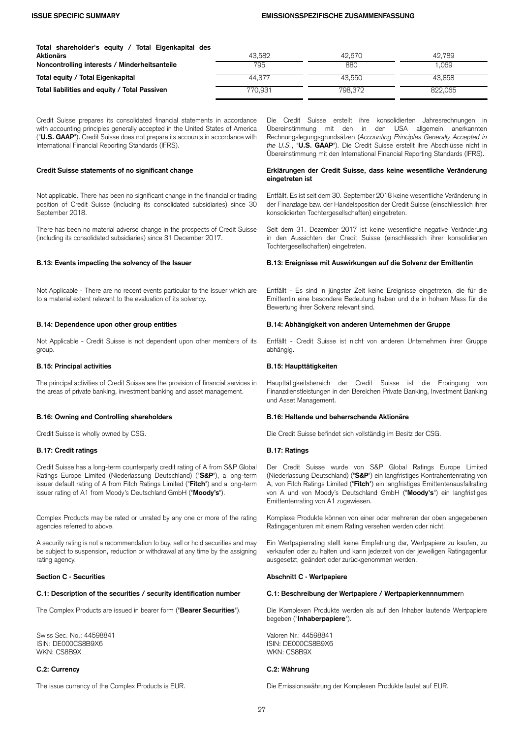### **ISSUE SPECIFIC SUMMARY EMISSIONSSPEZIFISCHE ZUSAMMENFASSUNG**

| Total shareholder's equity / Total Eigenkapital des |         |         |         |
|-----------------------------------------------------|---------|---------|---------|
| Aktionärs                                           | 43.582  | 42.670  | 42.789  |
| Noncontrolling interests / Minderheitsanteile       | 795     | 880     | 069     |
| Total equity / Total Eigenkapital                   | 44.377  | 43.550  | 43.858  |
| Total liabilities and equity / Total Passiven       | 770.931 | 798,372 | 822.065 |

Credit Suisse prepares its consolidated financial statements in accordance with accounting principles generally accepted in the United States of America ("**U.S. GAAP**"). Credit Suisse does not prepare its accounts in accordance with International Financial Reporting Standards (IFRS).

Not applicable. There has been no significant change in the financial or trading position of Credit Suisse (including its consolidated subsidiaries) since 30 September 2018.

There has been no material adverse change in the prospects of Credit Suisse (including its consolidated subsidiaries) since 31 December 2017.

Not Applicable - There are no recent events particular to the Issuer which are to a material extent relevant to the evaluation of its solvency.

Not Applicable - Credit Suisse is not dependent upon other members of its group.

### **B.15: Principal activities B.15: Haupttätigkeiten**

The principal activities of Credit Suisse are the provision of financial services in the areas of private banking, investment banking and asset management.

## **B.17: Credit ratings B.17: Ratings**

Credit Suisse has a long-term counterparty credit rating of A from S&P Global Ratings Europe Limited (Niederlassung Deutschland) ("**S&P**"), a long-term issuer default rating of A from Fitch Ratings Limited ("**Fitch**") and a long-term issuer rating of A1 from Moody's Deutschland GmbH ("**Moody's**").

Complex Products may be rated or unrated by any one or more of the rating agencies referred to above.

A security rating is not a recommendation to buy, sell or hold securities and may be subject to suspension, reduction or withdrawal at any time by the assigning rating agency.

### **C.1: Description of the securities / security identification number C.1: Beschreibung der Wertpapiere / Wertpapierkennnummer**n

Swiss Sec. No.: 44598841 ISIN: DE000CS8B9X6 WKN: CS8B9X

### **C.2: Currency C.2: Währung**

Die Credit Suisse erstellt ihre konsolidierten Jahresrechnungen in Übereinstimmung mit den in den USA allgemein anerkannten Rechnungslegungsgrundsätzen (*Accounting Principles Generally Accepted in the U.S.*, "**U.S. GAAP**"). Die Credit Suisse erstellt ihre Abschlüsse nicht in Übereinstimmung mit den International Financial Reporting Standards (IFRS).

### **Credit Suisse statements of no significant change Erklärungen der Credit Suisse, dass keine wesentliche Veränderung eingetreten ist**

Entfällt. Es ist seit dem 30. September 2018 keine wesentliche Veränderung in der Finanzlage bzw. der Handelsposition der Credit Suisse (einschliesslich ihrer konsolidierten Tochtergesellschaften) eingetreten.

Seit dem 31. Dezember 2017 ist keine wesentliche negative Veränderung in den Aussichten der Credit Suisse (einschliesslich ihrer konsolidierten Tochtergesellschaften) eingetreten.

### **B.13: Events impacting the solvency of the Issuer B.13: Ereignisse mit Auswirkungen auf die Solvenz der Emittentin**

Entfällt - Es sind in jüngster Zeit keine Ereignisse eingetreten, die für die Emittentin eine besondere Bedeutung haben und die in hohem Mass für die Bewertung ihrer Solvenz relevant sind.

### **B.14: Dependence upon other group entities B.14: Abhängigkeit von anderen Unternehmen der Gruppe**

Entfällt - Credit Suisse ist nicht von anderen Unternehmen ihrer Gruppe abhängig.

Haupttätigkeitsbereich der Credit Suisse ist die Erbringung von Finanzdienstleistungen in den Bereichen Private Banking, Investment Banking und Asset Management.

### **B.16: Owning and Controlling shareholders B.16: Haltende und beherrschende Aktionäre**

Credit Suisse is wholly owned by CSG. Die Credit Suisse befindet sich vollständig im Besitz der CSG.

Der Credit Suisse wurde von S&P Global Ratings Europe Limited (Niederlassung Deutschland) ("**S&P**") ein langfristiges Kontrahentenrating von A, von Fitch Ratings Limited ("**Fitch**") ein langfristiges Emittentenausfallrating von A und von Moody's Deutschland GmbH ("**Moody's**") ein langfristiges Emittentenrating von A1 zugewiesen.

Komplexe Produkte können von einer oder mehreren der oben angegebenen Ratingagenturen mit einem Rating versehen werden oder nicht.

Ein Wertpapierrating stellt keine Empfehlung dar, Wertpapiere zu kaufen, zu verkaufen oder zu halten und kann jederzeit von der jeweiligen Ratingagentur ausgesetzt, geändert oder zurückgenommen werden.

### **Section C - Securities Abschnitt C - Wertpapiere**

The Complex Products are issued in bearer form ("**Bearer Securities**"). Die Komplexen Produkte werden als auf den Inhaber lautende Wertpapiere begeben ("**Inhaberpapiere**").

> Valoren Nr.: 44598841 ISIN: DE000CS8B9X6 WKN: CS8B9X

The issue currency of the Complex Products is EUR. Die Emissionswährung der Komplexen Produkte lautet auf EUR.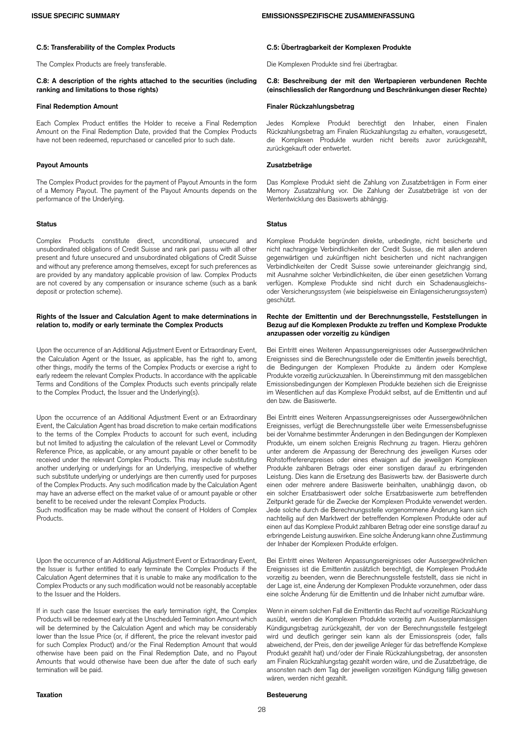### **C.5: Transferability of the Complex Products C.5: Übertragbarkeit der Komplexen Produkte**

The Complex Products are freely transferable. Die Komplexen Produkte sind frei übertragbar.

### **C.8: A description of the rights attached to the securities (including ranking and limitations to those rights)**

### **Final Redemption Amount Finaler Rückzahlungsbetrag**

Each Complex Product entitles the Holder to receive a Final Redemption Amount on the Final Redemption Date, provided that the Complex Products have not been redeemed, repurchased or cancelled prior to such date.

### **Payout Amounts Zusatzbeträge**

The Complex Product provides for the payment of Payout Amounts in the form of a Memory Payout. The payment of the Payout Amounts depends on the performance of the Underlying.

Complex Products constitute direct, unconditional, unsecured and unsubordinated obligations of Credit Suisse and rank pari passu with all other present and future unsecured and unsubordinated obligations of Credit Suisse and without any preference among themselves, except for such preferences as are provided by any mandatory applicable provision of law. Complex Products are not covered by any compensation or insurance scheme (such as a bank deposit or protection scheme).

### **Rights of the Issuer and Calculation Agent to make determinations in relation to, modify or early terminate the Complex Products**

Upon the occurrence of an Additional Adjustment Event or Extraordinary Event, the Calculation Agent or the Issuer, as applicable, has the right to, among other things, modify the terms of the Complex Products or exercise a right to early redeem the relevant Complex Products. In accordance with the applicable Terms and Conditions of the Complex Products such events principally relate to the Complex Product, the Issuer and the Underlying(s).

Upon the occurrence of an Additional Adjustment Event or an Extraordinary Event, the Calculation Agent has broad discretion to make certain modifications to the terms of the Complex Products to account for such event, including but not limited to adjusting the calculation of the relevant Level or Commodity Reference Price, as applicable, or any amount payable or other benefit to be received under the relevant Complex Products. This may include substituting another underlying or underlyings for an Underlying, irrespective of whether such substitute underlying or underlyings are then currently used for purposes of the Complex Products. Any such modification made by the Calculation Agent may have an adverse effect on the market value of or amount payable or other benefit to be received under the relevant Complex Products.

Such modification may be made without the consent of Holders of Complex Products.

Upon the occurrence of an Additional Adjustment Event or Extraordinary Event, the Issuer is further entitled to early terminate the Complex Products if the Calculation Agent determines that it is unable to make any modification to the Complex Products or any such modification would not be reasonably acceptable to the Issuer and the Holders.

If in such case the Issuer exercises the early termination right, the Complex Products will be redeemed early at the Unscheduled Termination Amount which will be determined by the Calculation Agent and which may be considerably lower than the Issue Price (or, if different, the price the relevant investor paid for such Complex Product) and/or the Final Redemption Amount that would otherwise have been paid on the Final Redemption Date, and no Payout Amounts that would otherwise have been due after the date of such early termination will be paid.

**C.8: Beschreibung der mit den Wertpapieren verbundenen Rechte (einschliesslich der Rangordnung und Beschränkungen dieser Rechte)**

Jedes Komplexe Produkt berechtigt den Inhaber, einen Finalen Rückzahlungsbetrag am Finalen Rückzahlungstag zu erhalten, vorausgesetzt, die Komplexen Produkte wurden nicht bereits zuvor zurückgezahlt, zurückgekauft oder entwertet.

Das Komplexe Produkt sieht die Zahlung von Zusatzbeträgen in Form einer Memory Zusatzzahlung vor. Die Zahlung der Zusatzbeträge ist von der Wertentwicklung des Basiswerts abhängig.

### **Status Status**

Komplexe Produkte begründen direkte, unbedingte, nicht besicherte und nicht nachrangige Verbindlichkeiten der Credit Suisse, die mit allen anderen gegenwärtigen und zukünftigen nicht besicherten und nicht nachrangigen Verbindlichkeiten der Credit Suisse sowie untereinander gleichrangig sind, mit Ausnahme solcher Verbindlichkeiten, die über einen gesetzlichen Vorrang verfügen. Komplexe Produkte sind nicht durch ein Schadenausgleichsoder Versicherungssystem (wie beispielsweise ein Einlagensicherungssystem) geschützt.

### **Rechte der Emittentin und der Berechnungsstelle, Feststellungen in Bezug auf die Komplexen Produkte zu treffen und Komplexe Produkte anzupassen oder vorzeitig zu kündigen**

Bei Eintritt eines Weiteren Anpassungsereignisses oder Aussergewöhnlichen Ereignisses sind die Berechnungsstelle oder die Emittentin jeweils berechtigt, die Bedingungen der Komplexen Produkte zu ändern oder Komplexe Produkte vorzeitig zurückzuzahlen. In Übereinstimmung mit den massgeblichen Emissionsbedingungen der Komplexen Produkte beziehen sich die Ereignisse im Wesentlichen auf das Komplexe Produkt selbst, auf die Emittentin und auf den bzw. die Basiswerte.

Bei Eintritt eines Weiteren Anpassungsereignisses oder Aussergewöhnlichen Ereignisses, verfügt die Berechnungsstelle über weite Ermessensbefugnisse bei der Vornahme bestimmter Änderungen in den Bedingungen der Komplexen Produkte, um einem solchen Ereignis Rechnung zu tragen. Hierzu gehören unter anderem die Anpassung der Berechnung des jeweiligen Kurses oder Rohstoffreferenzpreises oder eines etwaigen auf die jeweiligen Komplexen Produkte zahlbaren Betrags oder einer sonstigen darauf zu erbringenden Leistung. Dies kann die Ersetzung des Basiswerts bzw. der Basiswerte durch einen oder mehrere andere Basiswerte beinhalten, unabhängig davon, ob ein solcher Ersatzbasiswert oder solche Ersatzbasiswerte zum betreffenden Zeitpunkt gerade für die Zwecke der Komplexen Produkte verwendet werden. Jede solche durch die Berechnungsstelle vorgenommene Änderung kann sich nachteilig auf den Marktwert der betreffenden Komplexen Produkte oder auf einen auf das Komplexe Produkt zahlbaren Betrag oder eine sonstige darauf zu erbringende Leistung auswirken. Eine solche Änderung kann ohne Zustimmung der Inhaber der Komplexen Produkte erfolgen.

Bei Eintritt eines Weiteren Anpassungsereignisses oder Aussergewöhnlichen Ereignisses ist die Emittentin zusätzlich berechtigt, die Komplexen Produkte vorzeitig zu beenden, wenn die Berechnungsstelle feststellt, dass sie nicht in der Lage ist, eine Änderung der Komplexen Produkte vorzunehmen, oder dass eine solche Änderung für die Emittentin und die Inhaber nicht zumutbar wäre.

Wenn in einem solchen Fall die Emittentin das Recht auf vorzeitige Rückzahlung ausübt, werden die Komplexen Produkte vorzeitig zum Ausserplanmässigen Kündigungsbetrag zurückgezahlt, der von der Berechnungsstelle festgelegt wird und deutlich geringer sein kann als der Emissionspreis (oder, falls abweichend, der Preis, den der jeweilige Anleger für das betreffende Komplexe Produkt gezahlt hat) und/oder der Finale Rückzahlungsbetrag, der ansonsten am Finalen Rückzahlungstag gezahlt worden wäre, und die Zusatzbeträge, die ansonsten nach dem Tag der jeweiligen vorzeitigen Kündigung fällig gewesen wären, werden nicht gezahlt.

## **Taxation Besteuerung**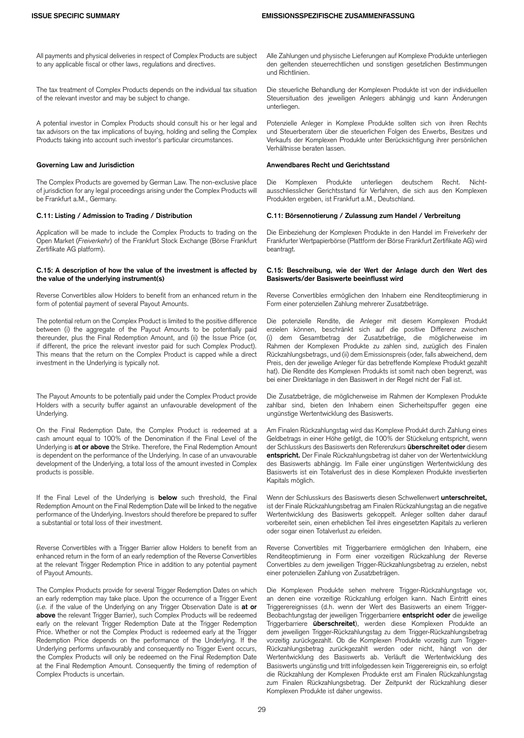All payments and physical deliveries in respect of Complex Products are subject to any applicable fiscal or other laws, regulations and directives.

The tax treatment of Complex Products depends on the individual tax situation of the relevant investor and may be subject to change.

A potential investor in Complex Products should consult his or her legal and tax advisors on the tax implications of buying, holding and selling the Complex Products taking into account such investor's particular circumstances.

The Complex Products are governed by German Law. The non-exclusive place of jurisdiction for any legal proceedings arising under the Complex Products will be Frankfurt a.M., Germany.

Application will be made to include the Complex Products to trading on the Open Market (*Freiverkehr*) of the Frankfurt Stock Exchange (Börse Frankfurt Zertifikate AG platform).

### **C.15: A description of how the value of the investment is affected by the value of the underlying instrument(s)**

Reverse Convertibles allow Holders to benefit from an enhanced return in the form of potential payment of several Payout Amounts.

The potential return on the Complex Product is limited to the positive difference between (i) the aggregate of the Payout Amounts to be potentially paid thereunder, plus the Final Redemption Amount, and (ii) the Issue Price (or, if different, the price the relevant investor paid for such Complex Product). This means that the return on the Complex Product is capped while a direct investment in the Underlying is typically not.

The Payout Amounts to be potentially paid under the Complex Product provide Holders with a security buffer against an unfavourable development of the Underlying.

On the Final Redemption Date, the Complex Product is redeemed at a cash amount equal to 100% of the Denomination if the Final Level of the Underlying is **at or above** the Strike. Therefore, the Final Redemption Amount is dependent on the performance of the Underlying. In case of an unvavourable development of the Underlying, a total loss of the amount invested in Complex products is possible.

If the Final Level of the Underlying is **below** such threshold, the Final Redemption Amount on the Final Redemption Date will be linked to the negative performance of the Underlying. Investors should therefore be prepared to suffer a substantial or total loss of their investment.

Reverse Convertibles with a Trigger Barrier allow Holders to benefit from an enhanced return in the form of an early redemption of the Reverse Convertibles at the relevant Trigger Redemption Price in addition to any potential payment of Payout Amounts.

The Complex Products provide for several Trigger Redemption Dates on which an early redemption may take place. Upon the occurrence of a Trigger Event (*i.e.* if the value of the Underlying on any Trigger Observation Date is **at or above** the relevant Trigger Barrier), such Complex Products will be redeemed early on the relevant Trigger Redemption Date at the Trigger Redemption Price. Whether or not the Complex Product is redeemed early at the Trigger Redemption Price depends on the performance of the Underlying. If the Underlying performs unfavourably and consequently no Trigger Event occurs, the Complex Products will only be redeemed on the Final Redemption Date at the Final Redemption Amount. Consequently the timing of redemption of Complex Products is uncertain.

Alle Zahlungen und physische Lieferungen auf Komplexe Produkte unterliegen den geltenden steuerrechtlichen und sonstigen gesetzlichen Bestimmungen und Richtlinien.

Die steuerliche Behandlung der Komplexen Produkte ist von der individuellen Steuersituation des jeweiligen Anlegers abhängig und kann Änderungen unterliegen.

Potenzielle Anleger in Komplexe Produkte sollten sich von ihren Rechts und Steuerberatern über die steuerlichen Folgen des Erwerbs, Besitzes und Verkaufs der Komplexen Produkte unter Berücksichtigung ihrer persönlichen Verhältnisse beraten lassen.

### **Governing Law and Jurisdiction Anwendbares Recht und Gerichtsstand**

Die Komplexen Produkte unterliegen deutschem Recht. Nichtausschliesslicher Gerichtsstand für Verfahren, die sich aus den Komplexen Produkten ergeben, ist Frankfurt a.M., Deutschland.

### **C.11: Listing / Admission to Trading / Distribution C.11: Börsennotierung / Zulassung zum Handel / Verbreitung**

Die Einbeziehung der Komplexen Produkte in den Handel im Freiverkehr der Frankfurter Wertpapierbörse (Plattform der Börse Frankfurt Zertifikate AG) wird beantragt.

### **C.15: Beschreibung, wie der Wert der Anlage durch den Wert des Basiswerts/der Basiswerte beeinflusst wird**

Reverse Convertibles ermöglichen den Inhabern eine Renditeoptimierung in Form einer potenziellen Zahlung mehrerer Zusatzbeträge.

Die potenzielle Rendite, die Anleger mit diesem Komplexen Produkt erzielen können, beschränkt sich auf die positive Differenz zwischen (i) dem Gesamtbetrag der Zusatzbeträge, die möglicherweise im Rahmen der Komplexen Produkte zu zahlen sind, zuzüglich des Finalen Rückzahlungsbetrags, und (ii) dem Emissionspreis (oder, falls abweichend, dem Preis, den der jeweilige Anleger für das betreffende Komplexe Produkt gezahlt hat). Die Rendite des Komplexen Produkts ist somit nach oben begrenzt, was bei einer Direktanlage in den Basiswert in der Regel nicht der Fall ist.

Die Zusatzbeträge, die möglicherweise im Rahmen der Komplexen Produkte zahlbar sind, bieten den Inhabern einen Sicherheitspuffer gegen eine ungünstige Wertentwicklung des Basiswerts.

Am Finalen Rückzahlungstag wird das Komplexe Produkt durch Zahlung eines Geldbetrags in einer Höhe getilgt, die 100% der Stückelung entspricht, wenn der Schlusskurs des Basiswerts den Referenzkurs **überschreitet oder** diesem **entspricht.** Der Finale Rückzahlungsbetrag ist daher von der Wertentwicklung des Basiswerts abhängig. Im Falle einer ungünstigen Wertentwicklung des Basiswerts ist ein Totalverlust des in diese Komplexen Produkte investierten Kapitals möglich.

Wenn der Schlusskurs des Basiswerts diesen Schwellenwert **unterschreitet,** ist der Finale Rückzahlungsbetrag am Finalen Rückzahlungstag an die negative Wertentwicklung des Basiswerts gekoppelt. Anleger sollten daher darauf vorbereitet sein, einen erheblichen Teil ihres eingesetzten Kapitals zu verlieren oder sogar einen Totalverlust zu erleiden.

Reverse Convertibles mit Triggerbarriere ermöglichen den Inhabern, eine Renditeoptimierung in Form einer vorzeitigen Rückzahlung der Reverse Convertibles zu dem jeweiligen Trigger-Rückzahlungsbetrag zu erzielen, nebst einer potenziellen Zahlung von Zusatzbeträgen.

Die Komplexen Produkte sehen mehrere Trigger-Rückzahlungstage vor, an denen eine vorzeitige Rückzahlung erfolgen kann. Nach Eintritt eines Triggerereignisses (d.h. wenn der Wert des Basiswerts an einem Trigger-Beobachtungstag der jeweiligen Triggerbarriere **entspricht oder** die jeweilige Triggerbarriere **überschreitet**), werden diese Komplexen Produkte an dem jeweiligen Trigger-Rückzahlungstag zu dem Trigger-Rückzahlungsbetrag vorzeitig zurückgezahlt. Ob die Komplexen Produkte vorzeitig zum Trigger-Rückzahlungsbetrag zurückgezahlt werden oder nicht, hängt von der Wertentwicklung des Basiswerts ab. Verläuft die Wertentwicklung des Basiswerts ungünstig und tritt infolgedessen kein Triggerereignis ein, so erfolgt die Rückzahlung der Komplexen Produkte erst am Finalen Rückzahlungstag zum Finalen Rückzahlungsbetrag. Der Zeitpunkt der Rückzahlung dieser Komplexen Produkte ist daher ungewiss.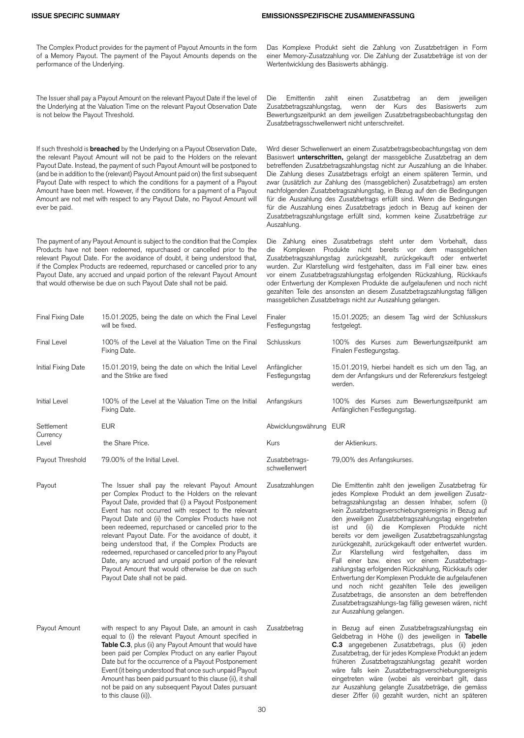The Complex Product provides for the payment of Payout Amounts in the form of a Memory Payout. The payment of the Payout Amounts depends on the performance of the Underlying.

The Issuer shall pay a Payout Amount on the relevant Payout Date if the level of the Underlying at the Valuation Time on the relevant Payout Observation Date is not below the Payout Threshold.

If such threshold is **breached** by the Underlying on a Payout Observation Date, the relevant Payout Amount will not be paid to the Holders on the relevant Payout Date. Instead, the payment of such Payout Amount will be postponed to (and be in addition to the (relevant) Payout Amount paid on) the first subsequent Payout Date with respect to which the conditions for a payment of a Payout Amount have been met. However, if the conditions for a payment of a Payout Amount are not met with respect to any Payout Date, no Payout Amount will ever be paid.

The payment of any Payout Amount is subject to the condition that the Complex Products have not been redeemed, repurchased or cancelled prior to the relevant Payout Date. For the avoidance of doubt, it being understood that, if the Complex Products are redeemed, repurchased or cancelled prior to any Payout Date, any accrued and unpaid portion of the relevant Payout Amount that would otherwise be due on such Payout Date shall not be paid.

| Final Fixing Date    | 15.01.2025, being the date on which the Final Level<br>will be fixed.                                                                                                                                                                                                                                                                                                                                                                                                                                                                                                                                                                                     | Finaler<br>Festlegungstag       | 15.01.2025; a<br>festgelegt.                                                                                                                                                                                                                                                                                  |
|----------------------|-----------------------------------------------------------------------------------------------------------------------------------------------------------------------------------------------------------------------------------------------------------------------------------------------------------------------------------------------------------------------------------------------------------------------------------------------------------------------------------------------------------------------------------------------------------------------------------------------------------------------------------------------------------|---------------------------------|---------------------------------------------------------------------------------------------------------------------------------------------------------------------------------------------------------------------------------------------------------------------------------------------------------------|
| <b>Final Level</b>   | 100% of the Level at the Valuation Time on the Final<br>Fixing Date.                                                                                                                                                                                                                                                                                                                                                                                                                                                                                                                                                                                      | Schlusskurs                     | 100% des Ku<br>Finalen Festlegu                                                                                                                                                                                                                                                                               |
| Initial Fixing Date  | 15.01.2019, being the date on which the Initial Level<br>and the Strike are fixed                                                                                                                                                                                                                                                                                                                                                                                                                                                                                                                                                                         | Anfänglicher<br>Festlegungstag  | 15.01.2019, hi<br>dem der Anfanc<br>werden.                                                                                                                                                                                                                                                                   |
| <b>Initial Level</b> | 100% of the Level at the Valuation Time on the Initial<br>Fixing Date.                                                                                                                                                                                                                                                                                                                                                                                                                                                                                                                                                                                    | Anfangskurs                     | 100% des Ku<br>Anfänglichen Fe                                                                                                                                                                                                                                                                                |
| Settlement           | <b>EUR</b>                                                                                                                                                                                                                                                                                                                                                                                                                                                                                                                                                                                                                                                | Abwicklungswährung EUR          |                                                                                                                                                                                                                                                                                                               |
| Currency<br>Level    | the Share Price.                                                                                                                                                                                                                                                                                                                                                                                                                                                                                                                                                                                                                                          | Kurs                            | der Aktienkurs.                                                                                                                                                                                                                                                                                               |
| Payout Threshold     | 79.00% of the Initial Level.                                                                                                                                                                                                                                                                                                                                                                                                                                                                                                                                                                                                                              | Zusatzbetrags-<br>schwellenwert | 79,00% des An                                                                                                                                                                                                                                                                                                 |
| Payout               | The Issuer shall pay the relevant Payout Amount<br>per Complex Product to the Holders on the relevant<br>Payout Date, provided that (i) a Payout Postponement<br>Event has not occurred with respect to the relevant<br>Payout Date and (ii) the Complex Products have not<br>been redeemed, repurchased or cancelled prior to the<br>relevant Payout Date. For the avoidance of doubt, it<br>being understood that, if the Complex Products are<br>redeemed, repurchased or cancelled prior to any Payout<br>Date, any accrued and unpaid portion of the relevant<br>Payout Amount that would otherwise be due on such<br>Payout Date shall not be paid. | Zusatzzahlungen                 | Die Emittentin<br>jedes Komplexe<br>betragszahlungs<br>kein Zusatzbetra<br>den jeweiligen<br>ist<br>und<br>(ii)<br>bereits vor dem<br>zurückgezahlt, z<br>Zur<br>Klarstellur<br>Fall einer bzw<br>zahlungstag erfo<br>Entwertung der I<br>und noch nic<br>Zusatzbetrags,<br>Zusatzbetragsza<br>zur Auszahlung |
| Payout Amount        | with respect to any Payout Date, an amount in cash<br>equal to (i) the relevant Payout Amount specified in<br>Table C.3, plus (ii) any Payout Amount that would have<br>been paid per Complex Product on any earlier Payout<br>Date but for the occurrence of a Payout Postponement                                                                                                                                                                                                                                                                                                                                                                       | Zusatzbetrag                    | in Bezug auf<br>Geldbetrag in<br>C.3 angegebe<br>Zusatzbetrag, de<br>früheren Zusat                                                                                                                                                                                                                           |

Event (it being understood that once such unpaid Payout Amount has been paid pursuant to this clause (ii), it shall not be paid on any subsequent Payout Dates pursuant

to this clause (ii)).

Das Komplexe Produkt sieht die Zahlung von Zusatzbeträgen in Form einer Memory-Zusatzzahlung vor. Die Zahlung der Zusatzbeträge ist von der Wertentwicklung des Basiswerts abhängig.

Die Emittentin zahlt einen Zusatzbetrag an dem jeweiligen<br>Zusatzbetragszahlungstag wenn der Kurs des Basiswerts zum Zusatzbetragszahlungstag, wenn der Kurs des Bewertungszeitpunkt an dem jeweiligen Zusatzbetragsbeobachtungstag den Zusatzbetragsschwellenwert nicht unterschreitet.

Wird dieser Schwellenwert an einem Zusatzbetragsbeobachtungstag von dem Basiswert **unterschritten,** gelangt der massgebliche Zusatzbetrag an dem betreffenden Zusatzbetragszahlungstag nicht zur Auszahlung an die Inhaber. Die Zahlung dieses Zusatzbetrags erfolgt an einem späteren Termin, und zwar (zusätzlich zur Zahlung des (massgeblichen) Zusatzbetrags) am ersten nachfolgenden Zusatzbetragszahlungstag, in Bezug auf den die Bedingungen für die Auszahlung des Zusatzbetrags erfüllt sind. Wenn die Bedingungen für die Auszahlung eines Zusatzbetrags jedoch in Bezug auf keinen der Zusatzbetragszahlungstage erfüllt sind, kommen keine Zusatzbeträge zur Auszahlung.

Die Zahlung eines Zusatzbetrags steht unter dem Vorbehalt, dass die Komplexen Produkte nicht bereits vor dem massgeblichen Zusatzbetragszahlungstag zurückgezahlt, zurückgekauft oder entwertet wurden. Zur Klarstellung wird festgehalten, dass im Fall einer bzw. eines vor einem Zusatzbetragszahlungstag erfolgenden Rückzahlung, Rückkaufs oder Entwertung der Komplexen Produkte die aufgelaufenen und noch nicht gezahlten Teile des ansonsten an diesem Zusatzbetragszahlungstag fälligen massgeblichen Zusatzbetrags nicht zur Auszahlung gelangen.

| Finaler<br>Festlegungstag       | 15.01.2025; an diesem Tag wird der Schlusskurs<br>festgelegt.                                                                                                |
|---------------------------------|--------------------------------------------------------------------------------------------------------------------------------------------------------------|
| Schlusskurs                     | 100% des Kurses zum Bewertungszeitpunkt am<br>Finalen Festlegungstag.                                                                                        |
| Anfänglicher<br>Festlegungstag  | 15.01.2019, hierbei handelt es sich um den Tag, an<br>dem der Anfangskurs und der Referenzkurs festgelegt<br>werden.                                         |
| Anfangskurs                     | 100% des Kurses zum Bewertungszeitpunkt am<br>Anfänglichen Festlegungstag.                                                                                   |
| Abwicklungswährung              | EUR                                                                                                                                                          |
| Kurs                            | der Aktienkurs.                                                                                                                                              |
| Zusatzbetrags-<br>schwellenwert | 79,00% des Anfangskurses.                                                                                                                                    |
| Zusatzzahlungen                 | Die Emittentin zahlt den jeweiligen Zusatzbetrag für<br>jedes Komplexe Produkt an dem jeweiligen Zusatz-<br>betragszahlungstag an dessen Inhaber, sofern (i) |

kein Zusatzbetragsverschiebungsereignis in Bezug auf den jeweiligen Zusatzbetragszahlungstag eingetreten ist und (ii) die Komplexen Produkte nicht bereits vor dem jeweiligen Zusatzbetragszahlungstag zurückgezahlt, zurückgekauft oder entwertet wurden. Zur Klarstellung wird festgehalten, dass im Fall einer bzw. eines vor einem Zusatzbetragszahlungstag erfolgenden Rückzahlung, Rückkaufs oder Entwertung der Komplexen Produkte die aufgelaufenen und noch nicht gezahlten Teile des jeweiligen Zusatzbetrags, die ansonsten an dem betreffenden Zusatzbetragszahlungs-tag fällig gewesen wären, nicht zur Auszahlung gelangen.

isatzbetrag in Bezug auf einen Zusatzbetragszahlungstag ein Geldbetrag in Höhe (i) des jeweiligen in **Tabelle C.3** angegebenen Zusatzbetrags, plus (ii) jeden Zusatzbetrag, der für jedes Komplexe Produkt an jedem früheren Zusatzbetragszahlungstag gezahlt worden wäre falls kein Zusatzbetragsverschiebungsereignis eingetreten wäre (wobei als vereinbart gilt, dass zur Auszahlung gelangte Zusatzbeträge, die gemäss dieser Ziffer (ii) gezahlt wurden, nicht an späteren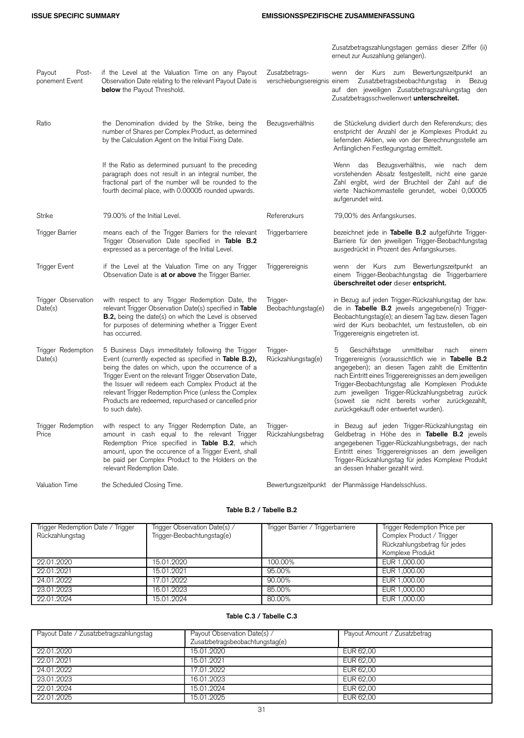## **ISSUE SPECIFIC SUMMARY EMISSIONSSPEZIFISCHE ZUSAMMENFASSUNG**

Zusatzbetragszahlungstagen gemäss dieser Ziffer (ii) erneut zur Auszahlung gelangen).

| Payout<br>Post-<br>ponement Event | if the Level at the Valuation Time on any Payout<br>Observation Date relating to the relevant Payout Date is<br><b>below</b> the Payout Threshold.                                                                                                                                                                                                                                                                     | Zusatzbetrags-                 | wenn der Kurs zum Bewertungszeitpunkt an<br>verschiebungsereignis einem Zusatzbetragsbeobachtungstag in Bezug<br>auf den jeweiligen Zusatzbetragszahlungstag den<br>Zusatzbetragsschwellenwert unterschreitet.                                                                                                                                                                                                               |
|-----------------------------------|------------------------------------------------------------------------------------------------------------------------------------------------------------------------------------------------------------------------------------------------------------------------------------------------------------------------------------------------------------------------------------------------------------------------|--------------------------------|------------------------------------------------------------------------------------------------------------------------------------------------------------------------------------------------------------------------------------------------------------------------------------------------------------------------------------------------------------------------------------------------------------------------------|
| Ratio                             | the Denomination divided by the Strike, being the<br>number of Shares per Complex Product, as determined<br>by the Calculation Agent on the Initial Fixing Date.                                                                                                                                                                                                                                                       | Bezugsverhältnis               | die Stückelung dividiert durch den Referenzkurs; dies<br>enstpricht der Anzahl der je Komplexes Produkt zu<br>liefernden Aktien, wie von der Berechnungsstelle am<br>Anfänglichen Festlegungstag ermittelt.                                                                                                                                                                                                                  |
|                                   | If the Ratio as determined pursuant to the preceding<br>paragraph does not result in an integral number, the<br>fractional part of the number will be rounded to the<br>fourth decimal place, with 0.00005 rounded upwards.                                                                                                                                                                                            |                                | Wenn das Bezugsverhältnis, wie nach<br>dem<br>vorstehenden Absatz festgestellt, nicht eine ganze<br>Zahl ergibt, wird der Bruchteil der Zahl auf die<br>vierte Nachkommastelle gerundet, wobei 0,00005<br>aufgerundet wird.                                                                                                                                                                                                  |
| <b>Strike</b>                     | 79.00% of the Initial Level.                                                                                                                                                                                                                                                                                                                                                                                           | Referenzkurs                   | 79,00% des Anfangskurses.                                                                                                                                                                                                                                                                                                                                                                                                    |
| Trigger Barrier                   | means each of the Trigger Barriers for the relevant<br>Trigger Observation Date specified in <b>Table B.2</b><br>expressed as a percentage of the Initial Level.                                                                                                                                                                                                                                                       | Triggerbarriere                | bezeichnet jede in Tabelle B.2 aufgeführte Trigger-<br>Barriere für den jeweiligen Trigger-Beobachtungstag<br>ausgedrückt in Prozent des Anfangskurses.                                                                                                                                                                                                                                                                      |
| Trigger Event                     | if the Level at the Valuation Time on any Trigger<br>Observation Date is <b>at or above</b> the Trigger Barrier.                                                                                                                                                                                                                                                                                                       | Triggerereignis                | wenn der Kurs zum Bewertungszeitpunkt an<br>einem Trigger-Beobachtungstag die Triggerbarriere<br>überschreitet oder dieser entspricht.                                                                                                                                                                                                                                                                                       |
| Trigger Observation<br>Date(s)    | with respect to any Trigger Redemption Date, the<br>relevant Trigger Observation Date(s) specified in Table<br>B.2, being the date(s) on which the Level is observed<br>for purposes of determining whether a Trigger Event<br>has occurred.                                                                                                                                                                           | Trigger-<br>Beobachtungstag(e) | in Bezug auf jeden Trigger-Rückzahlungstag der bzw.<br>die in Tabelle B.2 jeweils angegebene(n) Trigger-<br>Beobachtungstag(e); an diesem Tag bzw. diesen Tagen<br>wird der Kurs beobachtet, um festzustellen, ob ein<br>Triggerereignis eingetreten ist.                                                                                                                                                                    |
| Trigger Redemption<br>Date(s)     | 5 Business Days immeditately following the Trigger<br>Event (currently expected as specified in Table B.2),<br>being the dates on which, upon the occurrence of a<br>Trigger Event on the relevant Trigger Observation Date,<br>the Issuer will redeem each Complex Product at the<br>relevant Trigger Redemption Price (unless the Complex<br>Products are redeemed, repurchased or cancelled prior<br>to such date). | Trigger-<br>Rückzahlungstag(e) | Geschäftstage<br>unmittelbar<br>5<br>nach<br>einem<br>Triggerereignis (voraussichtlich wie in Tabelle B.2<br>angegeben); an diesen Tagen zahlt die Emittentin<br>nach Eintritt eines Triggerereignisses an dem jeweiligen<br>Trigger-Beobachtungstag alle Komplexen Produkte<br>zum jeweiligen Trigger-Rückzahlungsbetrag zurück<br>(soweit sie nicht bereits vorher zurückgezahlt,<br>zurückgekauft oder entwertet wurden). |
| Trigger Redemption<br>Price       | with respect to any Trigger Redemption Date, an<br>amount in cash equal to the relevant Trigger<br>Redemption Price specified in Table B.2, which<br>amount, upon the occurence of a Trigger Event, shall<br>be paid per Complex Product to the Holders on the<br>relevant Redemption Date.                                                                                                                            | Trigger-<br>Rückzahlungsbetrag | in Bezug auf jeden Trigger-Rückzahlungstag ein<br>Geldbetrag in Höhe des in Tabelle B.2 jeweils<br>angegebenen Tigger-Rückzahlungsbetrags, der nach<br>Eintritt eines Triggerereignisses an dem jeweiligen<br>Trigger-Rückzahlungstag für jedes Komplexe Produkt<br>an dessen Inhaber gezahlt wird.                                                                                                                          |
| <b>Valuation Time</b>             | the Scheduled Closing Time.                                                                                                                                                                                                                                                                                                                                                                                            |                                | Bewertungszeitpunkt der Planmässige Handelsschluss.                                                                                                                                                                                                                                                                                                                                                                          |

## **Table B.2 / Tabelle B.2**

| Trigger Redemption Date / Trigger<br>Rückzahlungstag | Trigger Observation Date(s) /<br>Trigger-Beobachtungstag(e) | Trigger Barrier / Triggerbarriere | Trigger Redemption Price per<br>Complex Product / Trigger<br>Rückzahlungsbetrag für jedes<br>Komplexe Produkt |
|------------------------------------------------------|-------------------------------------------------------------|-----------------------------------|---------------------------------------------------------------------------------------------------------------|
| 22.01.2020                                           | 15.01.2020                                                  | 100.00%                           | EUR 1,000.00                                                                                                  |
| 22.01.2021                                           | 15.01.2021                                                  | 95.00%                            | EUR 1,000.00                                                                                                  |
| 24.01.2022                                           | 17.01.2022                                                  | 90.00%                            | EUR 1,000.00                                                                                                  |
| 23.01.2023                                           | 16.01.2023                                                  | 85.00%                            | EUR 1,000.00                                                                                                  |
| 22.01.2024                                           | 15.01.2024                                                  | 80.00%                            | EUR 1,000.00                                                                                                  |

## **Table C.3 / Tabelle C.3**

| Payout Date / Zusatzbetragszahlungstag | Payout Observation Date(s) /    | Payout Amount / Zusatzbetrag |
|----------------------------------------|---------------------------------|------------------------------|
|                                        | Zusatzbetragsbeobachtungstag(e) |                              |
| 22.01.2020                             | 15.01.2020                      | EUR 62.00                    |
| 22.01.2021                             | 15.01.2021                      | EUR 62.00                    |
| 24.01.2022                             | 17.01.2022                      | EUR 62.00                    |
| 23.01.2023                             | 16.01.2023                      | EUR 62.00                    |
| 22.01.2024                             | 15.01.2024                      | EUR 62.00                    |
| 22.01.2025                             | 15.01.2025                      | EUR 62.00                    |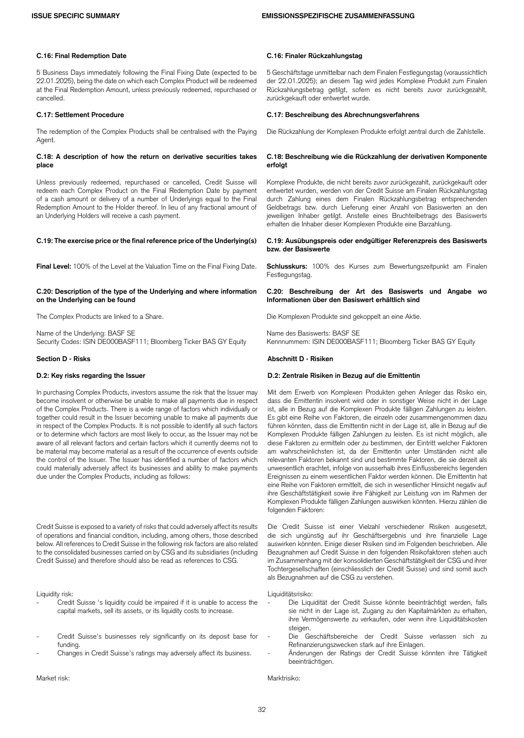### **C.16: Final Redemption Date C.16: Finaler Rückzahlungstag**

5 Business Days immediately following the Final Fixing Date (expected to be 22.01.2025), being the date on which each Complex Product will be redeemed at the Final Redemption Amount, unless previously redeemed, repurchased or cancelled.

The redemption of the Complex Products shall be centralised with the Paying Agent.

### **C.18: A description of how the return on derivative securities takes place**

Unless previously redeemed, repurchased or cancelled, Credit Suisse will redeem each Complex Product on the Final Redemption Date by payment of a cash amount or delivery of a number of Underlyings equal to the Final Redemption Amount to the Holder thereof. In lieu of any fractional amount of an Underlying Holders will receive a cash payment.

### **C.19: The exercise price or the final reference price of the Underlying(s) C.19: Ausübungspreis oder endgültiger Referenzpreis des Basiswerts**

**Final Level:** 100% of the Level at the Valuation Time on the Final Fixing Date. **Schlusskurs:** 100% des Kurses zum Bewertungszeitpunkt am Finalen

### **C.20: Description of the type of the Underlying and where information on the Underlying can be found**

Name of the Underlying: BASF SE<br>11; Name des Basiswerts: BASF SE Name of SES SESSER Security Codes: ISIN DE000BASF111; Bloomberg Ticker BAS GY Equity Security Codes: ISIN DE000BASF111; Bloomberg Ticker BAS GY Equity

In purchasing Complex Products, investors assume the risk that the Issuer may become insolvent or otherwise be unable to make all payments due in respect of the Complex Products. There is a wide range of factors which individually or together could result in the Issuer becoming unable to make all payments due in respect of the Complex Products. It is not possible to identify all such factors or to determine which factors are most likely to occur, as the Issuer may not be aware of all relevant factors and certain factors which it currently deems not to be material may become material as a result of the occurrence of events outside the control of the Issuer. The Issuer has identified a number of factors which could materially adversely affect its businesses and ability to make payments due under the Complex Products, including as follows:

Credit Suisse is exposed to a variety of risks that could adversely affect its results of operations and financial condition, including, among others, those described below. All references to Credit Suisse in the following risk factors are also related to the consolidated businesses carried on by CSG and its subsidiaries (including Credit Suisse) and therefore should also be read as references to CSG.

- Credit Suisse 's liquidity could be impaired if it is unable to access the capital markets, sell its assets, or its liquidity costs to increase.
- Credit Suisse's businesses rely significantly on its deposit base for funding.
- Changes in Credit Suisse's ratings may adversely affect its business. Änderungen der Ratings der Credit Suisse könnten ihre Tätigkeit

Market risk: Marktrisiko:

5 Geschäftstage unmittelbar nach dem Finalen Festlegungstag (voraussichtlich der 22.01.2025); an diesem Tag wird jedes Komplexe Produkt zum Finalen Rückzahlungsbetrag getilgt, sofern es nicht bereits zuvor zurückgezahlt, zurückgekauft oder entwertet wurde.

### **C.17: Settlement Procedure C.17: Beschreibung des Abrechnungsverfahrens**

Die Rückzahlung der Komplexen Produkte erfolgt zentral durch die Zahlstelle.

### **C.18: Beschreibung wie die Rückzahlung der derivativen Komponente erfolgt**

Komplexe Produkte, die nicht bereits zuvor zurückgezahlt, zurückgekauft oder entwertet wurden, werden von der Credit Suisse am Finalen Rückzahlungstag durch Zahlung eines dem Finalen Rückzahlungsbetrag entsprechenden Geldbetrags bzw. durch Lieferung einer Anzahl von Basiswerten an den jeweiligen Inhaber getilgt. Anstelle eines Bruchteilbetrags des Basiswerts erhalten die Inhaber dieser Komplexen Produkte eine Barzahlung.

# **bzw. der Basiswerte**

Festlegungstag.

### **C.20: Beschreibung der Art des Basiswerts und Angabe wo Informationen über den Basiswert erhältlich sind**

The Complex Products are linked to a Share. Die Komplexen Produkte sind gekoppelt an eine Aktie.

### **Section D - Risks Abschnitt D - Risiken**

### **D.2: Key risks regarding the Issuer D.2: Zentrale Risiken in Bezug auf die Emittentin**

Mit dem Erwerb von Komplexen Produkten gehen Anleger das Risiko ein, dass die Emittentin insolvent wird oder in sonstiger Weise nicht in der Lage ist, alle in Bezug auf die Komplexen Produkte fälligen Zahlungen zu leisten. Es gibt eine Reihe von Faktoren, die einzeln oder zusammengenommen dazu führen könnten, dass die Emittentin nicht in der Lage ist, alle in Bezug auf die Komplexen Produkte fälligen Zahlungen zu leisten. Es ist nicht möglich, alle diese Faktoren zu ermitteln oder zu bestimmen, der Eintritt welcher Faktoren am wahrscheinlichsten ist, da der Emittentin unter Umständen nicht alle relevanten Faktoren bekannt sind und bestimmte Faktoren, die sie derzeit als unwesentlich erachtet, infolge von ausserhalb ihres Einflussbereichs liegenden Ereignissen zu einem wesentlichen Faktor werden können. Die Emittentin hat eine Reihe von Faktoren ermittelt, die sich in wesentlicher Hinsicht negativ auf ihre Geschäftstätigkeit sowie ihre Fähigkeit zur Leistung von im Rahmen der Komplexen Produkte fälligen Zahlungen auswirken könnten. Hierzu zählen die folgenden Faktoren:

Die Credit Suisse ist einer Vielzahl verschiedener Risiken ausgesetzt, die sich ungünstig auf ihr Geschäftsergebnis und ihre finanzielle Lage auswirken könnten. Einige dieser Risiken sind im Folgenden beschrieben. Alle Bezugnahmen auf Credit Suisse in den folgenden Risikofaktoren stehen auch im Zusammenhang mit der konsolidierten Geschäftstätigkeit der CSG und ihrer Tochtergesellschaften (einschliesslich der Credit Suisse) und sind somit auch als Bezugnahmen auf die CSG zu verstehen.

### Liquidity risk: Liquiditätsrisiko:

- Die Liquidität der Credit Suisse könnte beeinträchtigt werden, falls sie nicht in der Lage ist, Zugang zu den Kapitalmärkten zu erhalten, ihre Vermögenswerte zu verkaufen, oder wenn ihre Liquiditätskosten steigen.
- Die Geschäftsbereiche der Credit Suisse verlassen sich zu Refinanzierungszwecken stark auf ihre Einlagen.
- beeinträchtigen.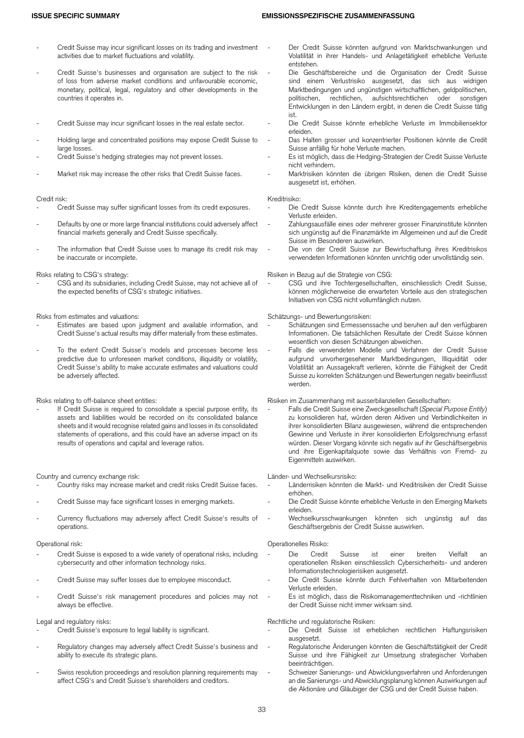- Credit Suisse may incur significant losses on its trading and investment activities due to market fluctuations and volatility.
- Credit Suisse's businesses and organisation are subject to the risk of loss from adverse market conditions and unfavourable economic, monetary, political, legal, regulatory and other developments in the countries it operates in.
- 
- Holding large and concentrated positions may expose Credit Suisse to large losses.
- 
- 

- Credit risk: Kreditrisiko:
- Defaults by one or more large financial institutions could adversely affect financial markets generally and Credit Suisse specifically.
- The information that Credit Suisse uses to manage its credit risk may be inaccurate or incomplete.

CSG and its subsidiaries, including Credit Suisse, may not achieve all of the expected benefits of CSG's strategic initiatives.

Risks from estimates and valuations: Schätzungs- und Bewertungsrisiken:

- Estimates are based upon judgment and available information, and Credit Suisse's actual results may differ materially from these estimates.
- To the extent Credit Suisse's models and processes become less predictive due to unforeseen market conditions, illiquidity or volatility, Credit Suisse's ability to make accurate estimates and valuations could be adversely affected.

If Credit Suisse is required to consolidate a special purpose entity, its assets and liabilities would be recorded on its consolidated balance sheets and it would recognise related gains and losses in its consolidated statements of operations, and this could have an adverse impact on its results of operations and capital and leverage ratios.

- Country and currency exchange risk:<br>- Country risks may increase market and credit risks Credit Suisse faces. Länderrisiken könnten die Markt- und Kreditrisiken der Credit Suisse Country risks may increase market and credit risks Credit Suisse faces.
- 
- Currency fluctuations may adversely affect Credit Suisse's results of operations.

- Credit Suisse is exposed to a wide variety of operational risks, including cybersecurity and other information technology risks.
- 
- Credit Suisse's risk management procedures and policies may not always be effective.

- Legal and regulatory risks: Rechtliche und regulatorische Risiken:
- Regulatory changes may adversely affect Credit Suisse's business and ability to execute its strategic plans.
- Swiss resolution proceedings and resolution planning requirements may affect CSG's and Credit Suisse's shareholders and creditors.
- Der Credit Suisse könnten aufgrund von Marktschwankungen und Volatilität in ihrer Handels- und Anlagetätigkeit erhebliche Verluste entstehen.
- Die Geschäftsbereiche und die Organisation der Credit Suisse sind einem Verlustrisiko ausgesetzt, das sich aus widrigen Marktbedingungen und ungünstigen wirtschaftlichen, geldpolitischen, aufsichtsrechtlichen oder sonstigen Entwicklungen in den Ländern ergibt, in denen die Credit Suisse tätig ist.
- Credit Suisse may incur significant losses in the real estate sector. Die Credit Suisse könnte erhebliche Verluste im Immobiliensektor erleiden.
	- Das Halten grosser und konzentrierter Positionen könnte die Credit Suisse anfällig für hohe Verluste machen.
- Credit Suisse's hedging strategies may not prevent losses. The State metal of Es ist möglich, dass die Hedging-Strategien der Credit Suisse Verluste nicht verhindern.
- Market risk may increase the other risks that Credit Suisse faces. The Marktrisiken könnten die übrigen Risiken, denen die Credit Suisse ausgesetzt ist, erhöhen.

- Die Credit Suisse könnte durch ihre Kreditengagements erhebliche Verluste erleiden.
- Zahlungsausfälle eines oder mehrerer grosser Finanzinstitute könnten sich ungünstig auf die Finanzmärkte im Allgemeinen und auf die Credit Suisse im Besonderen auswirken.
- Die von der Credit Suisse zur Bewirtschaftung ihres Kreditrisikos verwendeten Informationen könnten unrichtig oder unvollständig sein.

Risks relating to CSG's strategy: Risiken in Bezug auf die Strategie von CSG:

CSG und ihre Tochtergesellschaften, einschliesslich Credit Suisse, können möglicherweise die erwarteten Vorteile aus den strategischen Initiativen von CSG nicht vollumfänglich nutzen.

- Schätzungen sind Ermessenssache und beruhen auf den verfügbaren Informationen. Die tatsächlichen Resultate der Credit Suisse können wesentlich von diesen Schätzungen abweichen.
- Falls die verwendeten Modelle und Verfahren der Credit Suisse aufgrund unvorhergesehener Marktbedingungen, Illiquidität oder Volatilität an Aussagekraft verlieren, könnte die Fähigkeit der Credit Suisse zu korrekten Schätzungen und Bewertungen negativ beeinflusst werden.

### Risks relating to off-balance sheet entities: Risiken im Zusammenhang mit ausserbilanziellen Gesellschaften:

- Falls die Credit Suisse eine Zweckgesellschaft (*Special Purpose Entity*) zu konsolidieren hat, würden deren Aktiven und Verbindlichkeiten in ihrer konsolidierten Bilanz ausgewiesen, während die entsprechenden Gewinne und Verluste in ihrer konsolidierten Erfolgsrechnung erfasst würden. Dieser Vorgang könnte sich negativ auf ihr Geschäftsergebnis und ihre Eigenkapitalquote sowie das Verhältnis von Fremd- zu Eigenmitteln auswirken.

- erhöhen.
- Credit Suisse may face significant losses in emerging markets. The Suise Credit Suisse könnte erhebliche Verluste in den Emerging Markets erleiden.
	- Wechselkursschwankungen könnten sich ungünstig auf das Geschäftsergebnis der Credit Suisse auswirken.

### Operational risk: Operationelles Risiko:

- Die Credit Suisse ist einer breiten Vielfalt an operationellen Risiken einschliesslich Cybersicherheits- und anderen Informationstechnologierisiken ausgesetzt.
- Credit Suisse may suffer losses due to employee misconduct. - Die Credit Suisse könnte durch Fehlverhalten von Mitarbeitenden Verluste erleiden.
	- Es ist möglich, dass die Risikomanagementtechniken und -richtlinien der Credit Suisse nicht immer wirksam sind.

- Die Credit Suisse ist erheblichen rechtlichen Haftungsrisiken ausgesetzt.
- Regulatorische Änderungen könnten die Geschäftstätigkeit der Credit Suisse und ihre Fähigkeit zur Umsetzung strategischer Vorhaben beeinträchtigen.
- Schweizer Sanierungs- und Abwicklungsverfahren und Anforderungen an die Sanierungs- und Abwicklungsplanung können Auswirkungen auf die Aktionäre und Gläubiger der CSG und der Credit Suisse haben.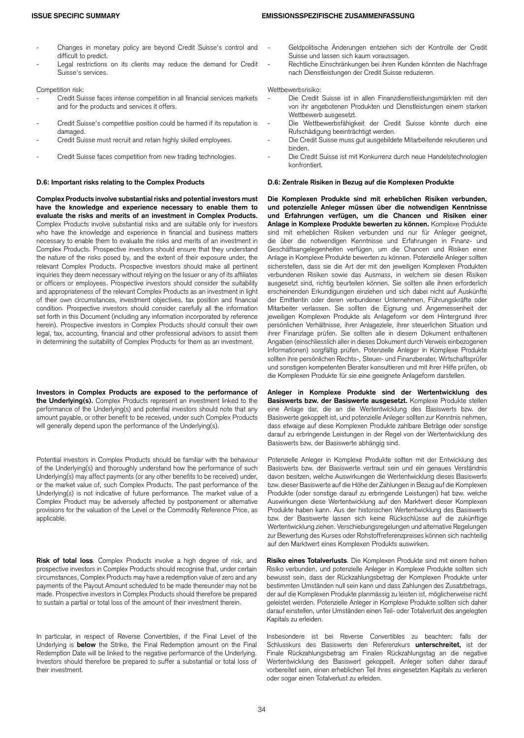- Changes in monetary policy are beyond Credit Suisse's control and difficult to predict.
- Legal restrictions on its clients may reduce the demand for Credit Suisse's services.

- Credit Suisse faces intense competition in all financial services markets and for the products and services it offers.
- Credit Suisse's competitive position could be harmed if its reputation is damaged.<br>Credit Suisse must recruit and retain highly skilled employees.
- 
- 

**Complex Products involve substantial risks and potential investors must have the knowledge and experience necessary to enable them to evaluate the risks and merits of an investment in Complex Products.** Complex Products involve substantial risks and are suitable only for investors who have the knowledge and experience in financial and business matters necessary to enable them to evaluate the risks and merits of an investment in Complex Products. Prospective investors should ensure that they understand the nature of the risks posed by, and the extent of their exposure under, the relevant Complex Products. Prospective investors should make all pertinent inquiries they deem necessary without relying on the Issuer or any of its affiliates or officers or employees. Prospective investors should consider the suitability and appropriateness of the relevant Complex Products as an investment in light of their own circumstances, investment objectives, tax position and financial condition. Prospective investors should consider carefully all the information set forth in this Document (including any information incorporated by reference herein). Prospective investors in Complex Products should consult their own legal, tax, accounting, financial and other professional advisors to assist them in determining the suitability of Complex Products for them as an investment.

**Investors in Complex Products are exposed to the performance of the Underlying(s).** Complex Products represent an investment linked to the performance of the Underlying(s) and potential investors should note that any amount payable, or other benefit to be received, under such Complex Products will generally depend upon the performance of the Underlying(s).

Potential investors in Complex Products should be familiar with the behaviour of the Underlying(s) and thoroughly understand how the performance of such Underlying(s) may affect payments (or any other benefits to be received) under, or the market value of, such Complex Products. The past performance of the Underlying(s) is not indicative of future performance. The market value of a Complex Product may be adversely affected by postponement or alternative provisions for the valuation of the Level or the Commodity Reference Price, as applicable.

**Risk of total loss**. Complex Products involve a high degree of risk, and prospective investors in Complex Products should recognise that, under certain circumstances, Complex Products may have a redemption value of zero and any payments of the Payout Amount scheduled to be made thereunder may not be made. Prospective investors in Complex Products should therefore be prepared to sustain a partial or total loss of the amount of their investment therein.

In particular, in respect of Reverse Convertibles, if the Final Level of the Underlying is **below** the Strike, the Final Redemption amount on the Final Redemption Date will be linked to the negative performance of the Underlying. Investors should therefore be prepared to suffer a substantial or total loss of their investment.

- Geldpolitische Änderungen entziehen sich der Kontrolle der Credit Suisse und lassen sich kaum voraussagen.
- Rechtliche Einschränkungen bei ihren Kunden könnten die Nachfrage nach Dienstleistungen der Credit Suisse reduzieren.

### Competition risk: Wettbewerbsrisiko:

- Die Credit Suisse ist in allen Finanzdienstleistungsmärkten mit den von ihr angebotenen Produkten und Dienstleistungen einem starken Wettbewerb ausgesetzt.
- Die Wettbewerbsfähigkeit der Credit Suisse könnte durch eine Rufschädigung beeinträchtigt werden.
- Die Credit Suisse muss gut ausgebildete Mitarbeitende rekrutieren und binden.
- Credit Suisse faces competition from new trading technologies. The Die Credit Suisse ist mit Konkurrenz durch neue Handelstechnologien konfrontiert.

### **D.6: Important risks relating to the Complex Products D.6: Zentrale Risiken in Bezug auf die Komplexen Produkte**

**Die Komplexen Produkte sind mit erheblichen Risiken verbunden, und potenzielle Anleger müssen über die notwendigen Kenntnisse und Erfahrungen verfügen, um die Chancen und Risiken einer Anlage in Komplexe Produkte bewerten zu können.** Komplexe Produkte sind mit erheblichen Risiken verbunden und nur für Anleger geeignet, die über die notwendigen Kenntnisse und Erfahrungen in Finanz- und Geschäftsangelegenheiten verfügen, um die Chancen und Risiken einer Anlage in Komplexe Produkte bewerten zu können. Potenzielle Anleger sollten sicherstellen, dass sie die Art der mit den jeweiligen Komplexen Produkten verbundenen Risiken sowie das Ausmass, in welchem sie diesen Risiken ausgesetzt sind, richtig beurteilen können. Sie sollten alle ihnen erforderlich erscheinenden Erkundigungen einziehen und sich dabei nicht auf Auskünfte der Emittentin oder deren verbundener Unternehmen, Führungskräfte oder Mitarbeiter verlassen. Sie sollten die Eignung und Angemessenheit der jeweiligen Komplexen Produkte als Anlageform vor dem Hintergrund ihrer persönlichen Verhältnisse, ihrer Anlageziele, ihrer steuerlichen Situation und ihrer Finanzlage prüfen. Sie sollten alle in diesem Dokument enthaltenen Angaben (einschliesslich aller in dieses Dokument durch Verweis einbezogenen Informationen) sorgfältig prüfen. Potenzielle Anleger in Komplexe Produkte sollten ihre persönlichen Rechts-, Steuer- und Finanzberater, Wirtschaftsprüfer und sonstigen kompetenten Berater konsultieren und mit ihrer Hilfe prüfen, ob die Komplexen Produkte für sie eine geeignete Anlageform darstellen.

**Anleger in Komplexe Produkte sind der Wertentwicklung des Basiswerts bzw. der Basiswerte ausgesetzt.** Komplexe Produkte stellen eine Anlage dar, die an die Wertentwicklung des Basiswerts bzw. der Basiswerte gekoppelt ist, und potenzielle Anleger sollten zur Kenntnis nehmen, dass etwaige auf diese Komplexen Produkte zahlbare Beträge oder sonstige darauf zu erbringende Leistungen in der Regel von der Wertentwicklung des Basiswerts bzw. der Basiswerte abhängig sind.

Potenzielle Anleger in Komplexe Produkte sollten mit der Entwicklung des Basiswerts bzw. der Basiswerte vertraut sein und ein genaues Verständnis davon besitzen, welche Auswirkungen die Wertentwicklung dieses Basiswerts bzw. dieser Basiswerte auf die Höhe der Zahlungen in Bezug auf die Komplexen Produkte (oder sonstige darauf zu erbringende Leistungen) hat bzw. welche Auswirkungen diese Wertentwicklung auf den Marktwert dieser Komplexen Produkte haben kann. Aus der historischen Wertentwicklung des Basiswerts bzw. der Basiswerte lassen sich keine Rückschlüsse auf die zukünftige Wertentwicklung ziehen. Verschiebungsregelungen und alternative Regelungen zur Bewertung des Kurses oder Rohstoffreferenzpreises können sich nachteilig auf den Marktwert eines Komplexen Produkts auswirken.

**Risiko eines Totalverlusts**. Die Komplexen Produkte sind mit einem hohen Risiko verbunden, und potenzielle Anleger in Komplexe Produkte sollten sich bewusst sein, dass der Rückzahlungsbetrag der Komplexen Produkte unter bestimmten Umständen null sein kann und dass Zahlungen des Zusatzbetrags, der auf die Komplexen Produkte planmässig zu leisten ist, möglicherweise nicht geleistet werden. Potenzielle Anleger in Komplexe Produkte sollten sich daher darauf einstellen, unter Umständen einen Teil- oder Totalverlust des angelegten Kapitals zu erleiden.

Insbesondere ist bei Reverse Convertibles zu beachten: falls der Schlusskurs des Basiswerts den Referenzkurs **unterschreitet,** ist der Finale Rückzahlungsbetrag am Finalen Rückzahlungstag an die negative Wertentwicklung des Basiswert gekoppelt. Anleger solten daher darauf vorbereitet sein, einen erheblichen Teil ihres eingesetzten Kapitals zu verlieren oder sogar einen Totalverlust zu erleiden.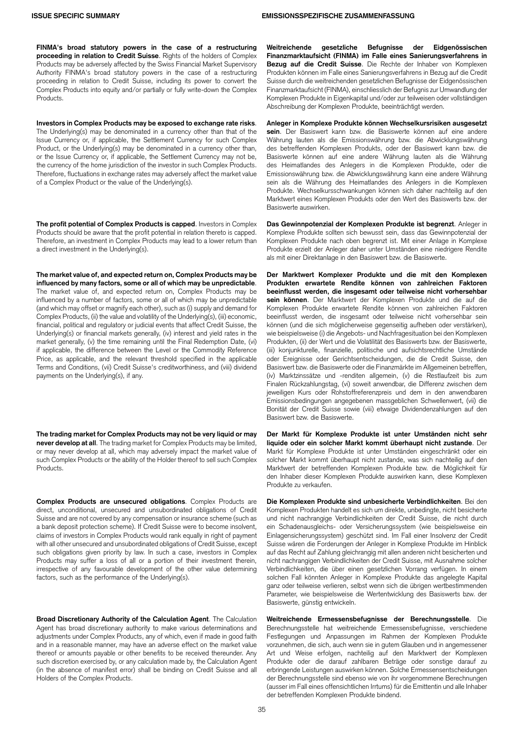**FINMA's broad statutory powers in the case of a restructuring proceeding in relation to Credit Suisse**. Rights of the holders of Complex Products may be adversely affected by the Swiss Financial Market Supervisory Authority FINMA's broad statutory powers in the case of a restructuring proceeding in relation to Credit Suisse, including its power to convert the Complex Products into equity and/or partially or fully write-down the Complex Products.

**Investors in Complex Products may be exposed to exchange rate risks**. The Underlying(s) may be denominated in a currency other than that of the Issue Currency or, if applicable, the Settlement Currency for such Complex Product, or the Underlying(s) may be denominated in a currency other than, or the Issue Currency or, if applicable, the Settlement Currency may not be, the currency of the home jurisdiction of the investor in such Complex Products. Therefore, fluctuations in exchange rates may adversely affect the market value of a Complex Product or the value of the Underlying(s).

**The profit potential of Complex Products is capped**. Investors in Complex Products should be aware that the profit potential in relation thereto is capped. Therefore, an investment in Complex Products may lead to a lower return than a direct investment in the Underlying(s).

**The market value of, and expected return on, Complex Products may be influenced by many factors, some or all of which may be unpredictable**. The market value of, and expected return on, Complex Products may be influenced by a number of factors, some or all of which may be unpredictable (and which may offset or magnify each other), such as (i) supply and demand for Complex Products, (ii) the value and volatility of the Underlying(s), (iii) economic, financial, political and regulatory or judicial events that affect Credit Suisse, the Underlying(s) or financial markets generally, (iv) interest and yield rates in the market generally, (v) the time remaining until the Final Redemption Date, (vi) if applicable, the difference between the Level or the Commodity Reference Price, as applicable, and the relevant threshold specified in the applicable Terms and Conditions, (vii) Credit Suisse's creditworthiness, and (viii) dividend payments on the Underlying(s), if any.

**The trading market for Complex Products may not be very liquid or may never develop at all**. The trading market for Complex Products may be limited, or may never develop at all, which may adversely impact the market value of such Complex Products or the ability of the Holder thereof to sell such Complex Products.

**Complex Products are unsecured obligations**. Complex Products are direct, unconditional, unsecured and unsubordinated obligations of Credit Suisse and are not covered by any compensation or insurance scheme (such as a bank deposit protection scheme). If Credit Suisse were to become insolvent, claims of investors in Complex Products would rank equally in right of payment with all other unsecured and unsubordinated obligations of Credit Suisse, except such obligations given priority by law. In such a case, investors in Complex Products may suffer a loss of all or a portion of their investment therein, irrespective of any favourable development of the other value determining factors, such as the performance of the Underlying(s).

**Broad Discretionary Authority of the Calculation Agent**. The Calculation Agent has broad discretionary authority to make various determinations and adjustments under Complex Products, any of which, even if made in good faith and in a reasonable manner, may have an adverse effect on the market value thereof or amounts payable or other benefits to be received thereunder. Any such discretion exercised by, or any calculation made by, the Calculation Agent (in the absence of manifest error) shall be binding on Credit Suisse and all Holders of the Complex Products.

**Weitreichende gesetzliche Befugnisse der Eidgenössischen Finanzmarktaufsicht (FINMA) im Falle eines Sanierungsverfahrens in Bezug auf die Credit Suisse**. Die Rechte der Inhaber von Komplexen Produkten können im Falle eines Sanierungsverfahrens in Bezug auf die Credit Suisse durch die weitreichenden gesetzlichen Befugnisse der Eidgenössischen Finanzmarktaufsicht (FINMA), einschliesslich der Befugnis zur Umwandlung der Komplexen Produkte in Eigenkapital und/oder zur teilweisen oder vollständigen Abschreibung der Komplexen Produkte, beeinträchtigt werden.

**Anleger in Komplexe Produkte können Wechselkursrisiken ausgesetzt sein**. Der Basiswert kann bzw. die Basiswerte können auf eine andere Währung lauten als die Emissionswährung bzw. die Abwicklungswährung des betreffenden Komplexen Produkts, oder der Basiswert kann bzw. die Basiswerte können auf eine andere Währung lauten als die Währung des Heimatlandes des Anlegers in die Komplexen Produkte, oder die Emissionswährung bzw. die Abwicklungswährung kann eine andere Währung sein als die Währung des Heimatlandes des Anlegers in die Komplexen Produkte. Wechselkursschwankungen können sich daher nachteilig auf den Marktwert eines Komplexen Produkts oder den Wert des Basiswerts bzw. der Basiswerte auswirken.

**Das Gewinnpotenzial der Komplexen Produkte ist begrenzt**. Anleger in Komplexe Produkte sollten sich bewusst sein, dass das Gewinnpotenzial der Komplexen Produkte nach oben begrenzt ist. Mit einer Anlage in Komplexe Produkte erzielt der Anleger daher unter Umständen eine niedrigere Rendite als mit einer Direktanlage in den Basiswert bzw. die Basiswerte.

**Der Marktwert Komplexer Produkte und die mit den Komplexen Produkten erwartete Rendite können von zahlreichen Faktoren beeinflusst werden, die insgesamt oder teilweise nicht vorhersehbar sein können**. Der Marktwert der Komplexen Produkte und die auf die Komplexen Produkte erwartete Rendite können von zahlreichen Faktoren beeinflusst werden, die insgesamt oder teilweise nicht vorhersehbar sein können (und die sich möglicherweise gegenseitig aufheben oder verstärken), wie beispielsweise (i) die Angebots- und Nachfragesituation bei den Komplexen Produkten, (ii) der Wert und die Volatilität des Basiswerts bzw. der Basiswerte, (iii) konjunkturelle, finanzielle, politische und aufsichtsrechtliche Umstände oder Ereignisse oder Gerichtsentscheidungen, die die Credit Suisse, den Basiswert bzw. die Basiswerte oder die Finanzmärkte im Allgemeinen betreffen, (iv) Marktzinssätze und -renditen allgemein, (v) die Restlaufzeit bis zum Finalen Rückzahlungstag, (vi) soweit anwendbar, die Differenz zwischen dem jeweiligen Kurs oder Rohstoffreferenzpreis und dem in den anwendbaren Emissionsbedingungen angegebenen massgeblichen Schwellenwert, (vii) die Bonität der Credit Suisse sowie (viii) etwaige Dividendenzahlungen auf den Basiswert bzw. die Basiswerte.

**Der Markt für Komplexe Produkte ist unter Umständen nicht sehr liquide oder ein solcher Markt kommt überhaupt nicht zustande**. Der Markt für Komplexe Produkte ist unter Umständen eingeschränkt oder ein solcher Markt kommt überhaupt nicht zustande, was sich nachteilig auf den Marktwert der betreffenden Komplexen Produkte bzw. die Möglichkeit für den Inhaber dieser Komplexen Produkte auswirken kann, diese Komplexen Produkte zu verkaufen.

**Die Komplexen Produkte sind unbesicherte Verbindlichkeiten**. Bei den Komplexen Produkten handelt es sich um direkte, unbedingte, nicht besicherte und nicht nachrangige Verbindlichkeiten der Credit Suisse, die nicht durch ein Schadenausgleichs- oder Versicherungssystem (wie beispielsweise ein Einlagensicherungssystem) geschützt sind. Im Fall einer Insolvenz der Credit Suisse wären die Forderungen der Anleger in Komplexe Produkte im Hinblick auf das Recht auf Zahlung gleichrangig mit allen anderen nicht besicherten und nicht nachrangigen Verbindlichkeiten der Credit Suisse, mit Ausnahme solcher Verbindlichkeiten, die über einen gesetzlichen Vorrang verfügen. In einem solchen Fall könnten Anleger in Komplexe Produkte das angelegte Kapital ganz oder teilweise verlieren, selbst wenn sich die übrigen wertbestimmenden Parameter, wie beispielsweise die Wertentwicklung des Basiswerts bzw. der Basiswerte, günstig entwickeln.

**Weitreichende Ermessensbefugnisse der Berechnungsstelle**. Die Berechnungsstelle hat weitreichende Ermessensbefugnisse, verschiedene Festlegungen und Anpassungen im Rahmen der Komplexen Produkte vorzunehmen, die sich, auch wenn sie in gutem Glauben und in angemessener Art und Weise erfolgen, nachteilig auf den Marktwert der Komplexen Produkte oder die darauf zahlbaren Beträge oder sonstige darauf zu erbringende Leistungen auswirken können. Solche Ermessensentscheidungen der Berechnungsstelle sind ebenso wie von ihr vorgenommene Berechnungen (ausser im Fall eines offensichtlichen Irrtums) für die Emittentin und alle Inhaber der betreffenden Komplexen Produkte bindend.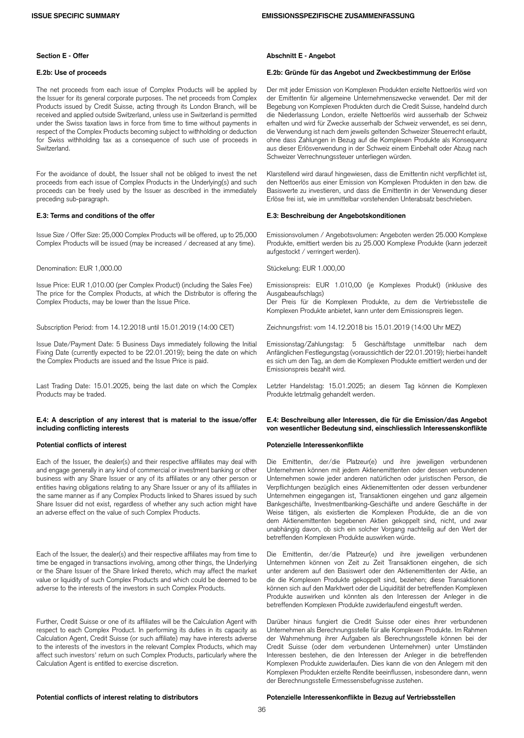The net proceeds from each issue of Complex Products will be applied by the Issuer for its general corporate purposes. The net proceeds from Complex Products issued by Credit Suisse, acting through its London Branch, will be received and applied outside Switzerland, unless use in Switzerland is permitted under the Swiss taxation laws in force from time to time without payments in respect of the Complex Products becoming subject to withholding or deduction for Swiss withholding tax as a consequence of such use of proceeds in Switzerland.

For the avoidance of doubt, the Issuer shall not be obliged to invest the net proceeds from each issue of Complex Products in the Underlying(s) and such proceeds can be freely used by the Issuer as described in the immediately preceding sub-paragraph.

Issue Size / Offer Size: 25,000 Complex Products will be offered, up to 25,000 Complex Products will be issued (may be increased / decreased at any time).

### Denomination: EUR 1,000.00 Stückelung: EUR 1.000,00

Issue Price: EUR 1,010.00 (per Complex Product) (including the Sales Fee) The price for the Complex Products, at which the Distributor is offering the Complex Products, may be lower than the Issue Price.

Subscription Period: from 14.12.2018 until 15.01.2019 (14:00 CET) Zeichnungsfrist: vom 14.12.2018 bis 15.01.2019 (14:00 Uhr MEZ)

Issue Date/Payment Date: 5 Business Days immediately following the Initial Fixing Date (currently expected to be 22.01.2019); being the date on which the Complex Products are issued and the Issue Price is paid.

Last Trading Date: 15.01.2025, being the last date on which the Complex Products may be traded.

### **E.4: A description of any interest that is material to the issue/offer including conflicting interests**

Each of the Issuer, the dealer(s) and their respective affiliates may deal with and engage generally in any kind of commercial or investment banking or other business with any Share Issuer or any of its affiliates or any other person or entities having obligations relating to any Share Issuer or any of its affiliates in the same manner as if any Complex Products linked to Shares issued by such Share Issuer did not exist, regardless of whether any such action might have an adverse effect on the value of such Complex Products.

Each of the Issuer, the dealer(s) and their respective affiliates may from time to time be engaged in transactions involving, among other things, the Underlying or the Share Issuer of the Share linked thereto, which may affect the market value or liquidity of such Complex Products and which could be deemed to be adverse to the interests of the investors in such Complex Products.

Further, Credit Suisse or one of its affiliates will be the Calculation Agent with respect to each Complex Product. In performing its duties in its capacity as Calculation Agent, Credit Suisse (or such affiliate) may have interests adverse to the interests of the investors in the relevant Complex Products, which may affect such investors' return on such Complex Products, particularly where the Calculation Agent is entitled to exercise discretion.

### **Section E - Offer Abschnitt E - Angebot**

### **E.2b: Use of proceeds E.2b: Gründe für das Angebot und Zweckbestimmung der Erlöse**

Der mit jeder Emission von Komplexen Produkten erzielte Nettoerlös wird von der Emittentin für allgemeine Unternehmenszwecke verwendet. Der mit der Begebung von Komplexen Produkten durch die Credit Suisse, handelnd durch die Niederlassung London, erzielte Nettoerlös wird ausserhalb der Schweiz erhalten und wird für Zwecke ausserhalb der Schweiz verwendet, es sei denn, die Verwendung ist nach dem jeweils geltenden Schweizer Steuerrecht erlaubt, ohne dass Zahlungen in Bezug auf die Komplexen Produkte als Konsequenz aus dieser Erlösverwendung in der Schweiz einem Einbehalt oder Abzug nach Schweizer Verrechnungssteuer unterliegen würden.

Klarstellend wird darauf hingewiesen, dass die Emittentin nicht verpflichtet ist, den Nettoerlös aus einer Emission von Komplexen Produkten in den bzw. die Basiswerte zu investieren, und dass die Emittentin in der Verwendung dieser Erlöse frei ist, wie im unmittelbar vorstehenden Unterabsatz beschrieben.

### **E.3: Terms and conditions of the offer E.3: Beschreibung der Angebotskonditionen**

Emissionsvolumen / Angebotsvolumen: Angeboten werden 25.000 Komplexe Produkte, emittiert werden bis zu 25.000 Komplexe Produkte (kann jederzeit aufgestockt / verringert werden).

Emissionspreis: EUR 1.010,00 (je Komplexes Produkt) (inklusive des Ausgabeaufschlags)

Der Preis für die Komplexen Produkte, zu dem die Vertriebsstelle die Komplexen Produkte anbietet, kann unter dem Emissionspreis liegen.

Emissionstag/Zahlungstag: 5 Geschäftstage unmittelbar nach dem Anfänglichen Festlegungstag (voraussichtlich der 22.01.2019); hierbei handelt es sich um den Tag, an dem die Komplexen Produkte emittiert werden und der Emissionspreis bezahlt wird.

Letzter Handelstag: 15.01.2025; an diesem Tag können die Komplexen Produkte letztmalig gehandelt werden.

### **E.4: Beschreibung aller Interessen, die für die Emission/das Angebot von wesentlicher Bedeutung sind, einschliesslich Interessenskonflikte**

### **Potential conflicts of interest Potenzielle Interessenkonflikte**

Die Emittentin, der/die Platzeur(e) und ihre jeweiligen verbundenen Unternehmen können mit jedem Aktienemittenten oder dessen verbundenen Unternehmen sowie jeder anderen natürlichen oder juristischen Person, die Verpflichtungen bezüglich eines Aktienemittenten oder dessen verbundener Unternehmen eingegangen ist, Transaktionen eingehen und ganz allgemein Bankgeschäfte, Investmentbanking-Geschäfte und andere Geschäfte in der Weise tätigen, als existierten die Komplexen Produkte, die an die von dem Aktienemittenten begebenen Aktien gekoppelt sind, nicht, und zwar unabhängig davon, ob sich ein solcher Vorgang nachteilig auf den Wert der betreffenden Komplexen Produkte auswirken würde.

Die Emittentin, der/die Platzeur(e) und ihre jeweiligen verbundenen Unternehmen können von Zeit zu Zeit Transaktionen eingehen, die sich unter anderem auf den Basiswert oder den Aktienemittenten der Aktie, an die die Komplexen Produkte gekoppelt sind, beziehen; diese Transaktionen können sich auf den Marktwert oder die Liquidität der betreffenden Komplexen Produkte auswirken und könnten als den Interessen der Anleger in die betreffenden Komplexen Produkte zuwiderlaufend eingestuft werden.

Darüber hinaus fungiert die Credit Suisse oder eines ihrer verbundenen Unternehmen als Berechnungsstelle für alle Komplexen Produkte. Im Rahmen der Wahrnehmung ihrer Aufgaben als Berechnungsstelle können bei der Credit Suisse (oder dem verbundenen Unternehmen) unter Umständen Interessen bestehen, die den Interessen der Anleger in die betreffenden Komplexen Produkte zuwiderlaufen. Dies kann die von den Anlegern mit den Komplexen Produkten erzielte Rendite beeinflussen, insbesondere dann, wenn der Berechnungsstelle Ermessensbefugnisse zustehen.

## **Potential conflicts of interest relating to distributors Potenzielle Interessenkonflikte in Bezug auf Vertriebsstellen**